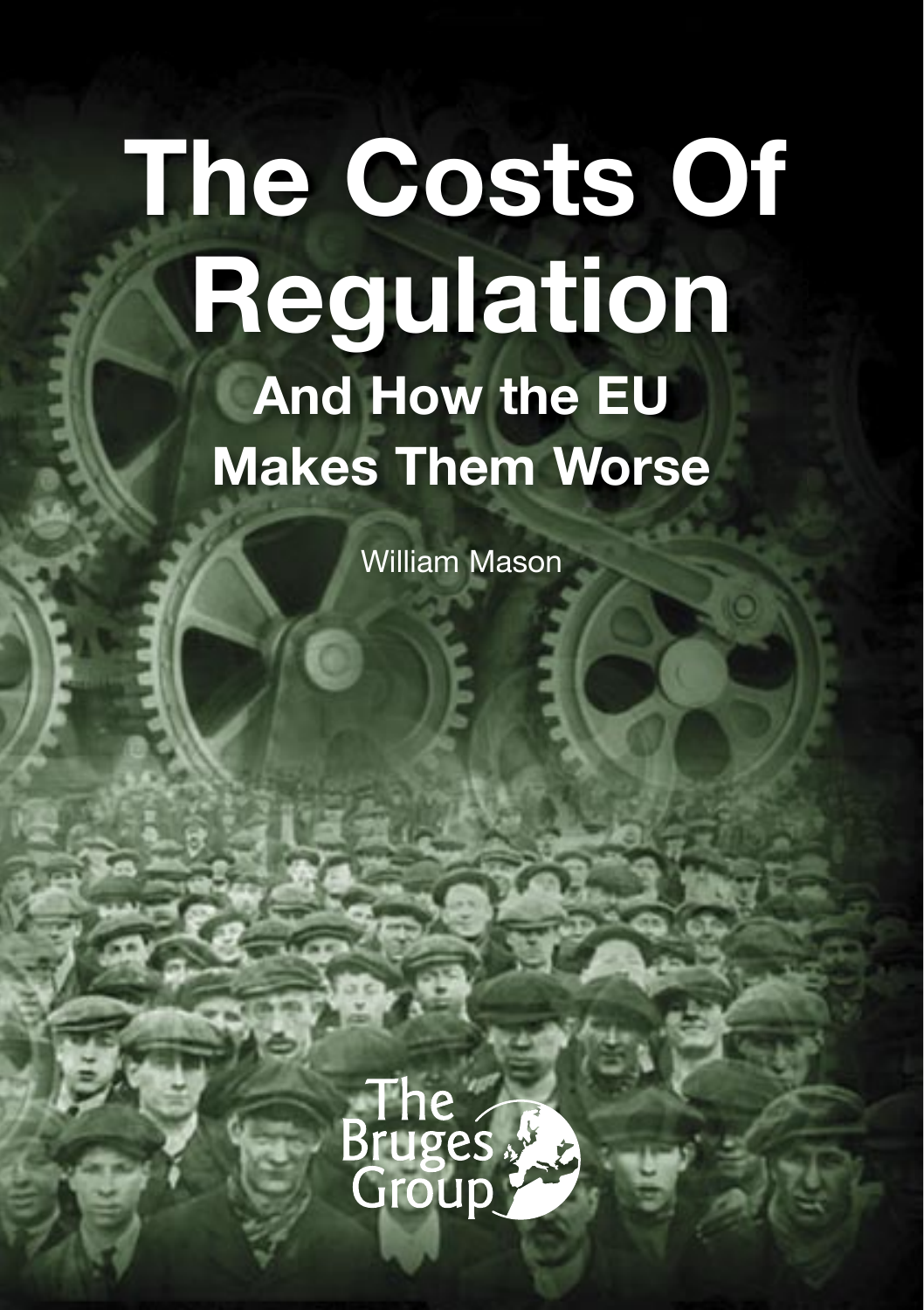# **The Costs Of Regulation And How the EU Makes Them Worse**

William Mason

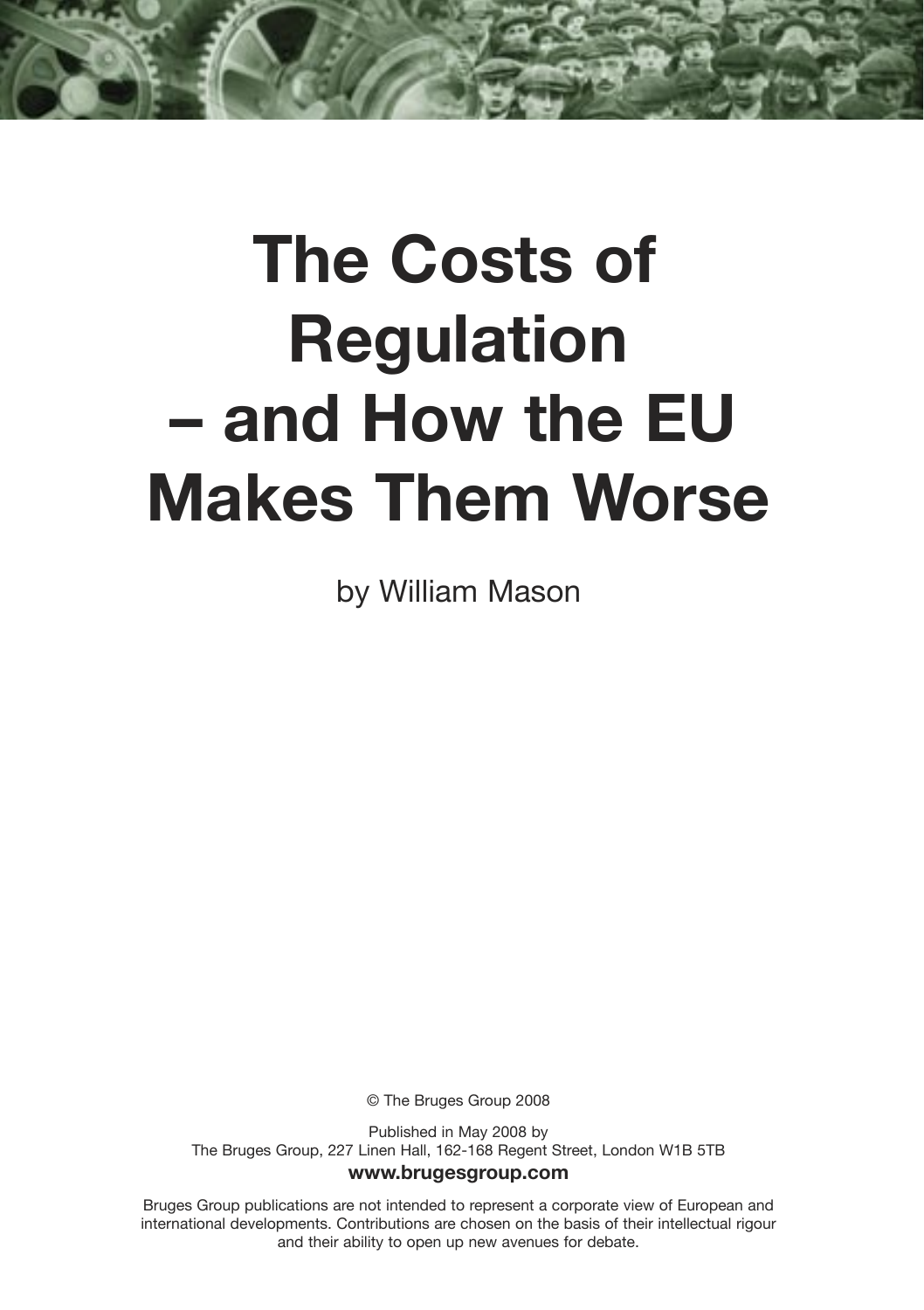## **The Costs of Regulation – and How the EU Makes Them Worse**

by William Mason

© The Bruges Group 2008

Published in May 2008 by The Bruges Group, 227 Linen Hall, 162-168 Regent Street, London W1B 5TB **www.brugesgroup.com**

Bruges Group publications are not intended to represent a corporate view of European and international developments. Contributions are chosen on the basis of their intellectual rigour and their ability to open up new avenues for debate.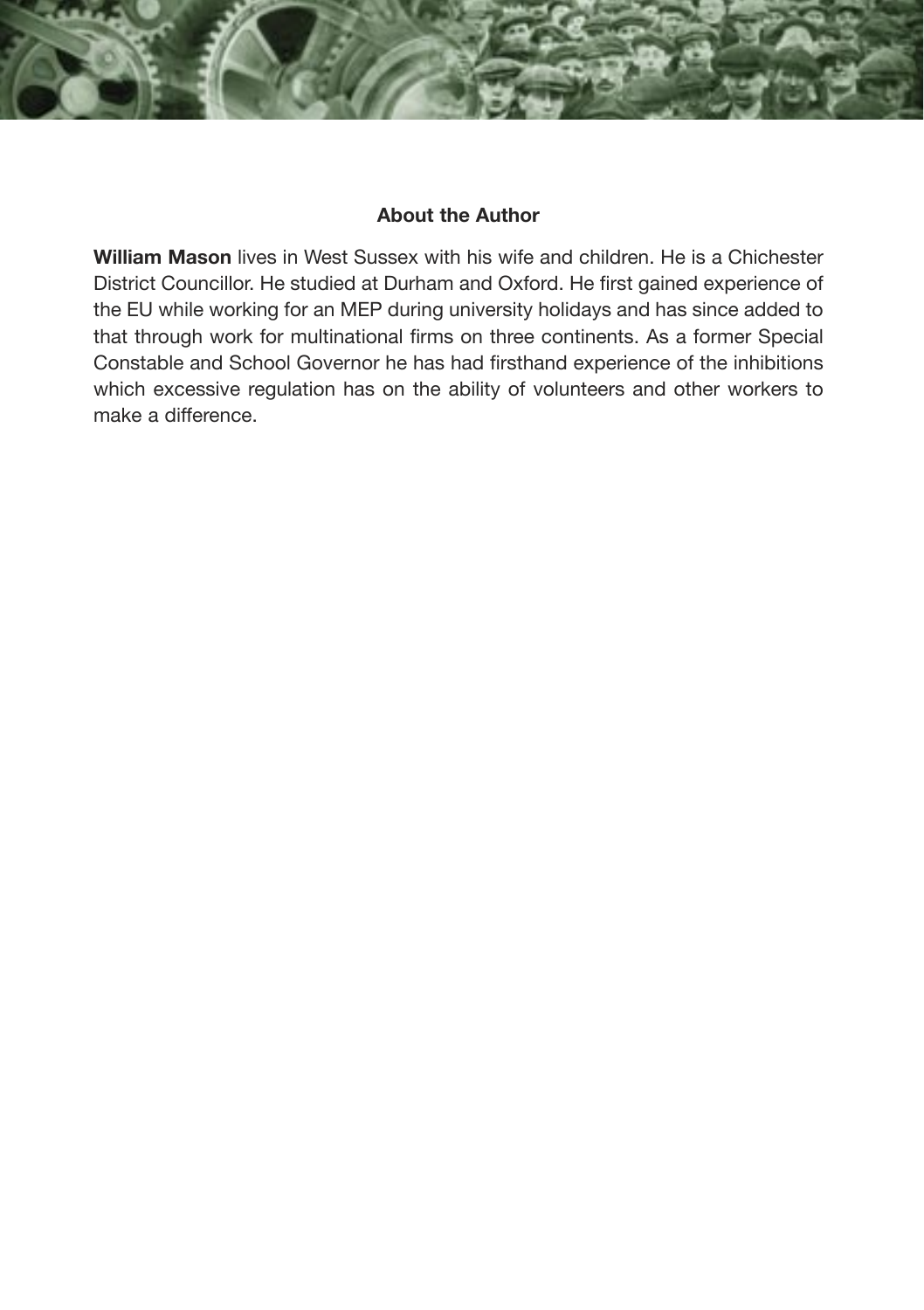#### **About the Author**

**William Mason** lives in West Sussex with his wife and children. He is a Chichester District Councillor. He studied at Durham and Oxford. He first gained experience of the EU while working for an MEP during university holidays and has since added to that through work for multinational firms on three continents. As a former Special Constable and School Governor he has had firsthand experience of the inhibitions which excessive regulation has on the ability of volunteers and other workers to make a difference.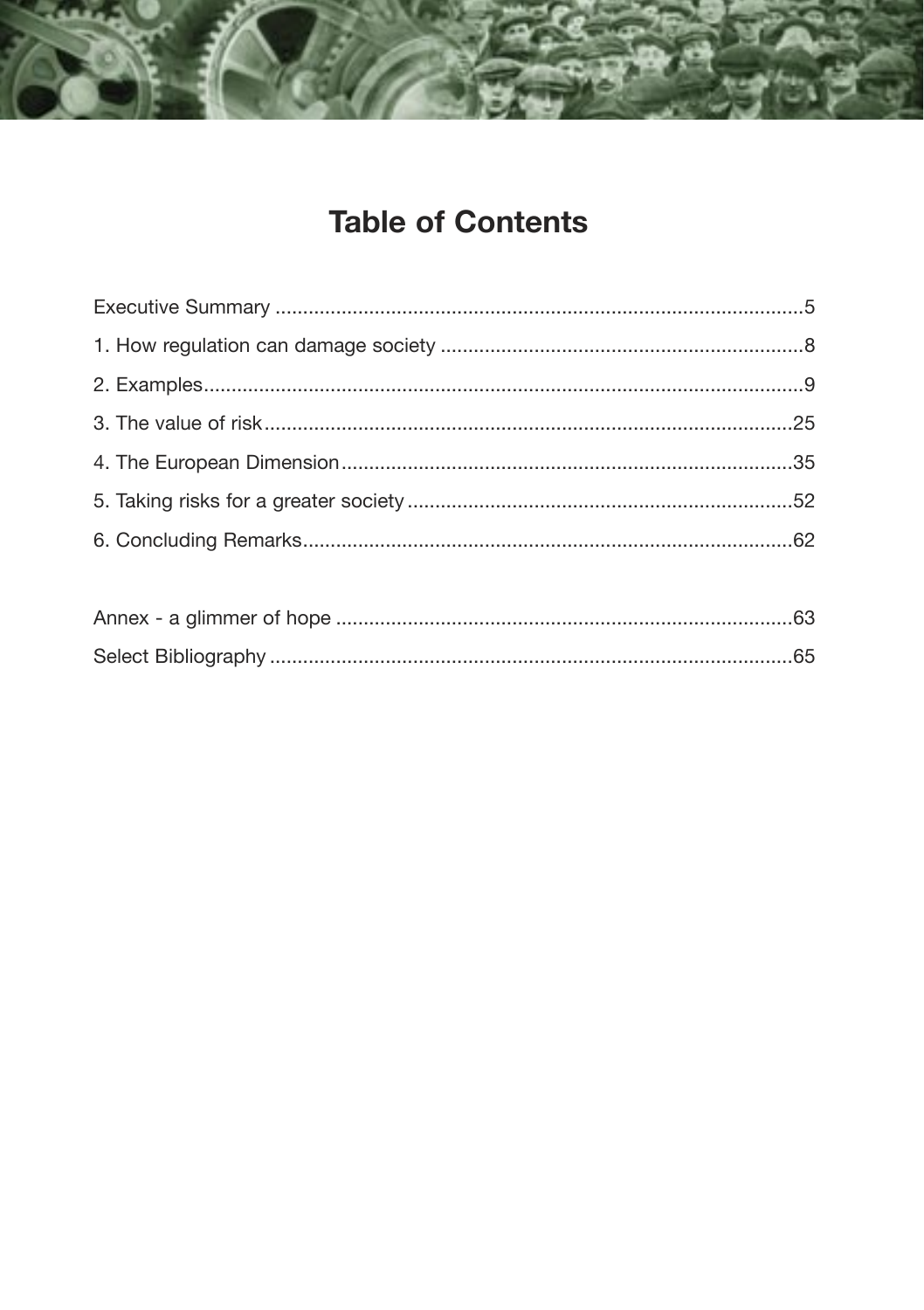## **Table of Contents**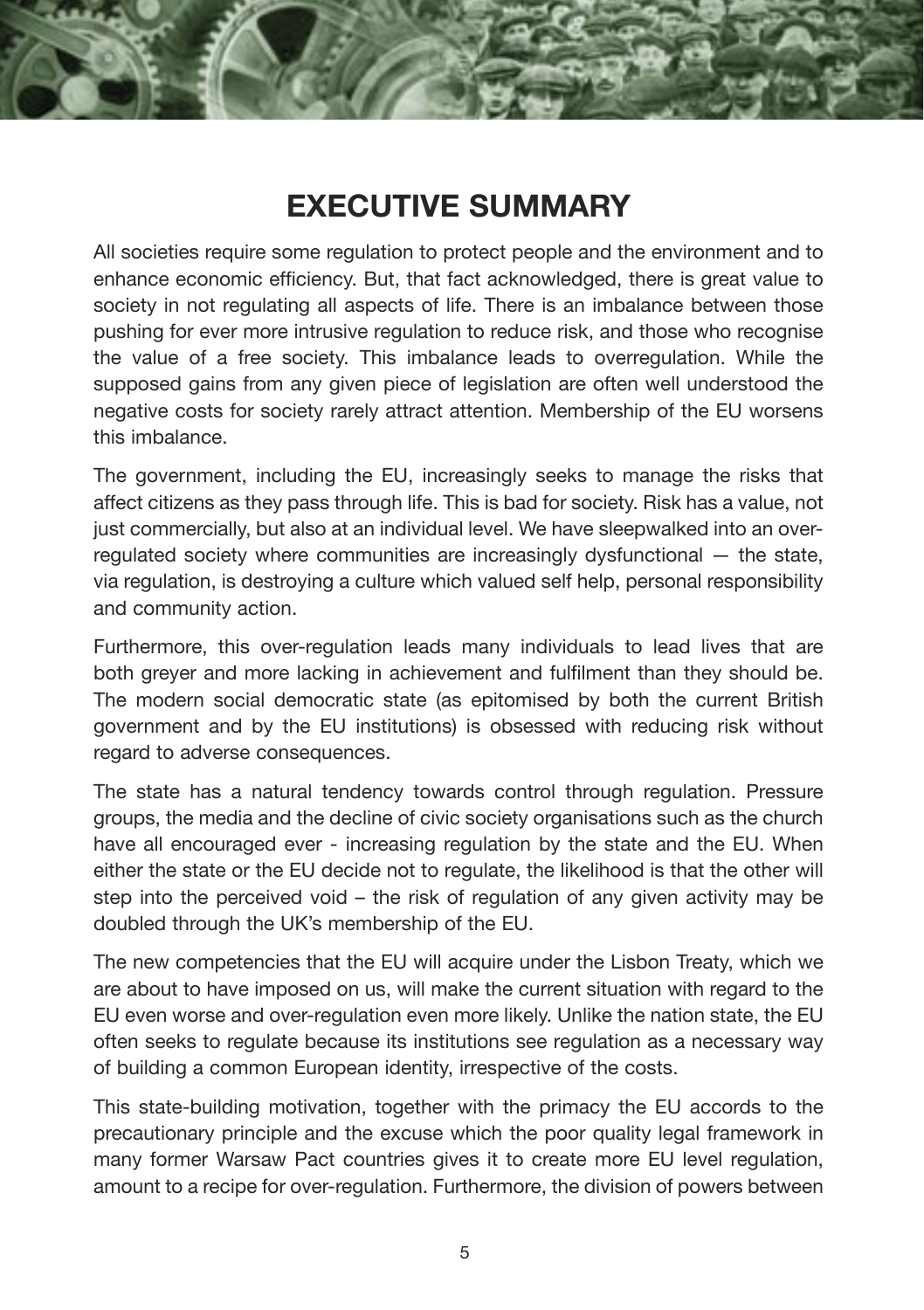## **EXECUTIVE SUMMARY**

All societies require some regulation to protect people and the environment and to enhance economic efficiency. But, that fact acknowledged, there is great value to society in not regulating all aspects of life. There is an imbalance between those pushing for ever more intrusive regulation to reduce risk, and those who recognise the value of a free society. This imbalance leads to overregulation. While the supposed gains from any given piece of legislation are often well understood the negative costs for society rarely attract attention. Membership of the EU worsens this imbalance.

The government, including the EU, increasingly seeks to manage the risks that affect citizens as they pass through life. This is bad for society. Risk has a value, not just commercially, but also at an individual level. We have sleepwalked into an overregulated society where communities are increasingly dysfunctional — the state, via regulation, is destroying a culture which valued self help, personal responsibility and community action.

Furthermore, this over-regulation leads many individuals to lead lives that are both greyer and more lacking in achievement and fulfilment than they should be. The modern social democratic state (as epitomised by both the current British government and by the EU institutions) is obsessed with reducing risk without regard to adverse consequences.

The state has a natural tendency towards control through regulation. Pressure groups, the media and the decline of civic society organisations such as the church have all encouraged ever - increasing regulation by the state and the EU. When either the state or the EU decide not to regulate, the likelihood is that the other will step into the perceived void – the risk of regulation of any given activity may be doubled through the UK's membership of the EU.

The new competencies that the EU will acquire under the Lisbon Treaty, which we are about to have imposed on us, will make the current situation with regard to the EU even worse and over-regulation even more likely. Unlike the nation state, the EU often seeks to regulate because its institutions see regulation as a necessary way of building a common European identity, irrespective of the costs.

This state-building motivation, together with the primacy the EU accords to the precautionary principle and the excuse which the poor quality legal framework in many former Warsaw Pact countries gives it to create more EU level regulation, amount to a recipe for over-regulation. Furthermore, the division of powers between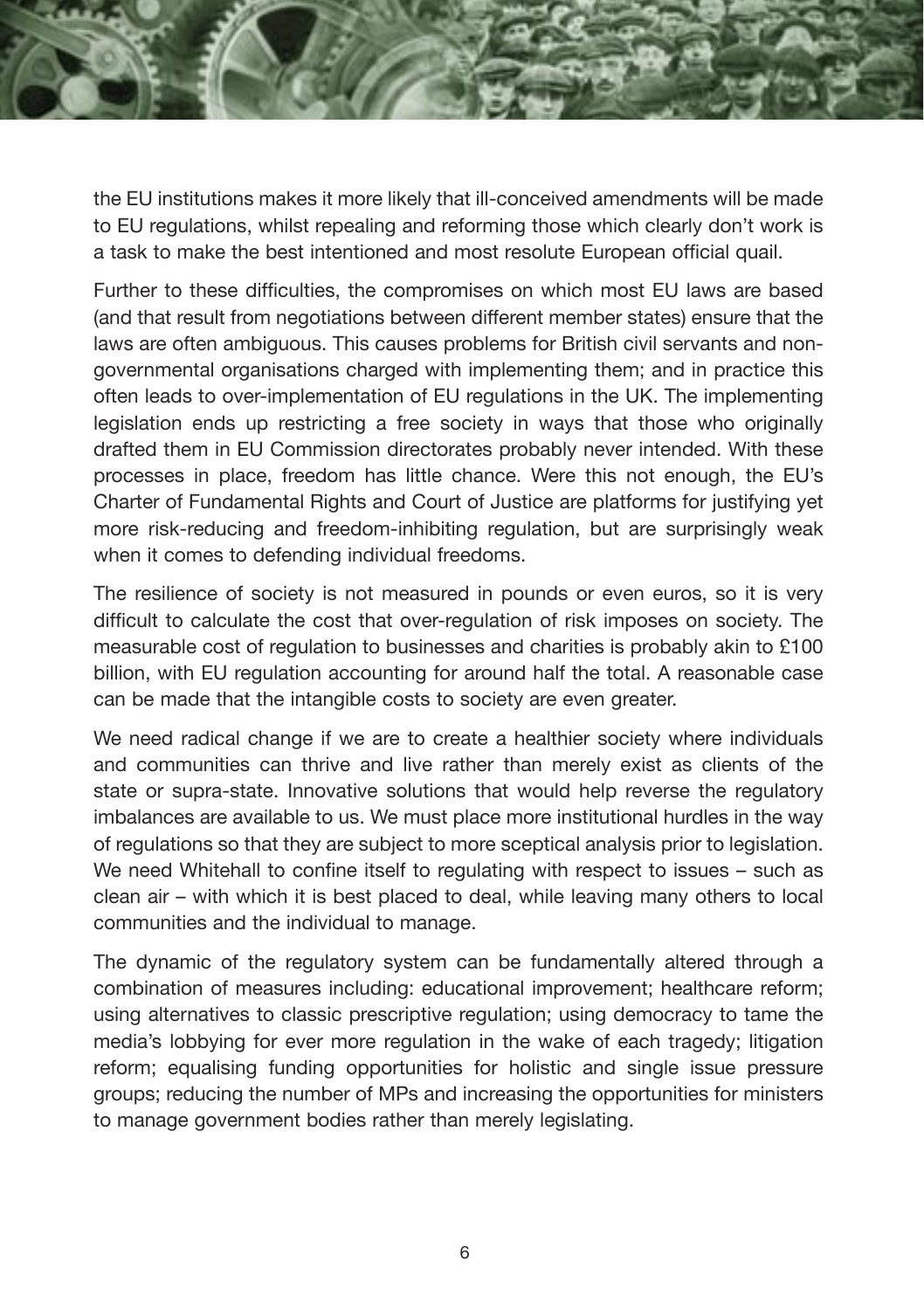the EU institutions makes it more likely that ill-conceived amendments will be made to EU regulations, whilst repealing and reforming those which clearly don't work is a task to make the best intentioned and most resolute European official quail.

Further to these difficulties, the compromises on which most EU laws are based (and that result from negotiations between different member states) ensure that the laws are often ambiguous. This causes problems for British civil servants and nongovernmental organisations charged with implementing them; and in practice this often leads to over-implementation of EU regulations in the UK. The implementing legislation ends up restricting a free society in ways that those who originally drafted them in EU Commission directorates probably never intended. With these processes in place, freedom has little chance. Were this not enough, the EU's Charter of Fundamental Rights and Court of Justice are platforms for justifying yet more risk-reducing and freedom-inhibiting regulation, but are surprisingly weak when it comes to defending individual freedoms.

The resilience of society is not measured in pounds or even euros, so it is very difficult to calculate the cost that over-regulation of risk imposes on society. The measurable cost of regulation to businesses and charities is probably akin to £100 billion, with EU regulation accounting for around half the total. A reasonable case can be made that the intangible costs to society are even greater.

We need radical change if we are to create a healthier society where individuals and communities can thrive and live rather than merely exist as clients of the state or supra-state. Innovative solutions that would help reverse the regulatory imbalances are available to us. We must place more institutional hurdles in the way of regulations so that they are subject to more sceptical analysis prior to legislation. We need Whitehall to confine itself to regulating with respect to issues – such as clean air – with which it is best placed to deal, while leaving many others to local communities and the individual to manage.

The dynamic of the regulatory system can be fundamentally altered through a combination of measures including: educational improvement; healthcare reform; using alternatives to classic prescriptive regulation; using democracy to tame the media's lobbying for ever more regulation in the wake of each tragedy; litigation reform; equalising funding opportunities for holistic and single issue pressure groups; reducing the number of MPs and increasing the opportunities for ministers to manage government bodies rather than merely legislating.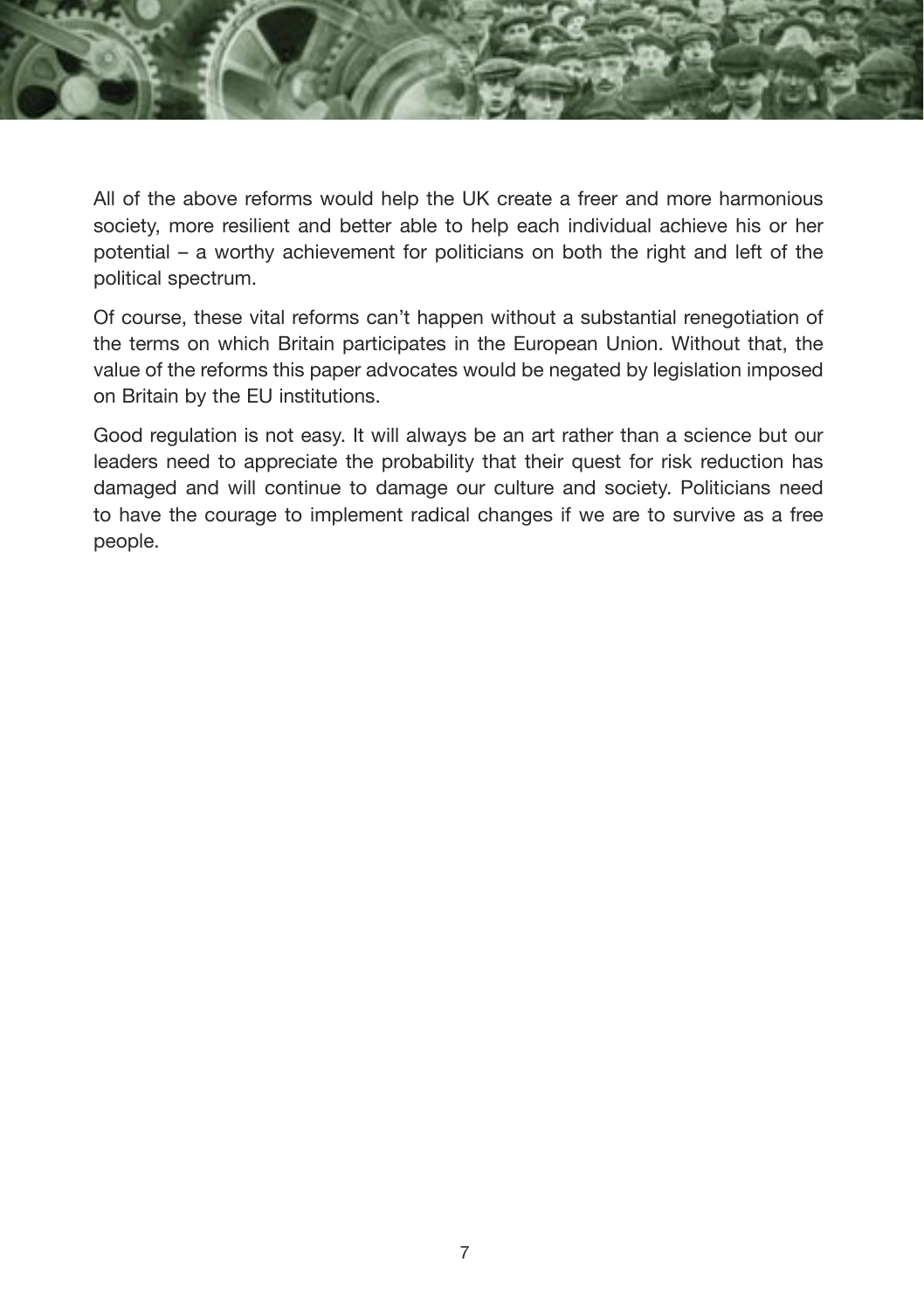

All of the above reforms would help the UK create a freer and more harmonious society, more resilient and better able to help each individual achieve his or her potential – a worthy achievement for politicians on both the right and left of the political spectrum.

Of course, these vital reforms can't happen without a substantial renegotiation of the terms on which Britain participates in the European Union. Without that, the value of the reforms this paper advocates would be negated by legislation imposed on Britain by the EU institutions.

Good regulation is not easy. It will always be an art rather than a science but our leaders need to appreciate the probability that their quest for risk reduction has damaged and will continue to damage our culture and society. Politicians need to have the courage to implement radical changes if we are to survive as a free people.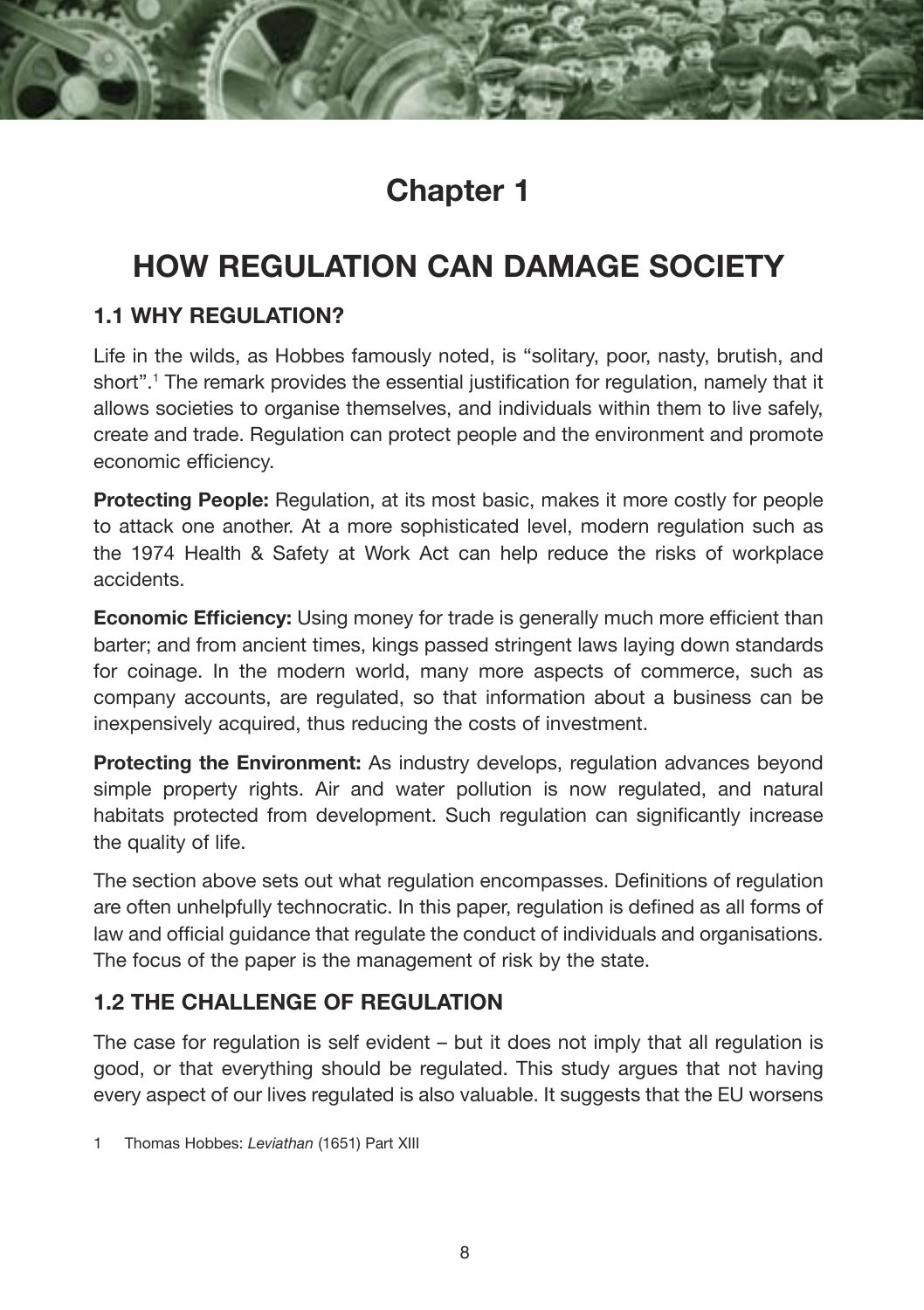## **Chapter 1**

## **HOW REGULATION CAN DAMAGE SOCIETY**

#### **1.1 WHY REGULATION?**

Life in the wilds, as Hobbes famously noted, is "solitary, poor, nasty, brutish, and short".1 The remark provides the essential justification for regulation, namely that it allows societies to organise themselves, and individuals within them to live safely, create and trade. Regulation can protect people and the environment and promote economic efficiency.

**Protecting People:** Regulation, at its most basic, makes it more costly for people to attack one another. At a more sophisticated level, modern regulation such as the 1974 Health & Safety at Work Act can help reduce the risks of workplace accidents.

**Economic Efficiency:** Using money for trade is generally much more efficient than barter; and from ancient times, kings passed stringent laws laying down standards for coinage. In the modern world, many more aspects of commerce, such as company accounts, are regulated, so that information about a business can be inexpensively acquired, thus reducing the costs of investment.

**Protecting the Environment:** As industry develops, regulation advances beyond simple property rights. Air and water pollution is now regulated, and natural habitats protected from development. Such regulation can significantly increase the quality of life.

The section above sets out what regulation encompasses. Definitions of regulation are often unhelpfully technocratic. In this paper, regulation is defined as all forms of law and official guidance that regulate the conduct of individuals and organisations. The focus of the paper is the management of risk by the state.

#### **1.2 THE CHALLENGE OF REGULATION**

The case for regulation is self evident – but it does not imply that all regulation is good, or that everything should be regulated. This study argues that not having every aspect of our lives regulated is also valuable. It suggests that the EU worsens

1 Thomas Hobbes: *Leviathan* (1651) Part XIII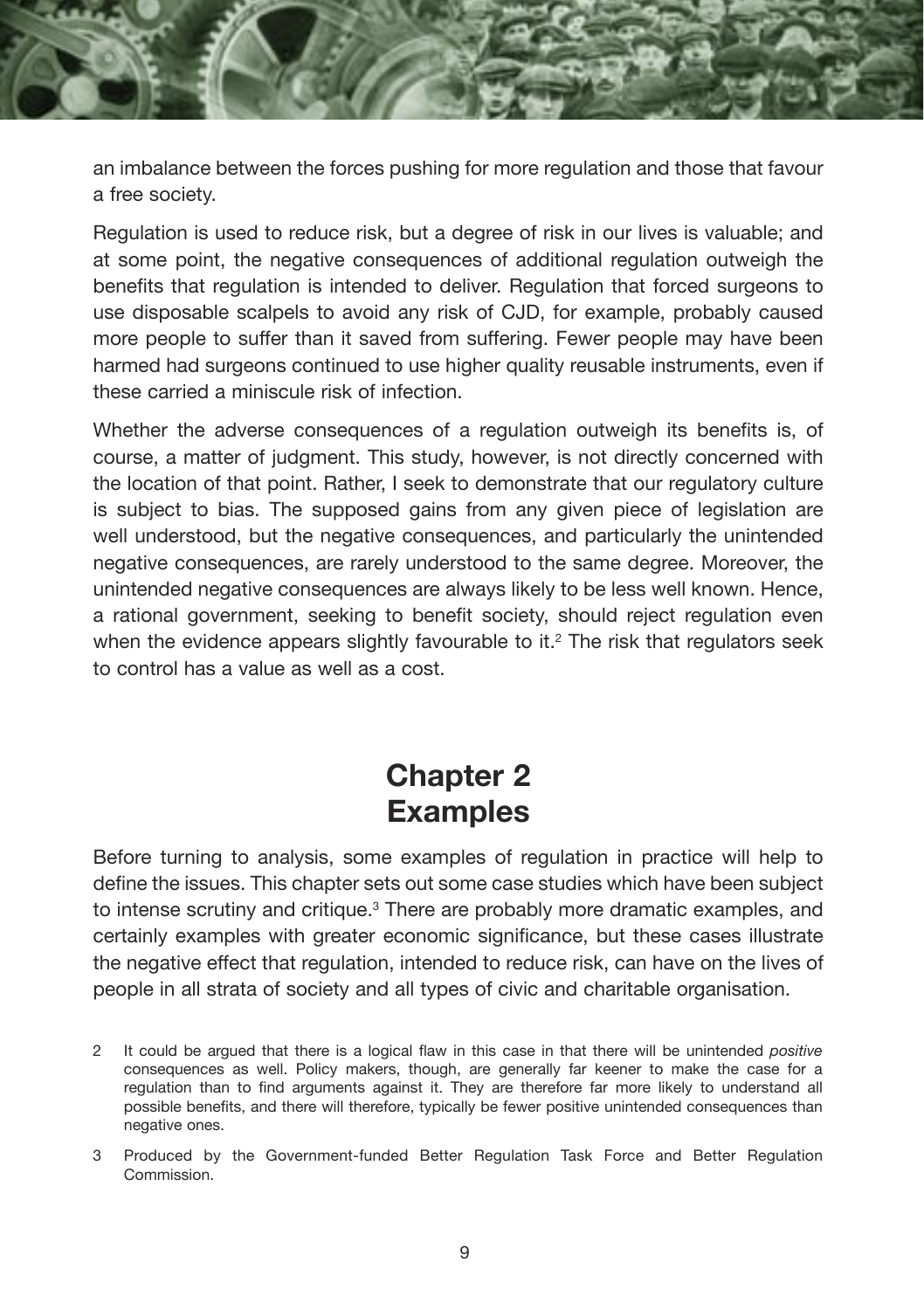

Regulation is used to reduce risk, but a degree of risk in our lives is valuable; and at some point, the negative consequences of additional regulation outweigh the benefits that regulation is intended to deliver. Regulation that forced surgeons to use disposable scalpels to avoid any risk of CJD, for example, probably caused more people to suffer than it saved from suffering. Fewer people may have been harmed had surgeons continued to use higher quality reusable instruments, even if these carried a miniscule risk of infection.

Whether the adverse consequences of a regulation outweigh its benefits is, of course, a matter of judgment. This study, however, is not directly concerned with the location of that point. Rather, I seek to demonstrate that our regulatory culture is subject to bias. The supposed gains from any given piece of legislation are well understood, but the negative consequences, and particularly the unintended negative consequences, are rarely understood to the same degree. Moreover, the unintended negative consequences are always likely to be less well known. Hence, a rational government, seeking to benefit society, should reject regulation even when the evidence appears slightly favourable to it. $<sup>2</sup>$  The risk that regulators seek</sup> to control has a value as well as a cost.

## **Chapter 2 Examples**

Before turning to analysis, some examples of regulation in practice will help to define the issues. This chapter sets out some case studies which have been subject to intense scrutiny and critique.<sup>3</sup> There are probably more dramatic examples, and certainly examples with greater economic significance, but these cases illustrate the negative effect that regulation, intended to reduce risk, can have on the lives of people in all strata of society and all types of civic and charitable organisation.

<sup>2</sup> It could be argued that there is a logical flaw in this case in that there will be unintended *positive*  consequences as well. Policy makers, though, are generally far keener to make the case for a regulation than to find arguments against it. They are therefore far more likely to understand all possible benefits, and there will therefore, typically be fewer positive unintended consequences than negative ones.

<sup>3</sup> Produced by the Government-funded Better Regulation Task Force and Better Regulation Commission.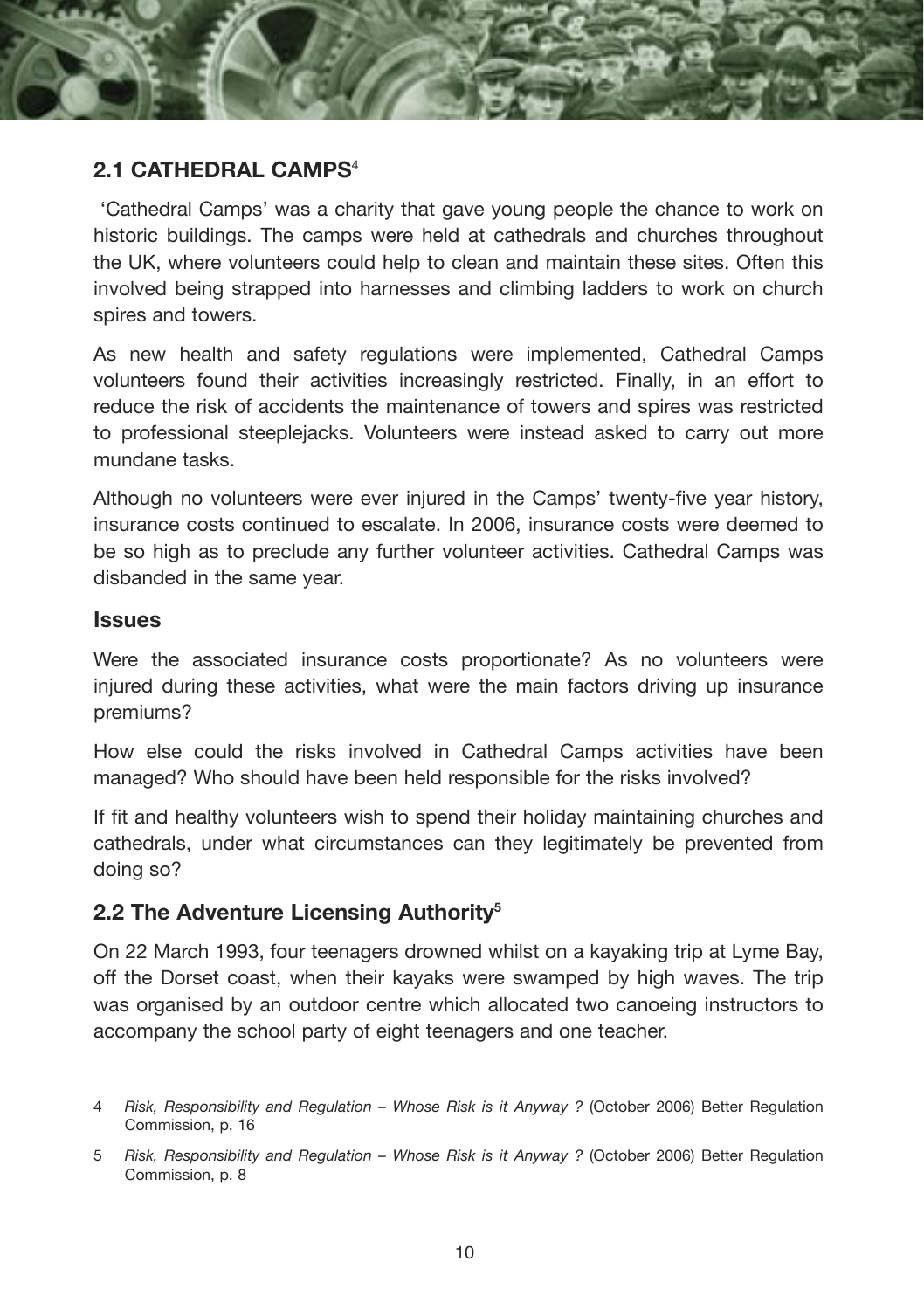

#### **2.1 CATHEDRAL CAMPS**<sup>4</sup>

 'Cathedral Camps' was a charity that gave young people the chance to work on historic buildings. The camps were held at cathedrals and churches throughout the UK, where volunteers could help to clean and maintain these sites. Often this involved being strapped into harnesses and climbing ladders to work on church spires and towers.

As new health and safety regulations were implemented, Cathedral Camps volunteers found their activities increasingly restricted. Finally, in an effort to reduce the risk of accidents the maintenance of towers and spires was restricted to professional steeplejacks. Volunteers were instead asked to carry out more mundane tasks.

Although no volunteers were ever injured in the Camps' twenty-five year history, insurance costs continued to escalate. In 2006, insurance costs were deemed to be so high as to preclude any further volunteer activities. Cathedral Camps was disbanded in the same year.

#### **Issues**

Were the associated insurance costs proportionate? As no volunteers were injured during these activities, what were the main factors driving up insurance premiums?

How else could the risks involved in Cathedral Camps activities have been managed? Who should have been held responsible for the risks involved?

If fit and healthy volunteers wish to spend their holiday maintaining churches and cathedrals, under what circumstances can they legitimately be prevented from doing so?

#### **2.2 The Adventure Licensing Authority5**

On 22 March 1993, four teenagers drowned whilst on a kayaking trip at Lyme Bay, off the Dorset coast, when their kayaks were swamped by high waves. The trip was organised by an outdoor centre which allocated two canoeing instructors to accompany the school party of eight teenagers and one teacher.

<sup>4</sup> *Risk, Responsibility and Regulation – Whose Risk is it Anyway ?* (October 2006) Better Regulation Commission, p. 16

<sup>5</sup> *Risk, Responsibility and Regulation – Whose Risk is it Anyway ?* (October 2006) Better Regulation Commission, p. 8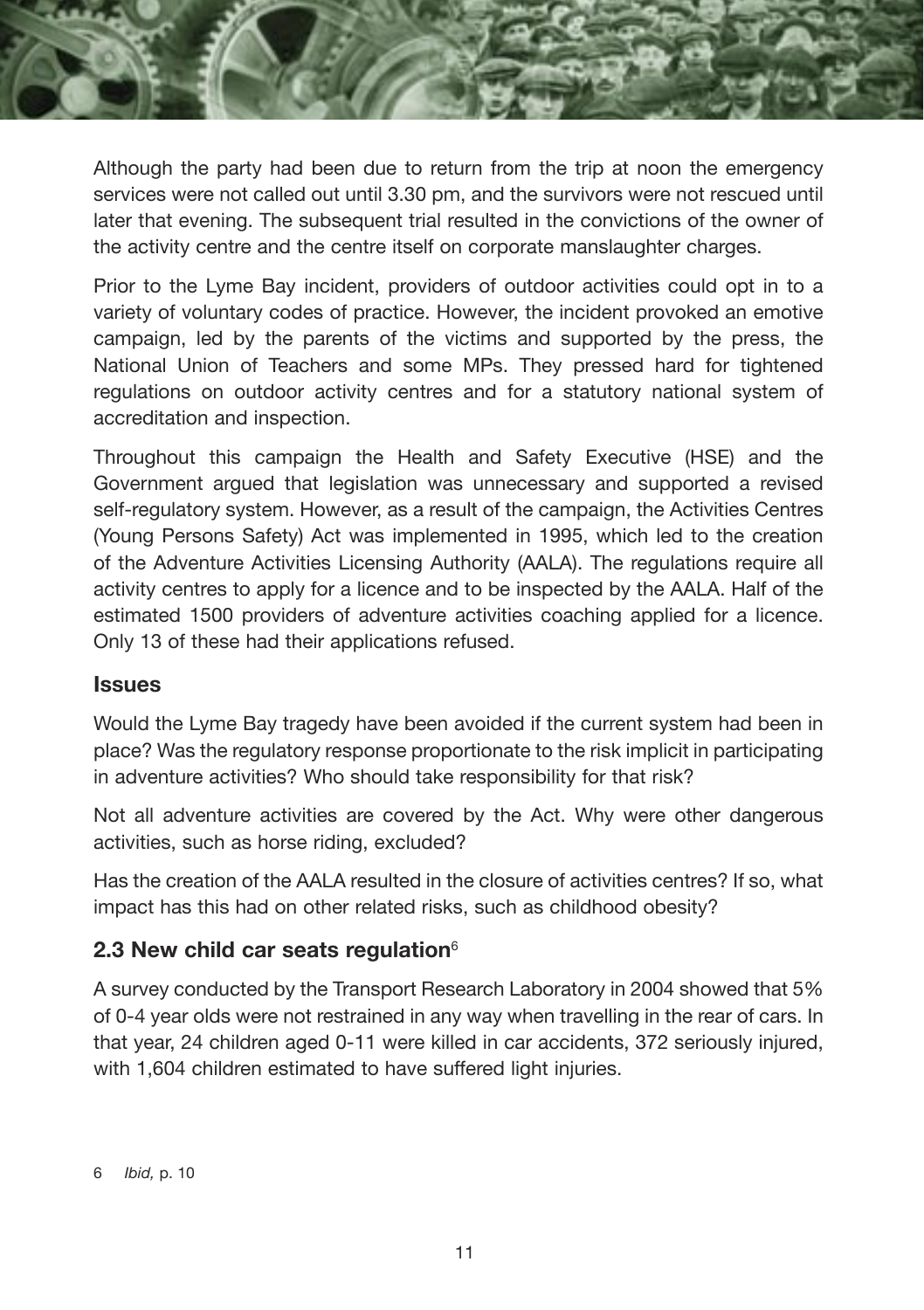

Although the party had been due to return from the trip at noon the emergency services were not called out until 3.30 pm, and the survivors were not rescued until later that evening. The subsequent trial resulted in the convictions of the owner of the activity centre and the centre itself on corporate manslaughter charges.

Prior to the Lyme Bay incident, providers of outdoor activities could opt in to a variety of voluntary codes of practice. However, the incident provoked an emotive campaign, led by the parents of the victims and supported by the press, the National Union of Teachers and some MPs. They pressed hard for tightened regulations on outdoor activity centres and for a statutory national system of accreditation and inspection.

Throughout this campaign the Health and Safety Executive (HSE) and the Government argued that legislation was unnecessary and supported a revised self-regulatory system. However, as a result of the campaign, the Activities Centres (Young Persons Safety) Act was implemented in 1995, which led to the creation of the Adventure Activities Licensing Authority (AALA). The regulations require all activity centres to apply for a licence and to be inspected by the AALA. Half of the estimated 1500 providers of adventure activities coaching applied for a licence. Only 13 of these had their applications refused.

#### **Issues**

Would the Lyme Bay tragedy have been avoided if the current system had been in place? Was the regulatory response proportionate to the risk implicit in participating in adventure activities? Who should take responsibility for that risk?

Not all adventure activities are covered by the Act. Why were other dangerous activities, such as horse riding, excluded?

Has the creation of the AALA resulted in the closure of activities centres? If so, what impact has this had on other related risks, such as childhood obesity?

#### **2.3 New child car seats regulation**<sup>6</sup>

A survey conducted by the Transport Research Laboratory in 2004 showed that 5% of 0-4 year olds were not restrained in any way when travelling in the rear of cars. In that year, 24 children aged 0-11 were killed in car accidents, 372 seriously injured, with 1,604 children estimated to have suffered light injuries.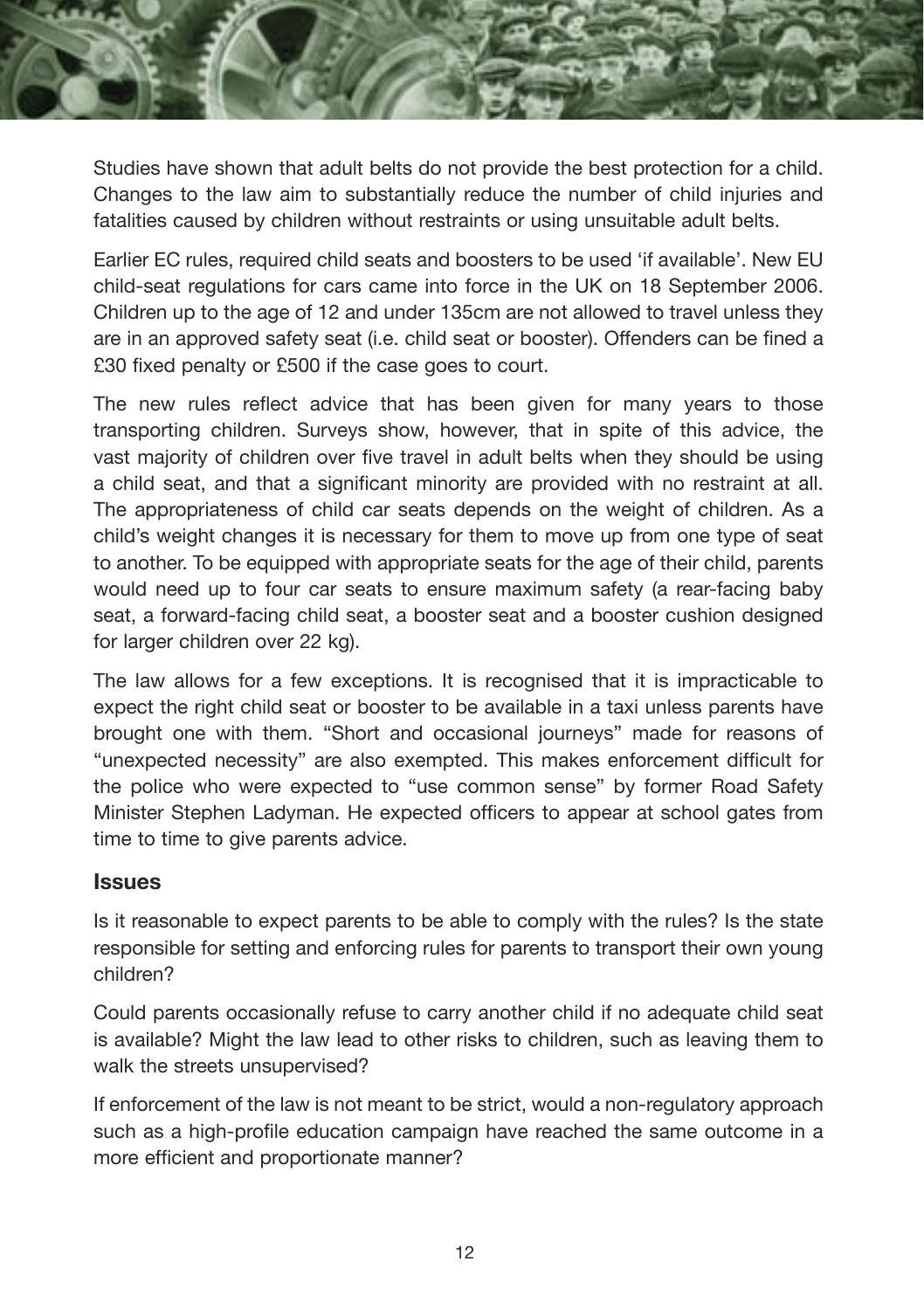

Studies have shown that adult belts do not provide the best protection for a child. Changes to the law aim to substantially reduce the number of child injuries and fatalities caused by children without restraints or using unsuitable adult belts.

Earlier EC rules, required child seats and boosters to be used 'if available'. New EU child-seat regulations for cars came into force in the UK on 18 September 2006. Children up to the age of 12 and under 135cm are not allowed to travel unless they are in an approved safety seat (i.e. child seat or booster). Offenders can be fined a £30 fixed penalty or £500 if the case goes to court.

The new rules reflect advice that has been given for many years to those transporting children. Surveys show, however, that in spite of this advice, the vast majority of children over five travel in adult belts when they should be using a child seat, and that a significant minority are provided with no restraint at all. The appropriateness of child car seats depends on the weight of children. As a child's weight changes it is necessary for them to move up from one type of seat to another. To be equipped with appropriate seats for the age of their child, parents would need up to four car seats to ensure maximum safety (a rear-facing baby seat, a forward-facing child seat, a booster seat and a booster cushion designed for larger children over 22 kg).

The law allows for a few exceptions. It is recognised that it is impracticable to expect the right child seat or booster to be available in a taxi unless parents have brought one with them. "Short and occasional journeys" made for reasons of "unexpected necessity" are also exempted. This makes enforcement difficult for the police who were expected to "use common sense" by former Road Safety Minister Stephen Ladyman. He expected officers to appear at school gates from time to time to give parents advice.

#### **Issues**

Is it reasonable to expect parents to be able to comply with the rules? Is the state responsible for setting and enforcing rules for parents to transport their own young children?

Could parents occasionally refuse to carry another child if no adequate child seat is available? Might the law lead to other risks to children, such as leaving them to walk the streets unsupervised?

If enforcement of the law is not meant to be strict, would a non-regulatory approach such as a high-profile education campaign have reached the same outcome in a more efficient and proportionate manner?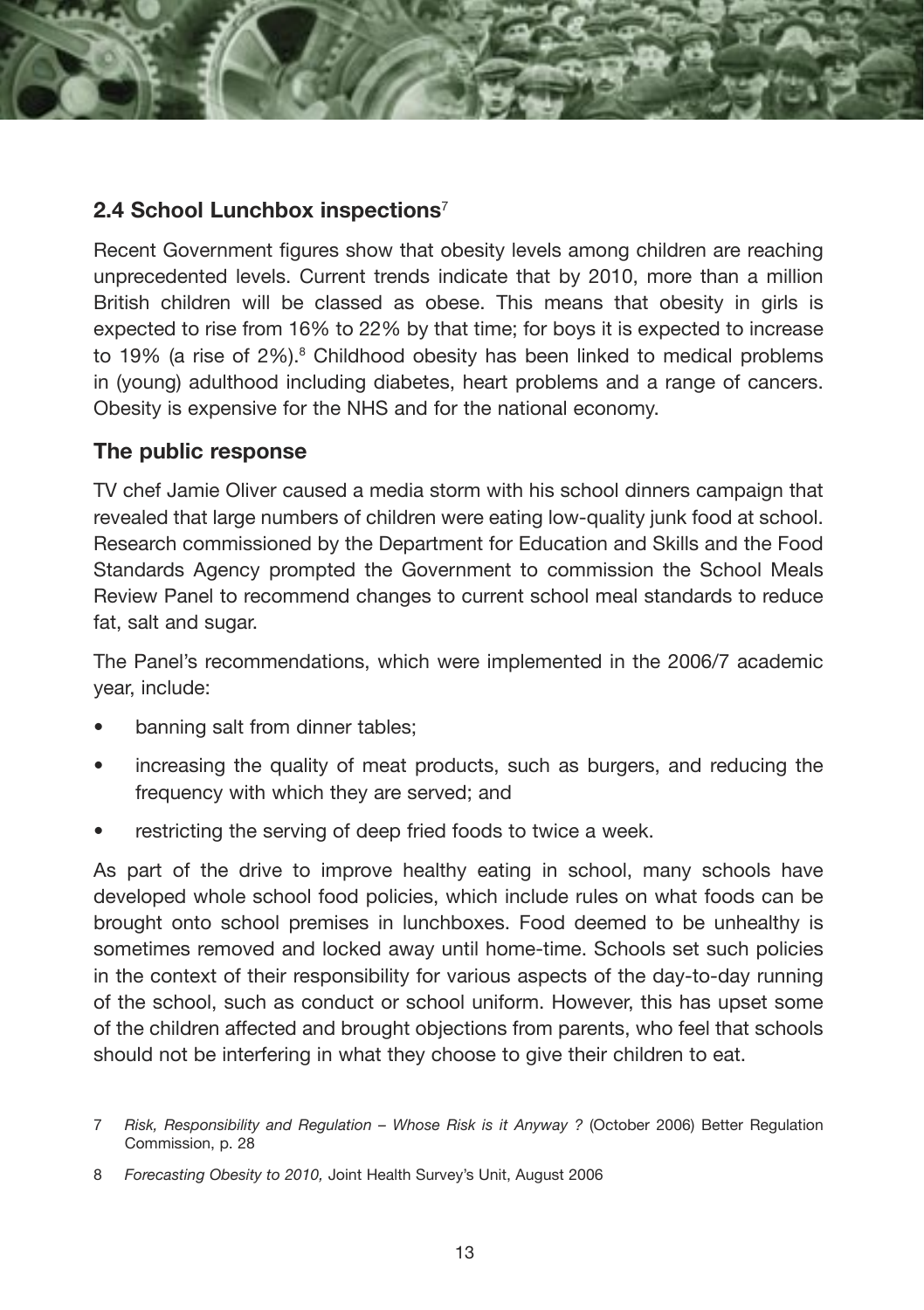#### **2.4 School Lunchbox inspections**<sup>7</sup>

Recent Government figures show that obesity levels among children are reaching unprecedented levels. Current trends indicate that by 2010, more than a million British children will be classed as obese. This means that obesity in girls is expected to rise from 16% to 22% by that time; for boys it is expected to increase to 19% (a rise of 2%).<sup>8</sup> Childhood obesity has been linked to medical problems in (young) adulthood including diabetes, heart problems and a range of cancers. Obesity is expensive for the NHS and for the national economy.

#### **The public response**

TV chef Jamie Oliver caused a media storm with his school dinners campaign that revealed that large numbers of children were eating low-quality junk food at school. Research commissioned by the Department for Education and Skills and the Food Standards Agency prompted the Government to commission the School Meals Review Panel to recommend changes to current school meal standards to reduce fat, salt and sugar.

The Panel's recommendations, which were implemented in the 2006/7 academic year, include:

- banning salt from dinner tables;
- increasing the quality of meat products, such as burgers, and reducing the frequency with which they are served; and
- restricting the serving of deep fried foods to twice a week.

As part of the drive to improve healthy eating in school, many schools have developed whole school food policies, which include rules on what foods can be brought onto school premises in lunchboxes. Food deemed to be unhealthy is sometimes removed and locked away until home-time. Schools set such policies in the context of their responsibility for various aspects of the day-to-day running of the school, such as conduct or school uniform. However, this has upset some of the children affected and brought objections from parents, who feel that schools should not be interfering in what they choose to give their children to eat.

<sup>7</sup> Risk, Responsibility and Regulation – Whose Risk is it Anyway ? (October 2006) Better Regulation Commission, p. 28

<sup>8</sup> *Forecasting Obesity to 2010,* Joint Health Survey's Unit, August 2006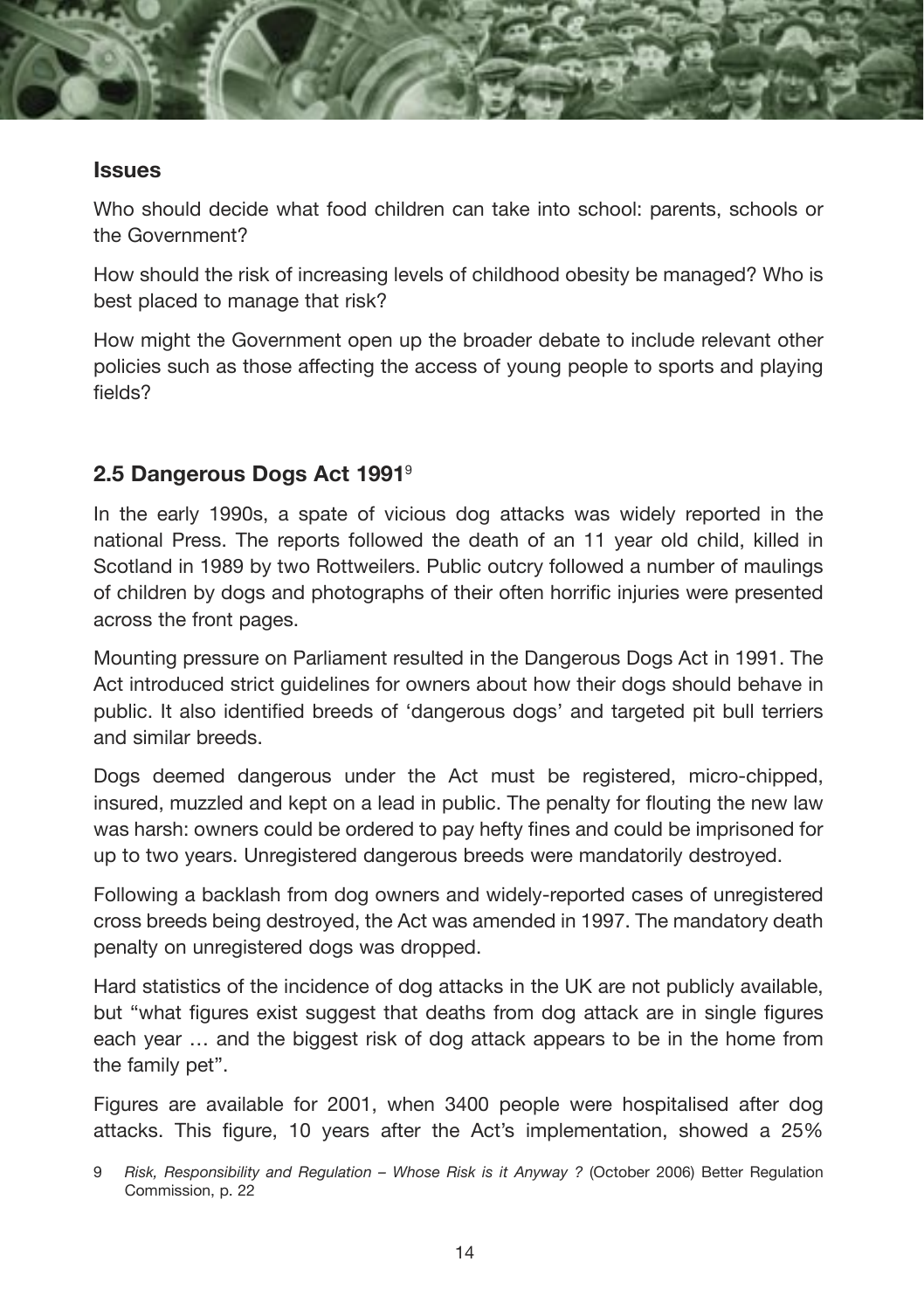

#### **Issues**

Who should decide what food children can take into school: parents, schools or the Government?

How should the risk of increasing levels of childhood obesity be managed? Who is best placed to manage that risk?

How might the Government open up the broader debate to include relevant other policies such as those affecting the access of young people to sports and playing fields?

#### **2.5 Dangerous Dogs Act 1991**<sup>9</sup>

In the early 1990s, a spate of vicious dog attacks was widely reported in the national Press. The reports followed the death of an 11 year old child, killed in Scotland in 1989 by two Rottweilers. Public outcry followed a number of maulings of children by dogs and photographs of their often horrific injuries were presented across the front pages.

Mounting pressure on Parliament resulted in the Dangerous Dogs Act in 1991. The Act introduced strict guidelines for owners about how their dogs should behave in public. It also identified breeds of 'dangerous dogs' and targeted pit bull terriers and similar breeds.

Dogs deemed dangerous under the Act must be registered, micro-chipped, insured, muzzled and kept on a lead in public. The penalty for flouting the new law was harsh: owners could be ordered to pay hefty fines and could be imprisoned for up to two years. Unregistered dangerous breeds were mandatorily destroyed.

Following a backlash from dog owners and widely-reported cases of unregistered cross breeds being destroyed, the Act was amended in 1997. The mandatory death penalty on unregistered dogs was dropped.

Hard statistics of the incidence of dog attacks in the UK are not publicly available, but "what figures exist suggest that deaths from dog attack are in single figures each year … and the biggest risk of dog attack appears to be in the home from the family pet".

Figures are available for 2001, when 3400 people were hospitalised after dog attacks. This figure, 10 years after the Act's implementation, showed a 25%

<sup>9</sup> Risk, Responsibility and Regulation – Whose Risk is it Anyway ? (October 2006) Better Regulation Commission, p. 22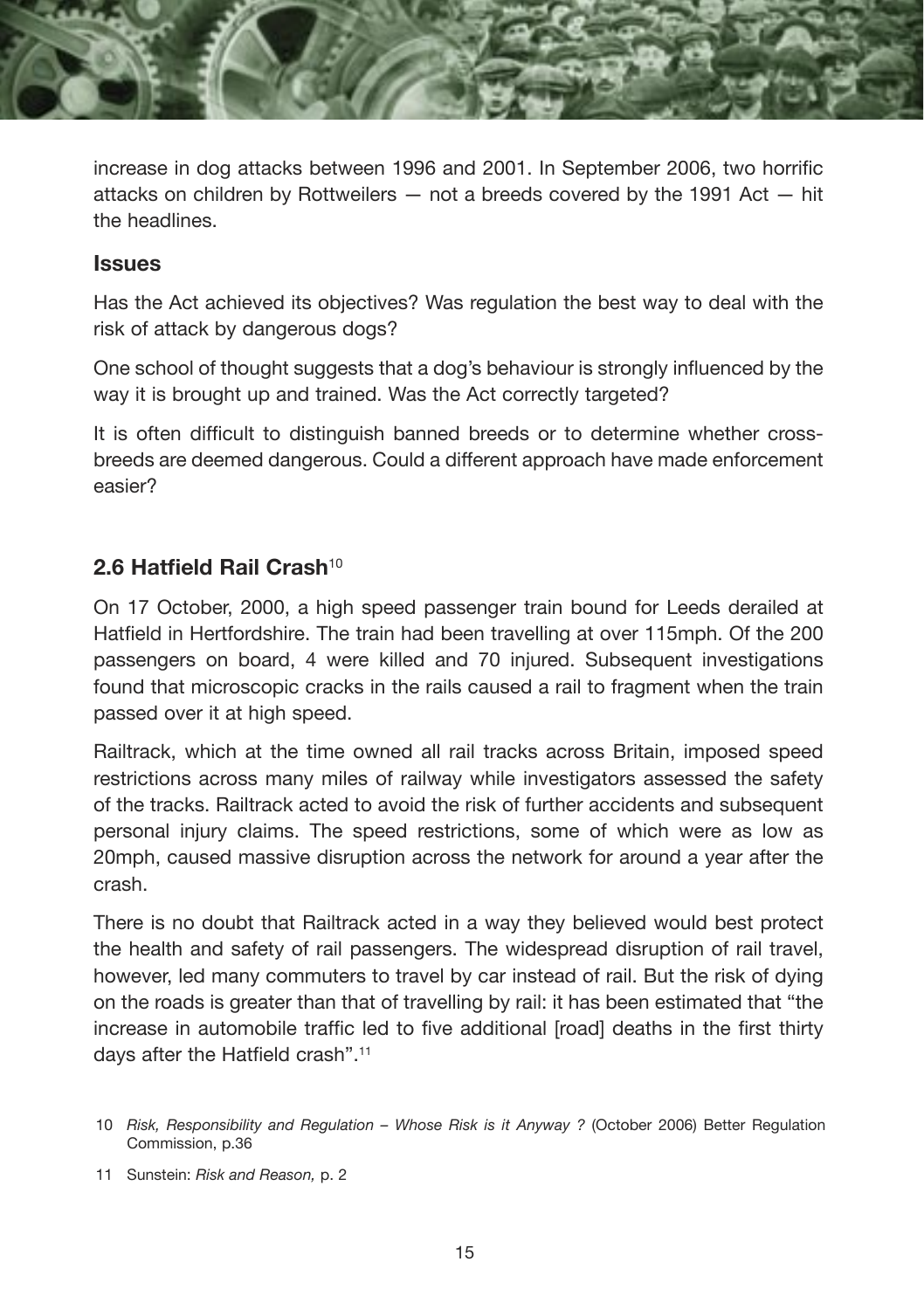

increase in dog attacks between 1996 and 2001. In September 2006, two horrific attacks on children by Rottweilers — not a breeds covered by the 1991 Act — hit the headlines.

#### **Issues**

Has the Act achieved its objectives? Was regulation the best way to deal with the risk of attack by dangerous dogs?

One school of thought suggests that a dog's behaviour is strongly influenced by the way it is brought up and trained. Was the Act correctly targeted?

It is often difficult to distinguish banned breeds or to determine whether crossbreeds are deemed dangerous. Could a different approach have made enforcement easier?

#### **2.6 Hatfield Rail Crash**<sup>10</sup>

On 17 October, 2000, a high speed passenger train bound for Leeds derailed at Hatfield in Hertfordshire. The train had been travelling at over 115mph. Of the 200 passengers on board, 4 were killed and 70 injured. Subsequent investigations found that microscopic cracks in the rails caused a rail to fragment when the train passed over it at high speed.

Railtrack, which at the time owned all rail tracks across Britain, imposed speed restrictions across many miles of railway while investigators assessed the safety of the tracks. Railtrack acted to avoid the risk of further accidents and subsequent personal injury claims. The speed restrictions, some of which were as low as 20mph, caused massive disruption across the network for around a year after the crash.

There is no doubt that Railtrack acted in a way they believed would best protect the health and safety of rail passengers. The widespread disruption of rail travel, however, led many commuters to travel by car instead of rail. But the risk of dying on the roads is greater than that of travelling by rail: it has been estimated that "the increase in automobile traffic led to five additional [road] deaths in the first thirty days after the Hatfield crash".11

11 Sunstein: *Risk and Reason,* p. 2

<sup>10</sup> *Risk, Responsibility and Regulation – Whose Risk is it Anyway ?* (October 2006) Better Regulation Commission, p.36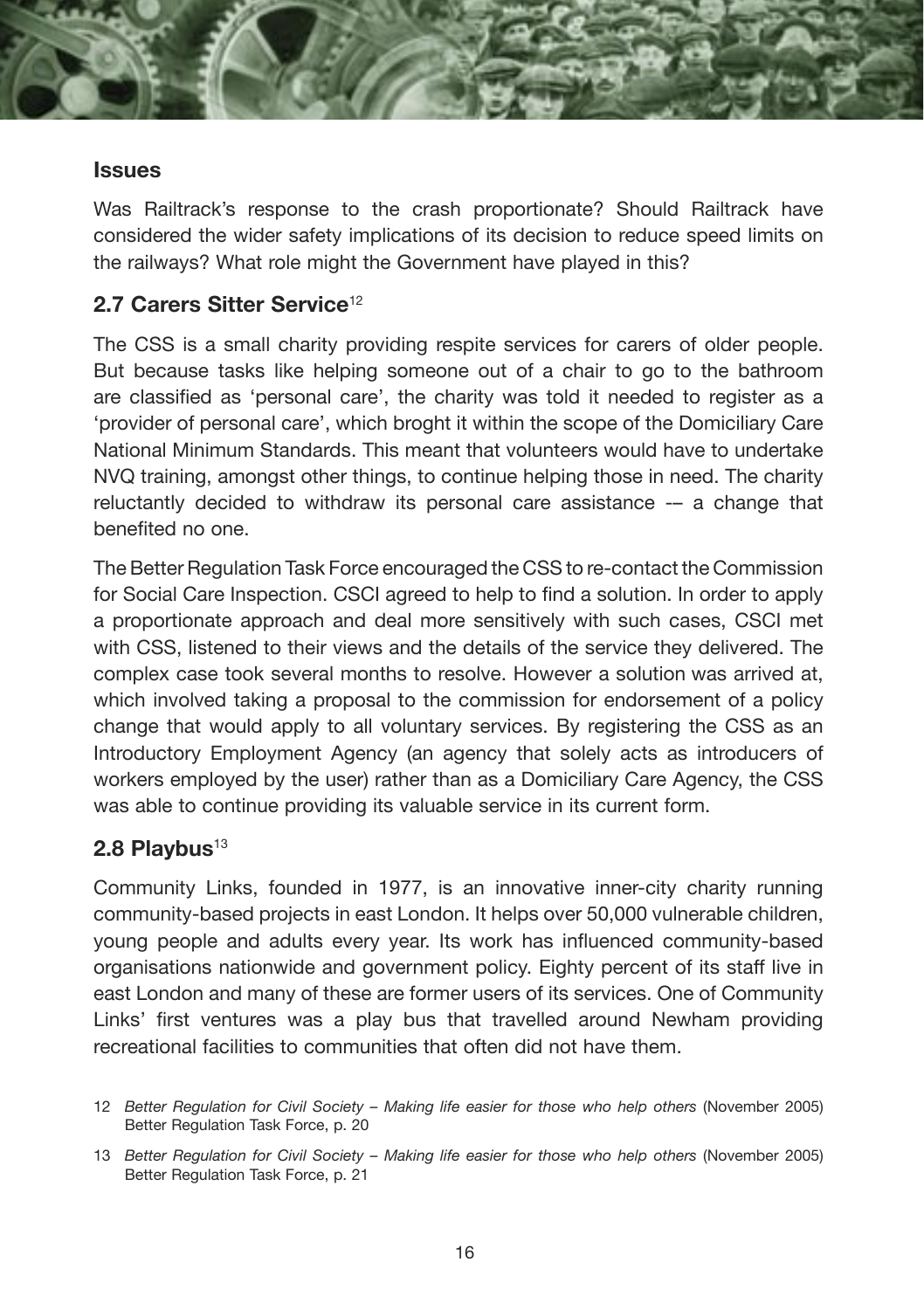#### **Issues**

Was Railtrack's response to the crash proportionate? Should Railtrack have considered the wider safety implications of its decision to reduce speed limits on the railways? What role might the Government have played in this?

#### **2.7 Carers Sitter Service**<sup>12</sup>

The CSS is a small charity providing respite services for carers of older people. But because tasks like helping someone out of a chair to go to the bathroom are classified as 'personal care', the charity was told it needed to register as a 'provider of personal care', which broght it within the scope of the Domiciliary Care National Minimum Standards. This meant that volunteers would have to undertake NVQ training, amongst other things, to continue helping those in need. The charity reluctantly decided to withdraw its personal care assistance -– a change that benefited no one.

The Better Regulation Task Force encouraged the CSS to re-contact the Commission for Social Care Inspection. CSCI agreed to help to find a solution. In order to apply a proportionate approach and deal more sensitively with such cases, CSCI met with CSS, listened to their views and the details of the service they delivered. The complex case took several months to resolve. However a solution was arrived at, which involved taking a proposal to the commission for endorsement of a policy change that would apply to all voluntary services. By registering the CSS as an Introductory Employment Agency (an agency that solely acts as introducers of workers employed by the user) rather than as a Domiciliary Care Agency, the CSS was able to continue providing its valuable service in its current form.

#### 2.8 Playbus<sup>13</sup>

Community Links, founded in 1977, is an innovative inner-city charity running community-based projects in east London. It helps over 50,000 vulnerable children, young people and adults every year. Its work has influenced community-based organisations nationwide and government policy. Eighty percent of its staff live in east London and many of these are former users of its services. One of Community Links' first ventures was a play bus that travelled around Newham providing recreational facilities to communities that often did not have them.

<sup>12</sup> *Better Regulation for Civil Society – Making life easier for those who help others* (November 2005) Better Regulation Task Force, p. 20

<sup>13</sup> *Better Regulation for Civil Society – Making life easier for those who help others* (November 2005) Better Regulation Task Force, p. 21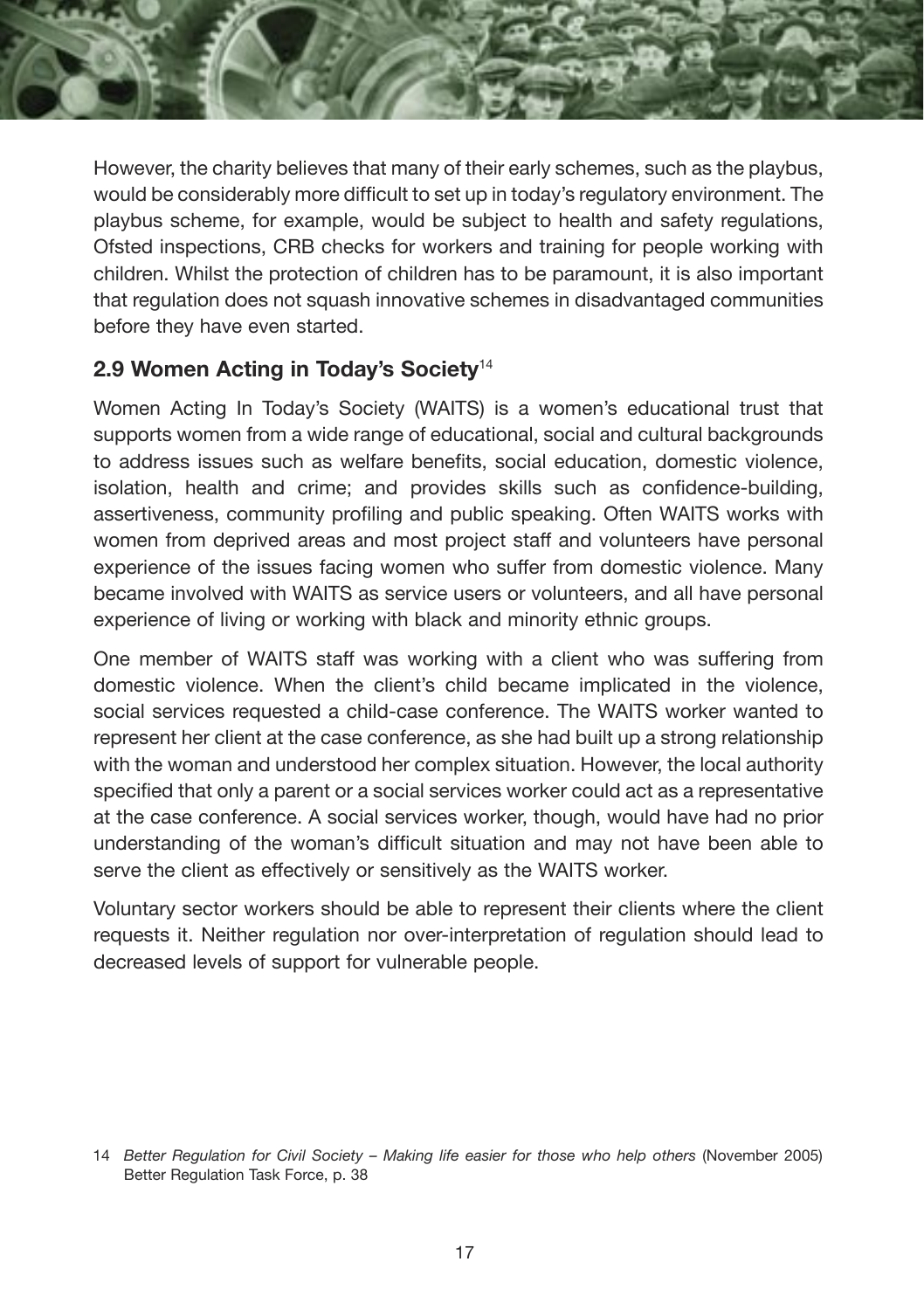

However, the charity believes that many of their early schemes, such as the playbus, would be considerably more difficult to set up in today's regulatory environment. The playbus scheme, for example, would be subject to health and safety regulations, Ofsted inspections, CRB checks for workers and training for people working with children. Whilst the protection of children has to be paramount, it is also important that regulation does not squash innovative schemes in disadvantaged communities before they have even started.

#### **2.9 Women Acting in Today's Society**<sup>14</sup>

Women Acting In Today's Society (WAITS) is a women's educational trust that supports women from a wide range of educational, social and cultural backgrounds to address issues such as welfare benefits, social education, domestic violence, isolation, health and crime; and provides skills such as confidence-building, assertiveness, community profiling and public speaking. Often WAITS works with women from deprived areas and most project staff and volunteers have personal experience of the issues facing women who suffer from domestic violence. Many became involved with WAITS as service users or volunteers, and all have personal experience of living or working with black and minority ethnic groups.

One member of WAITS staff was working with a client who was suffering from domestic violence. When the client's child became implicated in the violence, social services requested a child-case conference. The WAITS worker wanted to represent her client at the case conference, as she had built up a strong relationship with the woman and understood her complex situation. However, the local authority specified that only a parent or a social services worker could act as a representative at the case conference. A social services worker, though, would have had no prior understanding of the woman's difficult situation and may not have been able to serve the client as effectively or sensitively as the WAITS worker.

Voluntary sector workers should be able to represent their clients where the client requests it. Neither regulation nor over-interpretation of regulation should lead to decreased levels of support for vulnerable people.

<sup>14</sup> *Better Regulation for Civil Society – Making life easier for those who help others* (November 2005) Better Regulation Task Force, p. 38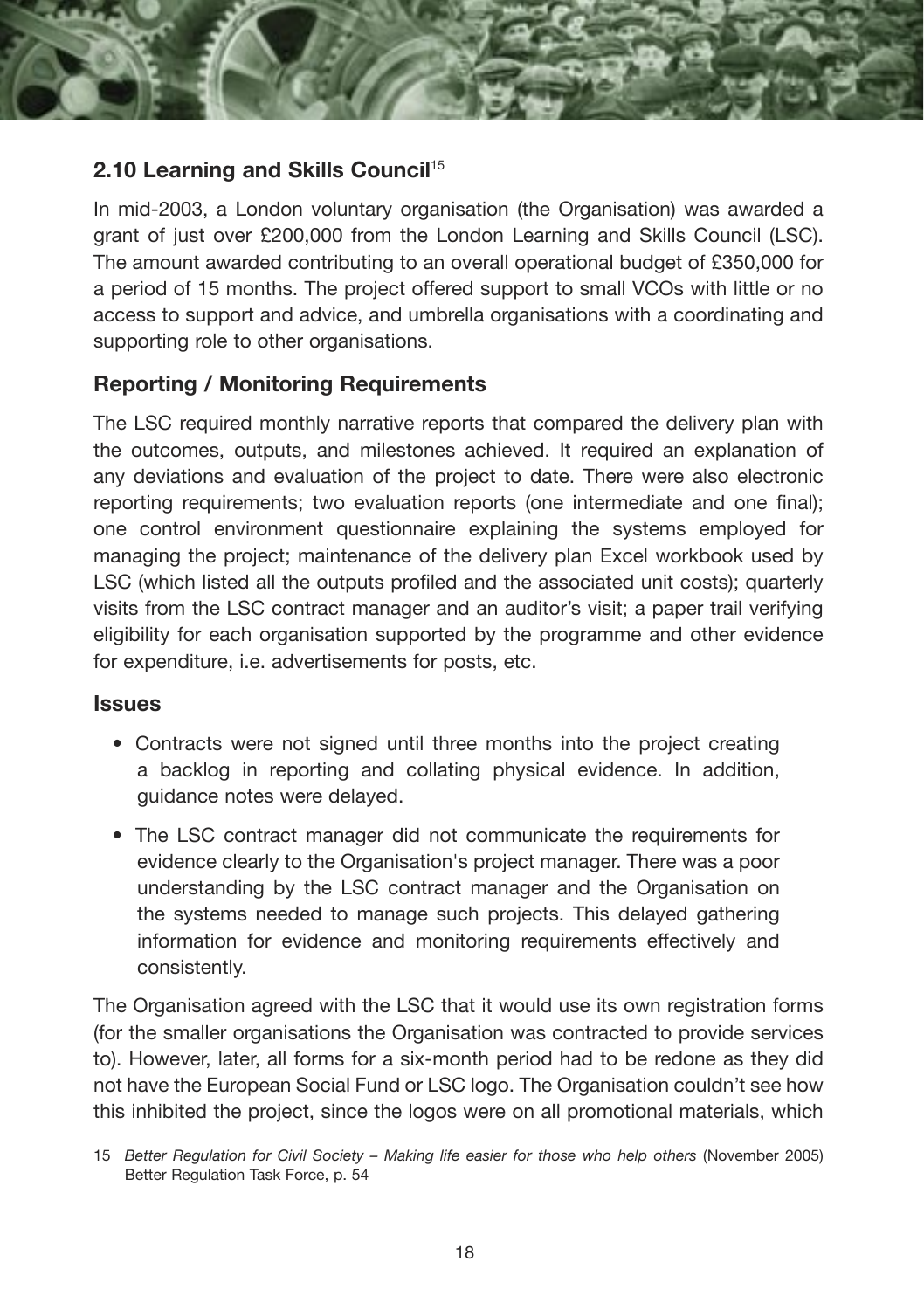

#### **2.10 Learning and Skills Council**<sup>15</sup>

In mid-2003, a London voluntary organisation (the Organisation) was awarded a grant of just over £200,000 from the London Learning and Skills Council (LSC). The amount awarded contributing to an overall operational budget of £350,000 for a period of 15 months. The project offered support to small VCOs with little or no access to support and advice, and umbrella organisations with a coordinating and supporting role to other organisations.

#### **Reporting / Monitoring Requirements**

The LSC required monthly narrative reports that compared the delivery plan with the outcomes, outputs, and milestones achieved. It required an explanation of any deviations and evaluation of the project to date. There were also electronic reporting requirements; two evaluation reports (one intermediate and one final); one control environment questionnaire explaining the systems employed for managing the project; maintenance of the delivery plan Excel workbook used by LSC (which listed all the outputs profiled and the associated unit costs); quarterly visits from the LSC contract manager and an auditor's visit; a paper trail verifying eligibility for each organisation supported by the programme and other evidence for expenditure, i.e. advertisements for posts, etc.

#### **Issues**

- Contracts were not signed until three months into the project creating a backlog in reporting and collating physical evidence. In addition, guidance notes were delayed.
- The LSC contract manager did not communicate the requirements for evidence clearly to the Organisation's project manager. There was a poor understanding by the LSC contract manager and the Organisation on the systems needed to manage such projects. This delayed gathering information for evidence and monitoring requirements effectively and consistently.

The Organisation agreed with the LSC that it would use its own registration forms (for the smaller organisations the Organisation was contracted to provide services to). However, later, all forms for a six-month period had to be redone as they did not have the European Social Fund or LSC logo. The Organisation couldn't see how this inhibited the project, since the logos were on all promotional materials, which

<sup>15</sup> *Better Regulation for Civil Society – Making life easier for those who help others* (November 2005) Better Regulation Task Force, p. 54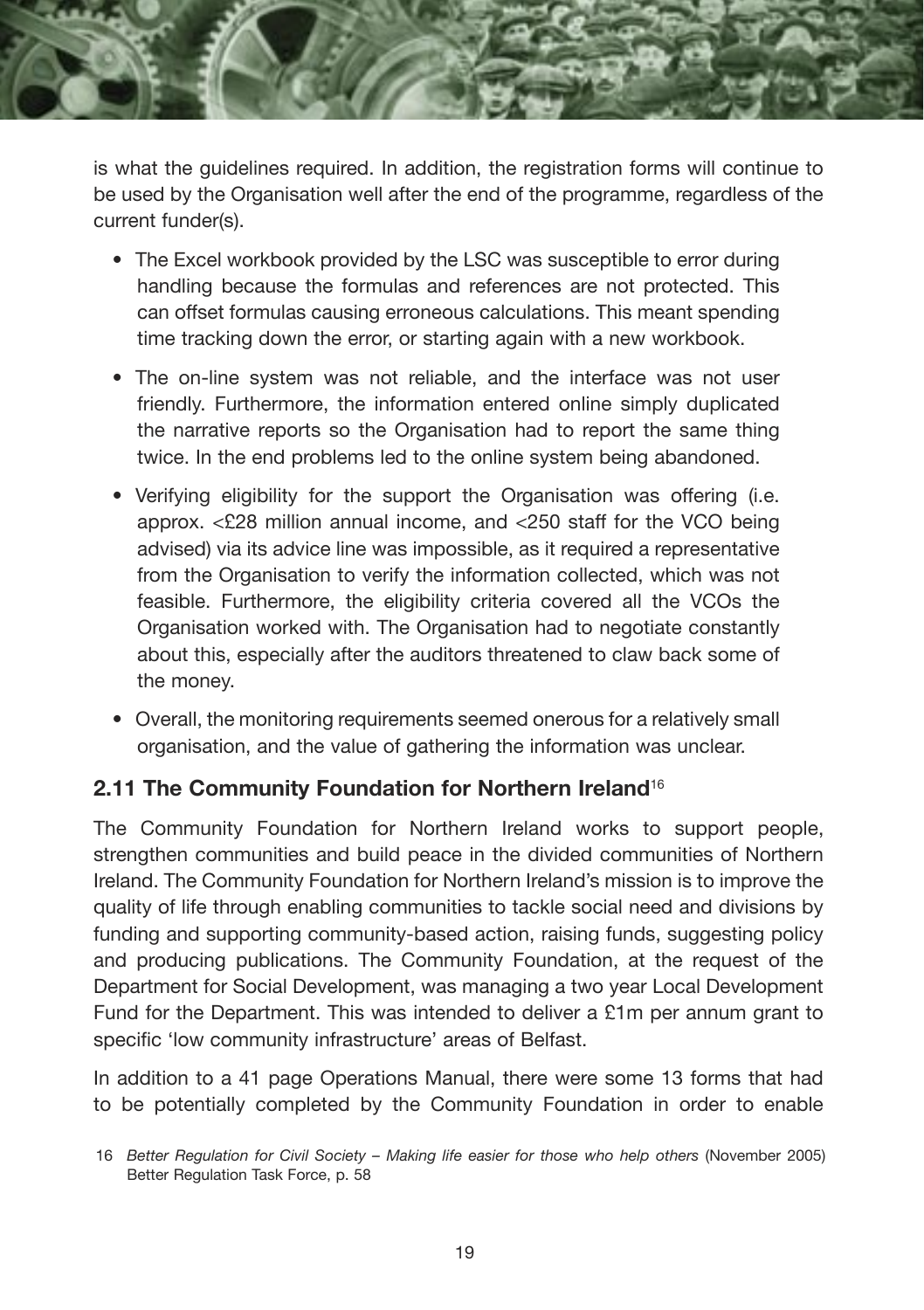

is what the guidelines required. In addition, the registration forms will continue to be used by the Organisation well after the end of the programme, regardless of the current funder(s).

- The Excel workbook provided by the LSC was susceptible to error during handling because the formulas and references are not protected. This can offset formulas causing erroneous calculations. This meant spending time tracking down the error, or starting again with a new workbook.
- The on-line system was not reliable, and the interface was not user friendly. Furthermore, the information entered online simply duplicated the narrative reports so the Organisation had to report the same thing twice. In the end problems led to the online system being abandoned.
- Verifying eligibility for the support the Organisation was offering (i.e. approx. <£28 million annual income, and <250 staff for the VCO being advised) via its advice line was impossible, as it required a representative from the Organisation to verify the information collected, which was not feasible. Furthermore, the eligibility criteria covered all the VCOs the Organisation worked with. The Organisation had to negotiate constantly about this, especially after the auditors threatened to claw back some of the money.
- Overall, the monitoring requirements seemed onerous for a relatively small organisation, and the value of gathering the information was unclear.

#### **2.11 The Community Foundation for Northern Ireland**<sup>16</sup>

The Community Foundation for Northern Ireland works to support people, strengthen communities and build peace in the divided communities of Northern Ireland. The Community Foundation for Northern Ireland's mission is to improve the quality of life through enabling communities to tackle social need and divisions by funding and supporting community-based action, raising funds, suggesting policy and producing publications. The Community Foundation, at the request of the Department for Social Development, was managing a two year Local Development Fund for the Department. This was intended to deliver a £1m per annum grant to specific 'low community infrastructure' areas of Belfast.

In addition to a 41 page Operations Manual, there were some 13 forms that had to be potentially completed by the Community Foundation in order to enable

<sup>16</sup> *Better Regulation for Civil Society – Making life easier for those who help others* (November 2005) Better Regulation Task Force, p. 58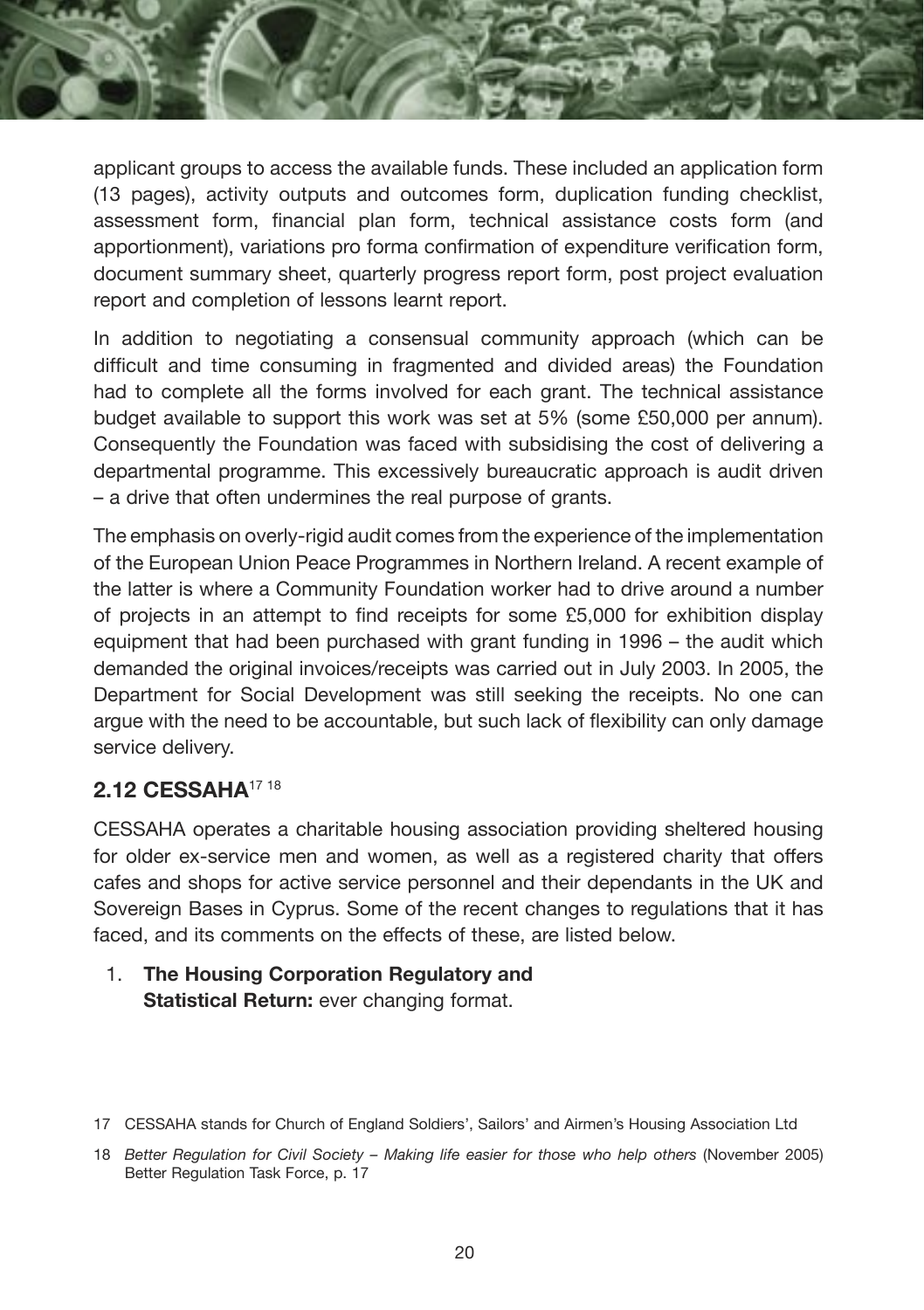applicant groups to access the available funds. These included an application form (13 pages), activity outputs and outcomes form, duplication funding checklist, assessment form, financial plan form, technical assistance costs form (and apportionment), variations pro forma confirmation of expenditure verification form, document summary sheet, quarterly progress report form, post project evaluation report and completion of lessons learnt report.

In addition to negotiating a consensual community approach (which can be difficult and time consuming in fragmented and divided areas) the Foundation had to complete all the forms involved for each grant. The technical assistance budget available to support this work was set at 5% (some £50,000 per annum). Consequently the Foundation was faced with subsidising the cost of delivering a departmental programme. This excessively bureaucratic approach is audit driven – a drive that often undermines the real purpose of grants.

The emphasis on overly-rigid audit comes from the experience of the implementation of the European Union Peace Programmes in Northern Ireland. A recent example of the latter is where a Community Foundation worker had to drive around a number of projects in an attempt to find receipts for some £5,000 for exhibition display equipment that had been purchased with grant funding in 1996 – the audit which demanded the original invoices/receipts was carried out in July 2003. In 2005, the Department for Social Development was still seeking the receipts. No one can argue with the need to be accountable, but such lack of flexibility can only damage service delivery.

#### **2.12 CESSAHA**17 18

CESSAHA operates a charitable housing association providing sheltered housing for older ex-service men and women, as well as a registered charity that offers cafes and shops for active service personnel and their dependants in the UK and Sovereign Bases in Cyprus. Some of the recent changes to regulations that it has faced, and its comments on the effects of these, are listed below.

1. **The Housing Corporation Regulatory and Statistical Return:** ever changing format.

<sup>17</sup> CESSAHA stands for Church of England Soldiers', Sailors' and Airmen's Housing Association Ltd

<sup>18</sup> *Better Regulation for Civil Society – Making life easier for those who help others* (November 2005) Better Regulation Task Force, p. 17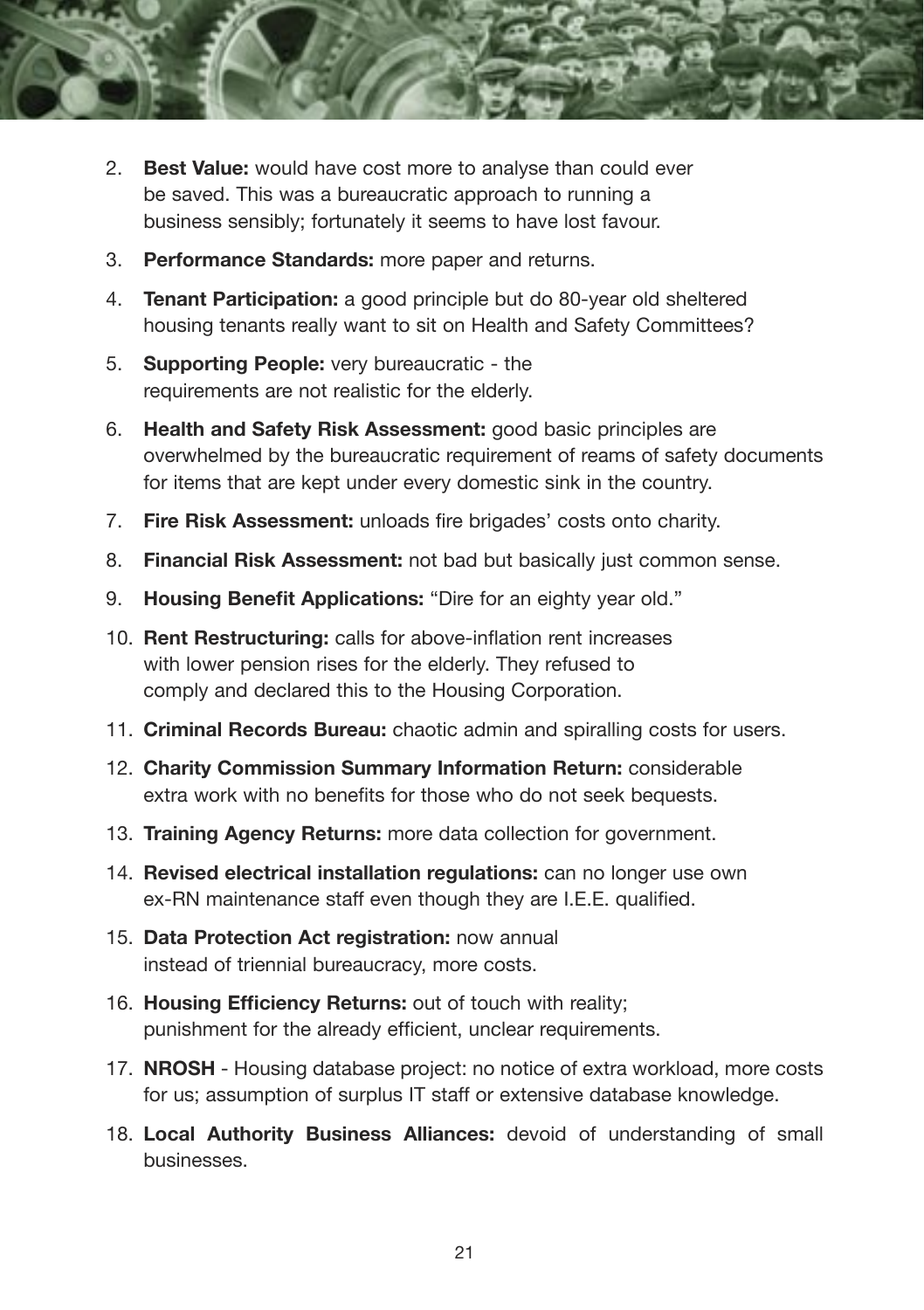

- 2. **Best Value:** would have cost more to analyse than could ever be saved. This was a bureaucratic approach to running a business sensibly; fortunately it seems to have lost favour.
- 3. **Performance Standards:** more paper and returns.
- 4. **Tenant Participation:** a good principle but do 80-year old sheltered housing tenants really want to sit on Health and Safety Committees?
- 5. **Supporting People:** very bureaucratic the requirements are not realistic for the elderly.
- 6. **Health and Safety Risk Assessment:** good basic principles are overwhelmed by the bureaucratic requirement of reams of safety documents for items that are kept under every domestic sink in the country.
- 7. **Fire Risk Assessment:** unloads fire brigades' costs onto charity.
- 8. **Financial Risk Assessment:** not bad but basically just common sense.
- 9. **Housing Benefit Applications:** "Dire for an eighty year old."
- 10. **Rent Restructuring:** calls for above-inflation rent increases with lower pension rises for the elderly. They refused to comply and declared this to the Housing Corporation.
- 11. **Criminal Records Bureau:** chaotic admin and spiralling costs for users.
- 12. **Charity Commission Summary Information Return:** considerable extra work with no benefits for those who do not seek bequests.
- 13. **Training Agency Returns:** more data collection for government.
- 14. **Revised electrical installation regulations:** can no longer use own ex-RN maintenance staff even though they are I.E.E. qualified.
- 15. **Data Protection Act registration:** now annual instead of triennial bureaucracy, more costs.
- 16. **Housing Efficiency Returns:** out of touch with reality; punishment for the already efficient, unclear requirements.
- 17. **NROSH** Housing database project: no notice of extra workload, more costs for us; assumption of surplus IT staff or extensive database knowledge.
- 18. **Local Authority Business Alliances:** devoid of understanding of small businesses.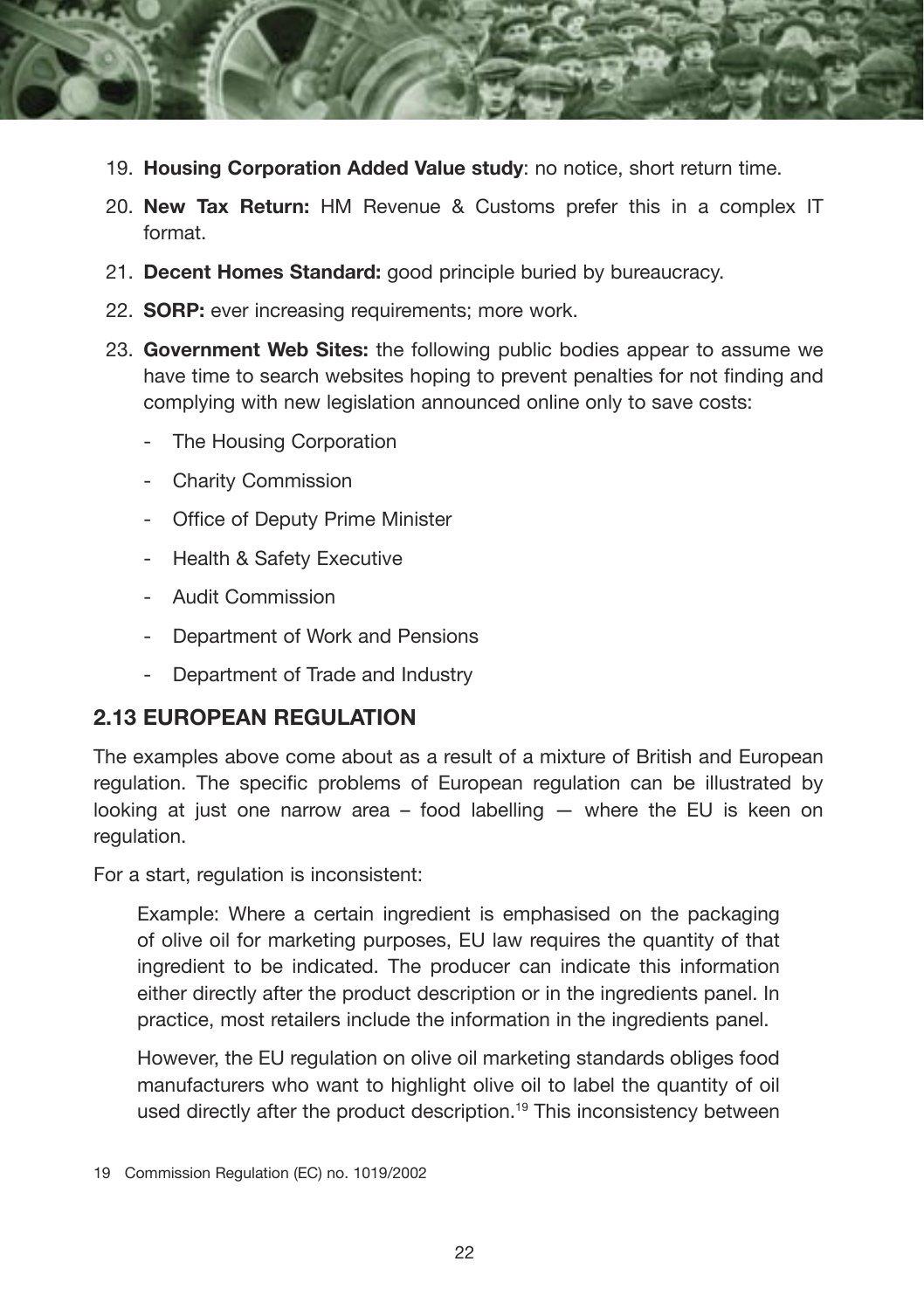

- 19. **Housing Corporation Added Value study**: no notice, short return time.
- 20. **New Tax Return:** HM Revenue & Customs prefer this in a complex IT format.
- 21. **Decent Homes Standard:** good principle buried by bureaucracy.
- 22. **SORP:** ever increasing requirements; more work.
- 23. **Government Web Sites:** the following public bodies appear to assume we have time to search websites hoping to prevent penalties for not finding and complying with new legislation announced online only to save costs:
	- The Housing Corporation
	- Charity Commission
	- Office of Deputy Prime Minister
	- Health & Safety Executive
	- Audit Commission
	- Department of Work and Pensions
	- Department of Trade and Industry

#### **2.13 EUROPEAN REGULATION**

The examples above come about as a result of a mixture of British and European regulation. The specific problems of European regulation can be illustrated by looking at just one narrow area – food labelling — where the EU is keen on regulation.

For a start, regulation is inconsistent:

Example: Where a certain ingredient is emphasised on the packaging of olive oil for marketing purposes, EU law requires the quantity of that ingredient to be indicated. The producer can indicate this information either directly after the product description or in the ingredients panel. In practice, most retailers include the information in the ingredients panel.

However, the EU regulation on olive oil marketing standards obliges food manufacturers who want to highlight olive oil to label the quantity of oil used directly after the product description.<sup>19</sup> This inconsistency between

<sup>19</sup> Commission Regulation (EC) no. 1019/2002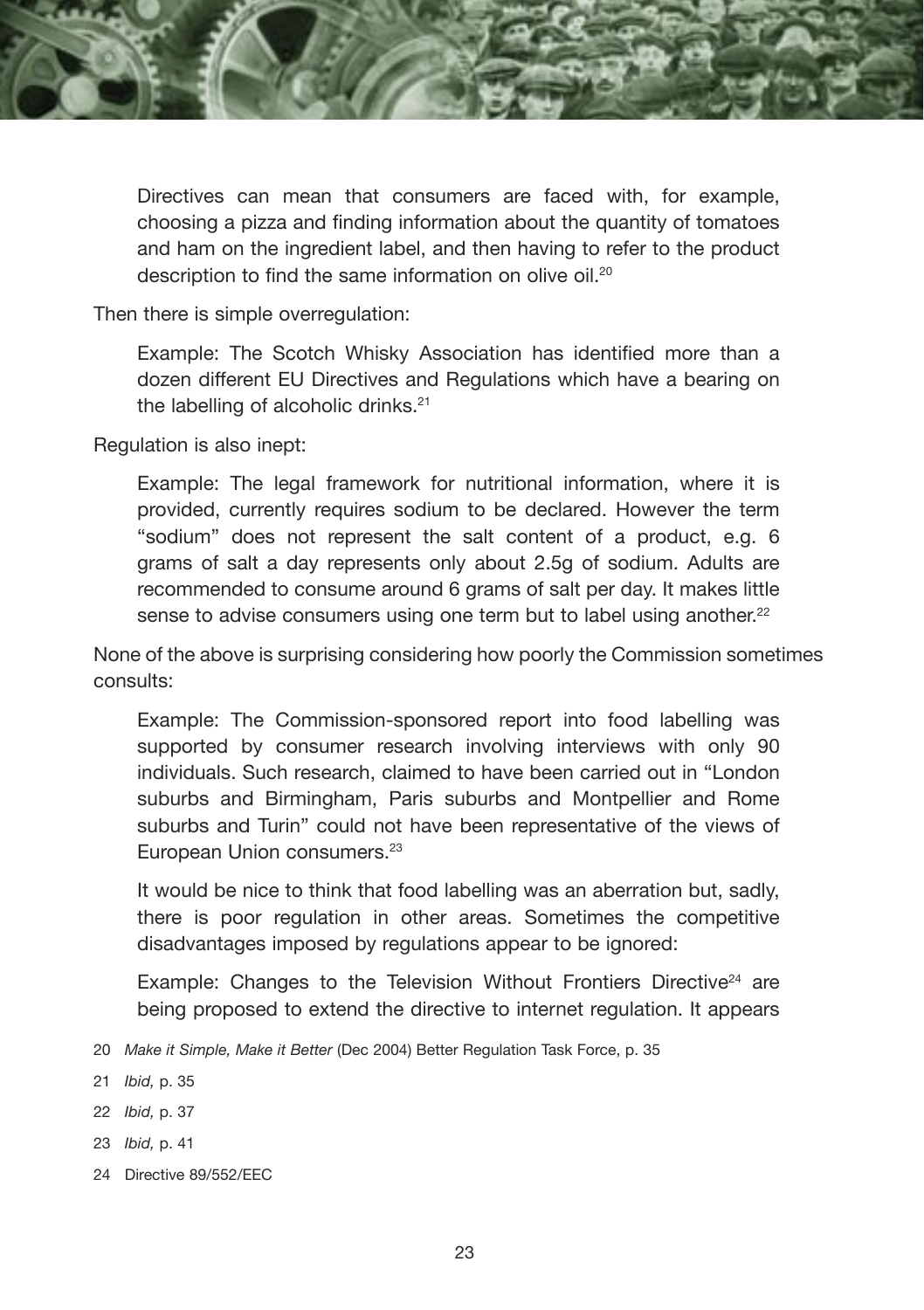

Directives can mean that consumers are faced with, for example, choosing a pizza and finding information about the quantity of tomatoes and ham on the ingredient label, and then having to refer to the product description to find the same information on olive oil.<sup>20</sup>

Then there is simple overregulation:

Example: The Scotch Whisky Association has identified more than a dozen different EU Directives and Regulations which have a bearing on the labelling of alcoholic drinks.<sup>21</sup>

Regulation is also inept:

Example: The legal framework for nutritional information, where it is provided, currently requires sodium to be declared. However the term "sodium" does not represent the salt content of a product, e.g. 6 grams of salt a day represents only about 2.5g of sodium. Adults are recommended to consume around 6 grams of salt per day. It makes little sense to advise consumers using one term but to label using another.<sup>22</sup>

None of the above is surprising considering how poorly the Commission sometimes consults:

Example: The Commission-sponsored report into food labelling was supported by consumer research involving interviews with only 90 individuals. Such research, claimed to have been carried out in "London suburbs and Birmingham, Paris suburbs and Montpellier and Rome suburbs and Turin" could not have been representative of the views of European Union consumers.23

It would be nice to think that food labelling was an aberration but, sadly, there is poor regulation in other areas. Sometimes the competitive disadvantages imposed by regulations appear to be ignored:

Example: Changes to the Television Without Frontiers Directive $24$  are being proposed to extend the directive to internet regulation. It appears

- 20 *Make it Simple, Make it Better* (Dec 2004) Better Regulation Task Force, p. 35
- 21 *Ibid,* p. 35
- 22 *Ibid,* p. 37
- 23 *Ibid,* p. 41
- 24 Directive 89/552/EEC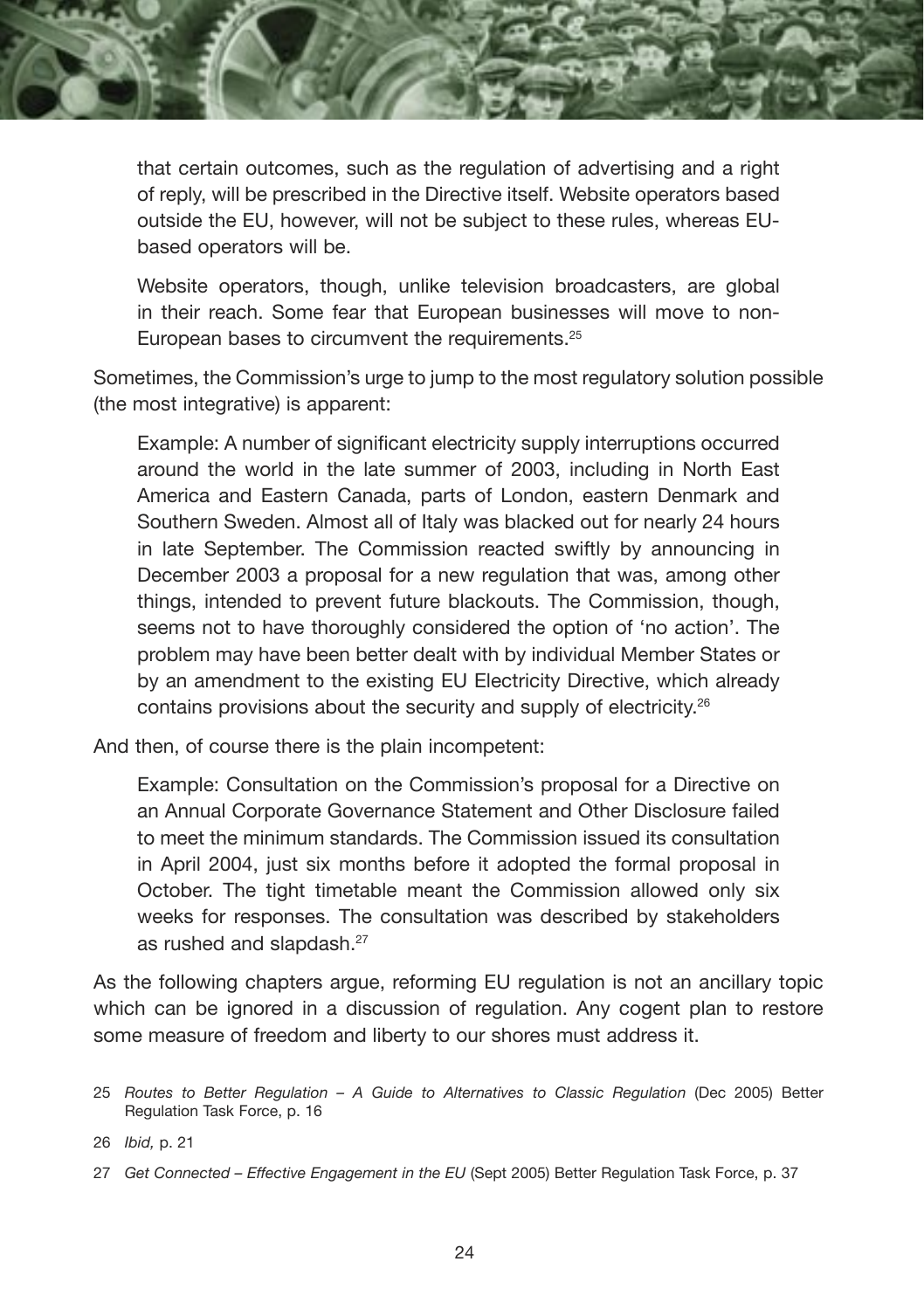

that certain outcomes, such as the regulation of advertising and a right of reply, will be prescribed in the Directive itself. Website operators based outside the EU, however, will not be subject to these rules, whereas EUbased operators will be.

Website operators, though, unlike television broadcasters, are global in their reach. Some fear that European businesses will move to non-European bases to circumvent the requirements.25

Sometimes, the Commission's urge to jump to the most regulatory solution possible (the most integrative) is apparent:

Example: A number of significant electricity supply interruptions occurred around the world in the late summer of 2003, including in North East America and Eastern Canada, parts of London, eastern Denmark and Southern Sweden. Almost all of Italy was blacked out for nearly 24 hours in late September. The Commission reacted swiftly by announcing in December 2003 a proposal for a new regulation that was, among other things, intended to prevent future blackouts. The Commission, though, seems not to have thoroughly considered the option of 'no action'. The problem may have been better dealt with by individual Member States or by an amendment to the existing EU Electricity Directive, which already contains provisions about the security and supply of electricity.26

And then, of course there is the plain incompetent:

Example: Consultation on the Commission's proposal for a Directive on an Annual Corporate Governance Statement and Other Disclosure failed to meet the minimum standards. The Commission issued its consultation in April 2004, just six months before it adopted the formal proposal in October. The tight timetable meant the Commission allowed only six weeks for responses. The consultation was described by stakeholders as rushed and slapdash.<sup>27</sup>

As the following chapters argue, reforming EU regulation is not an ancillary topic which can be ignored in a discussion of regulation. Any cogent plan to restore some measure of freedom and liberty to our shores must address it.

26 *Ibid,* p. 21

<sup>25</sup> *Routes to Better Regulation – A Guide to Alternatives to Classic Regulation* (Dec 2005) Better Regulation Task Force, p. 16

<sup>27</sup> *Get Connected – Effective Engagement in the EU* (Sept 2005) Better Regulation Task Force, p. 37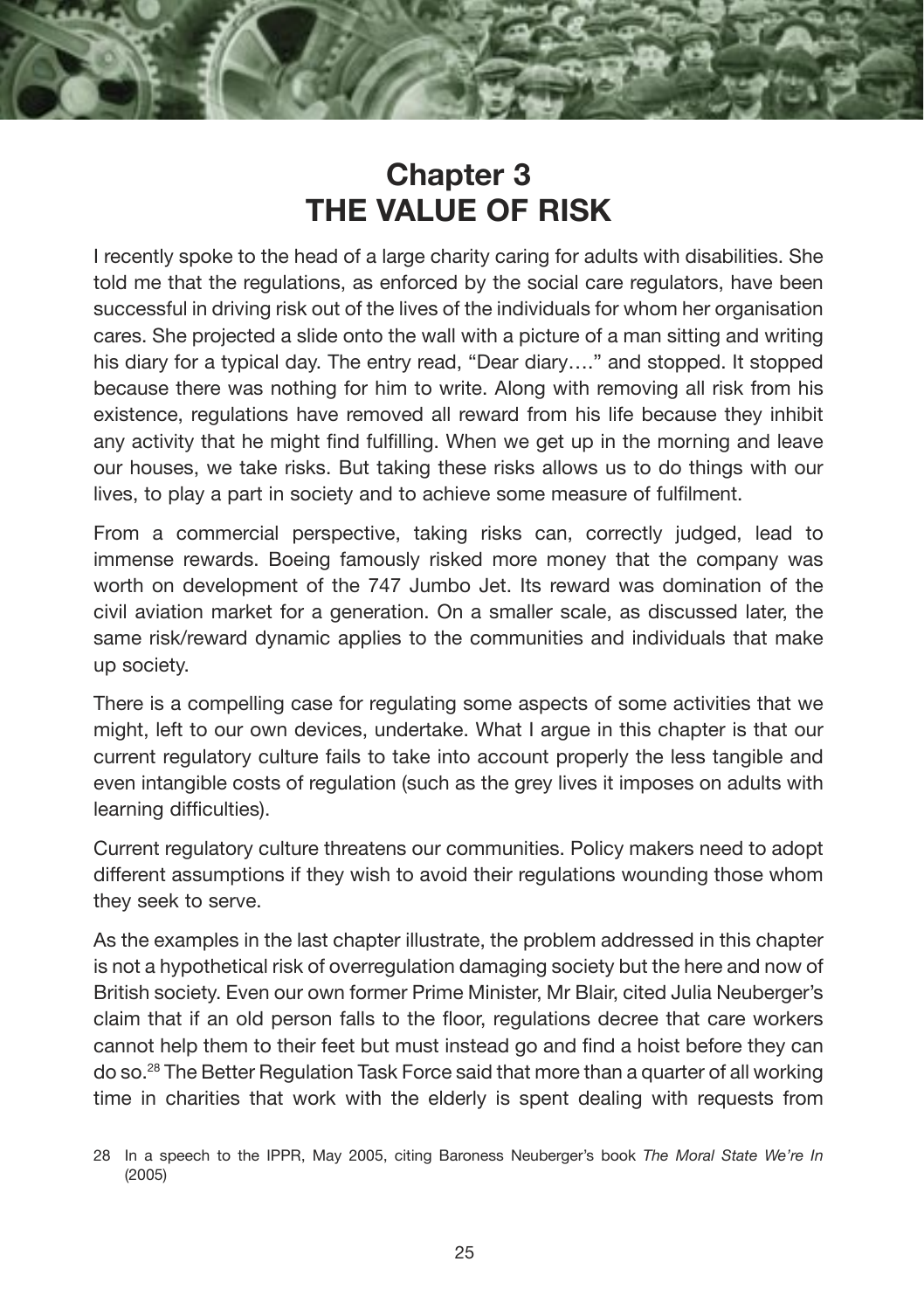## **Chapter 3 THE VALUE OF RISK**

I recently spoke to the head of a large charity caring for adults with disabilities. She told me that the regulations, as enforced by the social care regulators, have been successful in driving risk out of the lives of the individuals for whom her organisation cares. She projected a slide onto the wall with a picture of a man sitting and writing his diary for a typical day. The entry read, "Dear diary…." and stopped. It stopped because there was nothing for him to write. Along with removing all risk from his existence, regulations have removed all reward from his life because they inhibit any activity that he might find fulfilling. When we get up in the morning and leave our houses, we take risks. But taking these risks allows us to do things with our lives, to play a part in society and to achieve some measure of fulfilment.

From a commercial perspective, taking risks can, correctly judged, lead to immense rewards. Boeing famously risked more money that the company was worth on development of the 747 Jumbo Jet. Its reward was domination of the civil aviation market for a generation. On a smaller scale, as discussed later, the same risk/reward dynamic applies to the communities and individuals that make up society.

There is a compelling case for regulating some aspects of some activities that we might, left to our own devices, undertake. What I argue in this chapter is that our current regulatory culture fails to take into account properly the less tangible and even intangible costs of regulation (such as the grey lives it imposes on adults with learning difficulties).

Current regulatory culture threatens our communities. Policy makers need to adopt different assumptions if they wish to avoid their regulations wounding those whom they seek to serve.

As the examples in the last chapter illustrate, the problem addressed in this chapter is not a hypothetical risk of overregulation damaging society but the here and now of British society. Even our own former Prime Minister, Mr Blair, cited Julia Neuberger's claim that if an old person falls to the floor, regulations decree that care workers cannot help them to their feet but must instead go and find a hoist before they can do so.28 The Better Regulation Task Force said that more than a quarter of all working time in charities that work with the elderly is spent dealing with requests from

<sup>28</sup> In a speech to the IPPR, May 2005, citing Baroness Neuberger's book *The Moral State We're In*  (2005)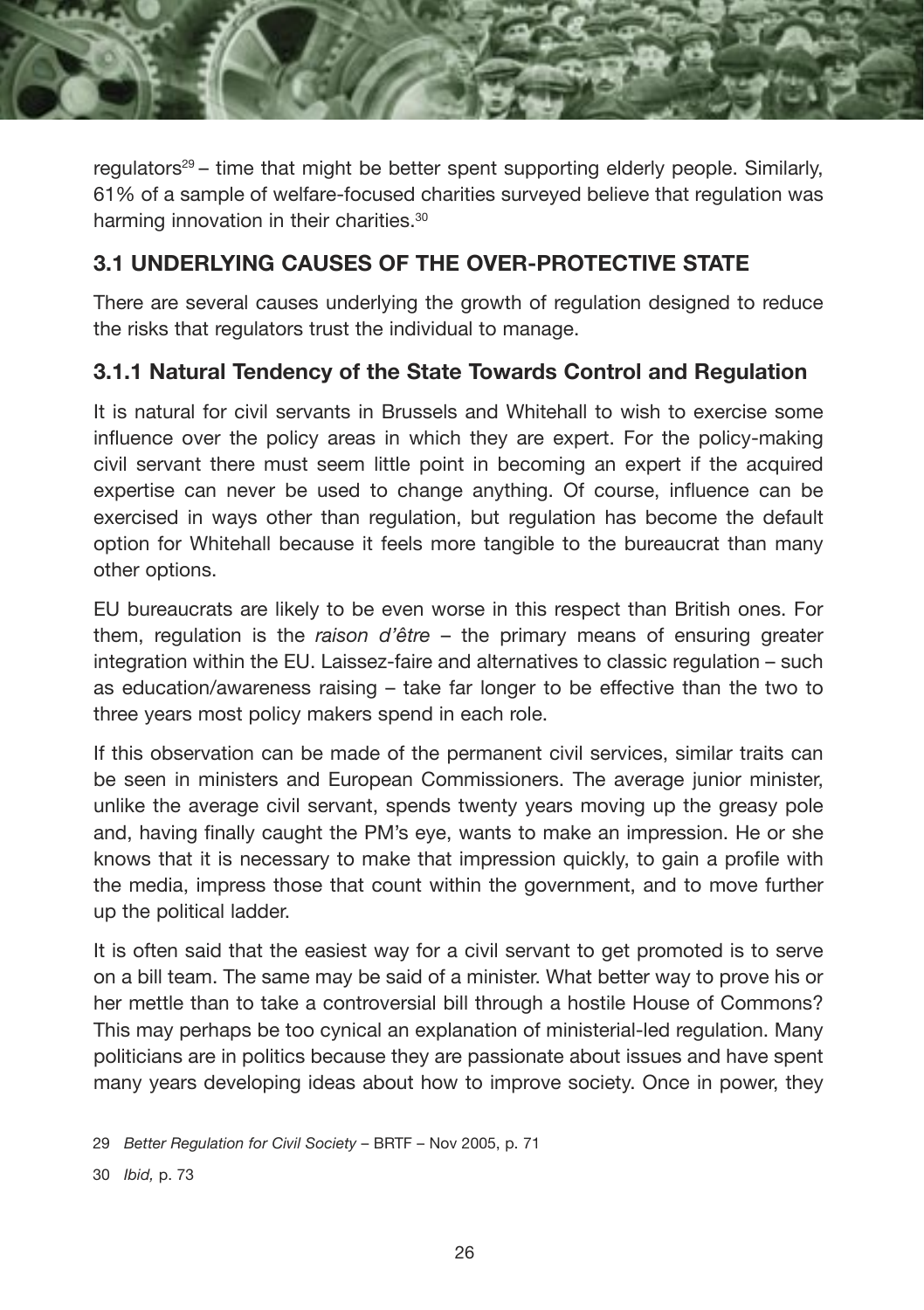

regulators<sup>29</sup> – time that might be better spent supporting elderly people. Similarly, 61% of a sample of welfare-focused charities surveyed believe that regulation was harming innovation in their charities.<sup>30</sup>

#### **3.1 UNDERLYING CAUSES OF THE OVER-PROTECTIVE STATE**

There are several causes underlying the growth of regulation designed to reduce the risks that regulators trust the individual to manage.

#### **3.1.1 Natural Tendency of the State Towards Control and Regulation**

It is natural for civil servants in Brussels and Whitehall to wish to exercise some influence over the policy areas in which they are expert. For the policy-making civil servant there must seem little point in becoming an expert if the acquired expertise can never be used to change anything. Of course, influence can be exercised in ways other than regulation, but regulation has become the default option for Whitehall because it feels more tangible to the bureaucrat than many other options.

EU bureaucrats are likely to be even worse in this respect than British ones. For them, regulation is the *raison d'être* – the primary means of ensuring greater integration within the EU. Laissez-faire and alternatives to classic regulation – such as education/awareness raising – take far longer to be effective than the two to three years most policy makers spend in each role.

If this observation can be made of the permanent civil services, similar traits can be seen in ministers and European Commissioners. The average junior minister, unlike the average civil servant, spends twenty years moving up the greasy pole and, having finally caught the PM's eye, wants to make an impression. He or she knows that it is necessary to make that impression quickly, to gain a profile with the media, impress those that count within the government, and to move further up the political ladder.

It is often said that the easiest way for a civil servant to get promoted is to serve on a bill team. The same may be said of a minister. What better way to prove his or her mettle than to take a controversial bill through a hostile House of Commons? This may perhaps be too cynical an explanation of ministerial-led regulation. Many politicians are in politics because they are passionate about issues and have spent many years developing ideas about how to improve society. Once in power, they

<sup>29</sup> *Better Regulation for Civil Society* – BRTF – Nov 2005, p. 71

<sup>30</sup> *Ibid,* p. 73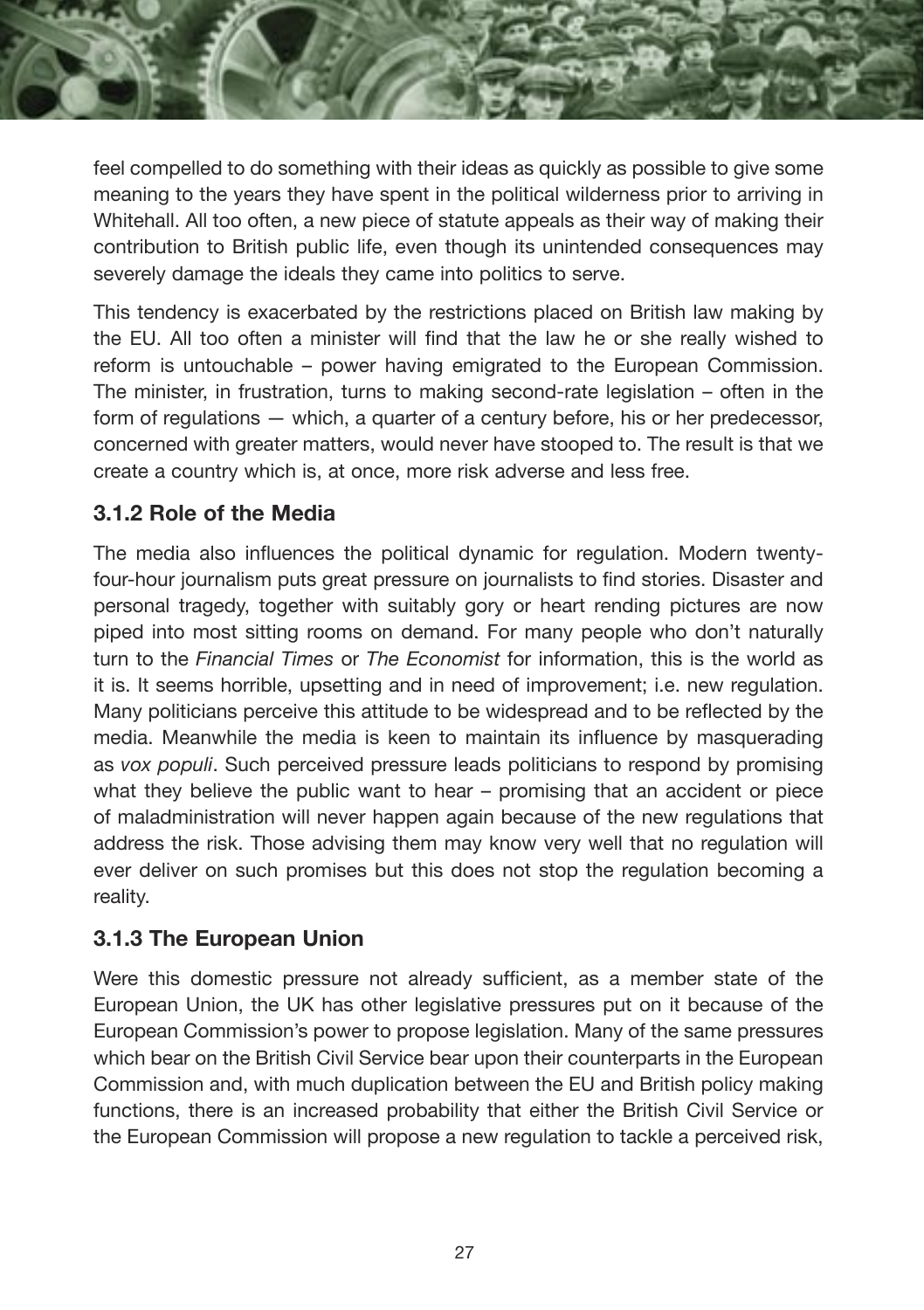

feel compelled to do something with their ideas as quickly as possible to give some meaning to the years they have spent in the political wilderness prior to arriving in Whitehall. All too often, a new piece of statute appeals as their way of making their contribution to British public life, even though its unintended consequences may severely damage the ideals they came into politics to serve.

This tendency is exacerbated by the restrictions placed on British law making by the EU. All too often a minister will find that the law he or she really wished to reform is untouchable – power having emigrated to the European Commission. The minister, in frustration, turns to making second-rate legislation – often in the form of regulations — which, a quarter of a century before, his or her predecessor, concerned with greater matters, would never have stooped to. The result is that we create a country which is, at once, more risk adverse and less free.

#### **3.1.2 Role of the Media**

The media also influences the political dynamic for regulation. Modern twentyfour-hour journalism puts great pressure on journalists to find stories. Disaster and personal tragedy, together with suitably gory or heart rending pictures are now piped into most sitting rooms on demand. For many people who don't naturally turn to the *Financial Times* or *The Economist* for information, this is the world as it is. It seems horrible, upsetting and in need of improvement; i.e. new regulation. Many politicians perceive this attitude to be widespread and to be reflected by the media. Meanwhile the media is keen to maintain its influence by masquerading as *vox populi*. Such perceived pressure leads politicians to respond by promising what they believe the public want to hear – promising that an accident or piece of maladministration will never happen again because of the new regulations that address the risk. Those advising them may know very well that no regulation will ever deliver on such promises but this does not stop the regulation becoming a reality.

#### **3.1.3 The European Union**

Were this domestic pressure not already sufficient, as a member state of the European Union, the UK has other legislative pressures put on it because of the European Commission's power to propose legislation. Many of the same pressures which bear on the British Civil Service bear upon their counterparts in the European Commission and, with much duplication between the EU and British policy making functions, there is an increased probability that either the British Civil Service or the European Commission will propose a new regulation to tackle a perceived risk,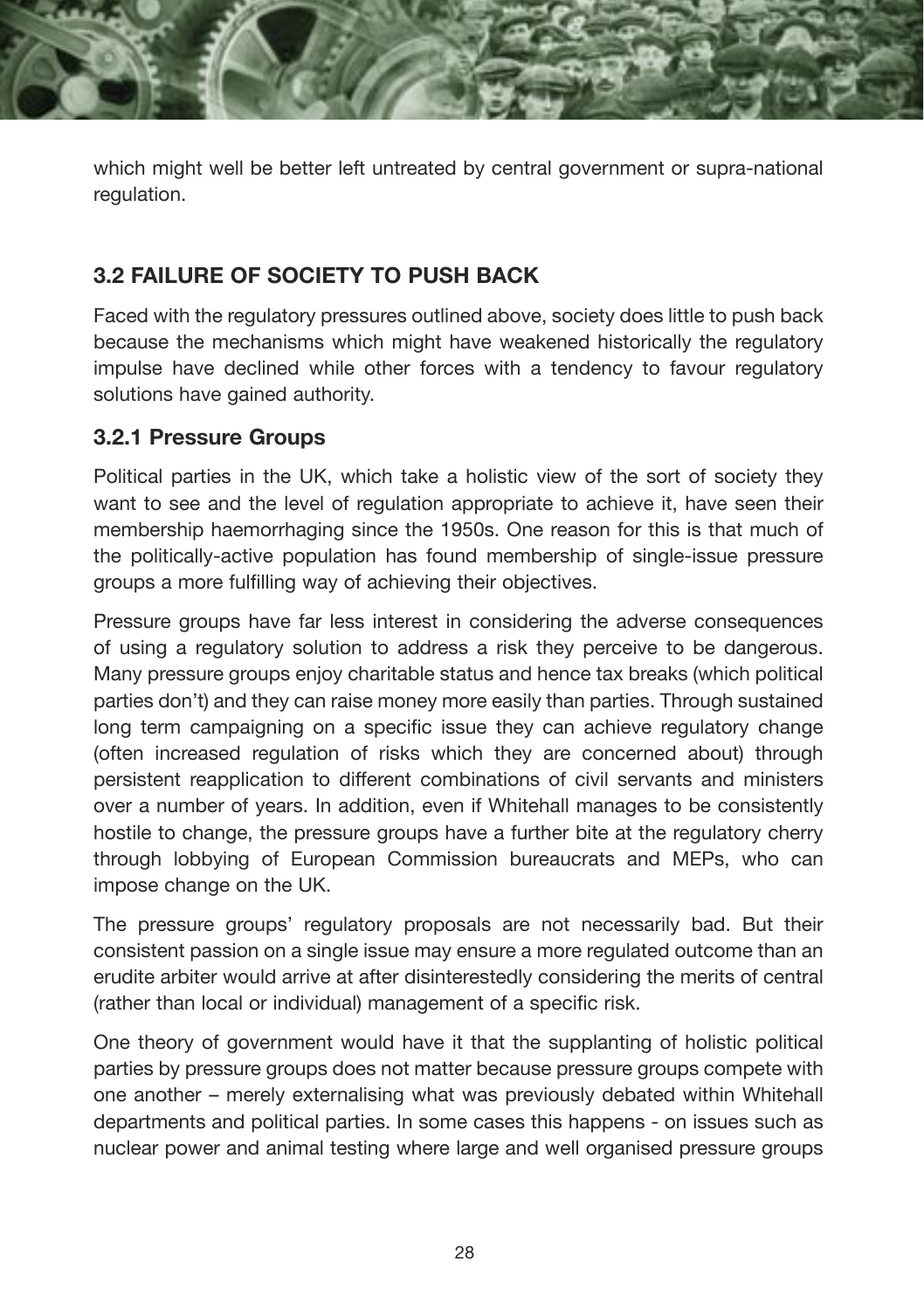which might well be better left untreated by central government or supra-national regulation.

#### **3.2 FAILURE OF SOCIETY TO PUSH BACK**

Faced with the regulatory pressures outlined above, society does little to push back because the mechanisms which might have weakened historically the regulatory impulse have declined while other forces with a tendency to favour regulatory solutions have gained authority.

#### **3.2.1 Pressure Groups**

Political parties in the UK, which take a holistic view of the sort of society they want to see and the level of regulation appropriate to achieve it, have seen their membership haemorrhaging since the 1950s. One reason for this is that much of the politically-active population has found membership of single-issue pressure groups a more fulfilling way of achieving their objectives.

Pressure groups have far less interest in considering the adverse consequences of using a regulatory solution to address a risk they perceive to be dangerous. Many pressure groups enjoy charitable status and hence tax breaks (which political parties don't) and they can raise money more easily than parties. Through sustained long term campaigning on a specific issue they can achieve regulatory change (often increased regulation of risks which they are concerned about) through persistent reapplication to different combinations of civil servants and ministers over a number of years. In addition, even if Whitehall manages to be consistently hostile to change, the pressure groups have a further bite at the regulatory cherry through lobbying of European Commission bureaucrats and MEPs, who can impose change on the UK.

The pressure groups' regulatory proposals are not necessarily bad. But their consistent passion on a single issue may ensure a more regulated outcome than an erudite arbiter would arrive at after disinterestedly considering the merits of central (rather than local or individual) management of a specific risk.

One theory of government would have it that the supplanting of holistic political parties by pressure groups does not matter because pressure groups compete with one another – merely externalising what was previously debated within Whitehall departments and political parties. In some cases this happens - on issues such as nuclear power and animal testing where large and well organised pressure groups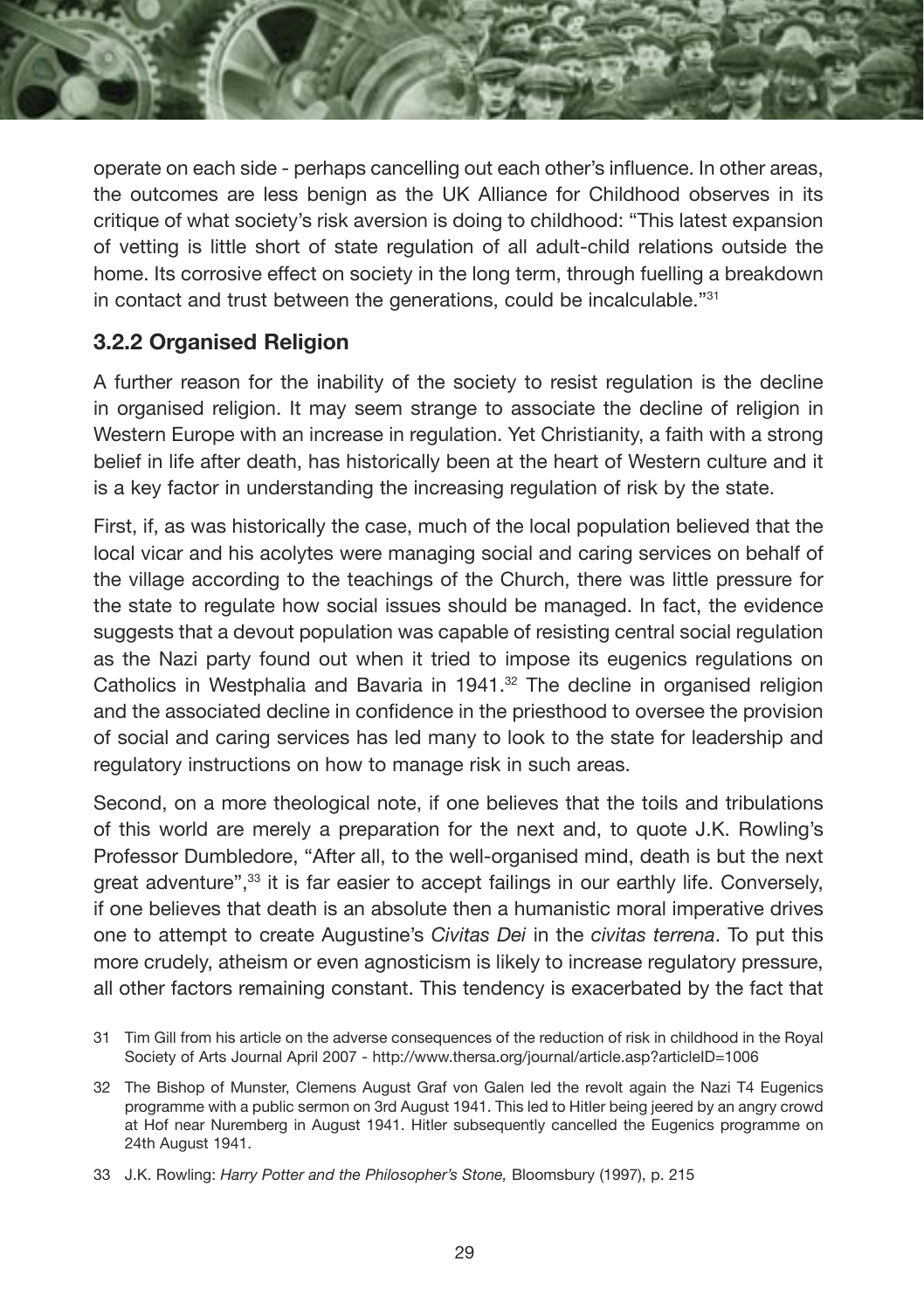operate on each side - perhaps cancelling out each other's influence. In other areas, the outcomes are less benign as the UK Alliance for Childhood observes in its critique of what society's risk aversion is doing to childhood: "This latest expansion of vetting is little short of state regulation of all adult-child relations outside the home. Its corrosive effect on society in the long term, through fuelling a breakdown in contact and trust between the generations, could be incalculable."31

#### **3.2.2 Organised Religion**

A further reason for the inability of the society to resist regulation is the decline in organised religion. It may seem strange to associate the decline of religion in Western Europe with an increase in regulation. Yet Christianity, a faith with a strong belief in life after death, has historically been at the heart of Western culture and it is a key factor in understanding the increasing regulation of risk by the state.

First, if, as was historically the case, much of the local population believed that the local vicar and his acolytes were managing social and caring services on behalf of the village according to the teachings of the Church, there was little pressure for the state to regulate how social issues should be managed. In fact, the evidence suggests that a devout population was capable of resisting central social regulation as the Nazi party found out when it tried to impose its eugenics regulations on Catholics in Westphalia and Bavaria in 1941. $32$  The decline in organised religion and the associated decline in confidence in the priesthood to oversee the provision of social and caring services has led many to look to the state for leadership and regulatory instructions on how to manage risk in such areas.

Second, on a more theological note, if one believes that the toils and tribulations of this world are merely a preparation for the next and, to quote J.K. Rowling's Professor Dumbledore, "After all, to the well-organised mind, death is but the next great adventure",33 it is far easier to accept failings in our earthly life. Conversely, if one believes that death is an absolute then a humanistic moral imperative drives one to attempt to create Augustine's *Civitas Dei* in the *civitas terrena*. To put this more crudely, atheism or even agnosticism is likely to increase regulatory pressure, all other factors remaining constant. This tendency is exacerbated by the fact that

<sup>31</sup> Tim Gill from his article on the adverse consequences of the reduction of risk in childhood in the Royal Society of Arts Journal April 2007 - http://www.thersa.org/journal/article.asp?articleID=1006

<sup>32</sup> The Bishop of Munster, Clemens August Graf von Galen led the revolt again the Nazi T4 Eugenics programme with a public sermon on 3rd August 1941. This led to Hitler being jeered by an angry crowd at Hof near Nuremberg in August 1941. Hitler subsequently cancelled the Eugenics programme on 24th August 1941.

<sup>33</sup> J.K. Rowling: *Harry Potter and the Philosopher's Stone,* Bloomsbury (1997), p. 215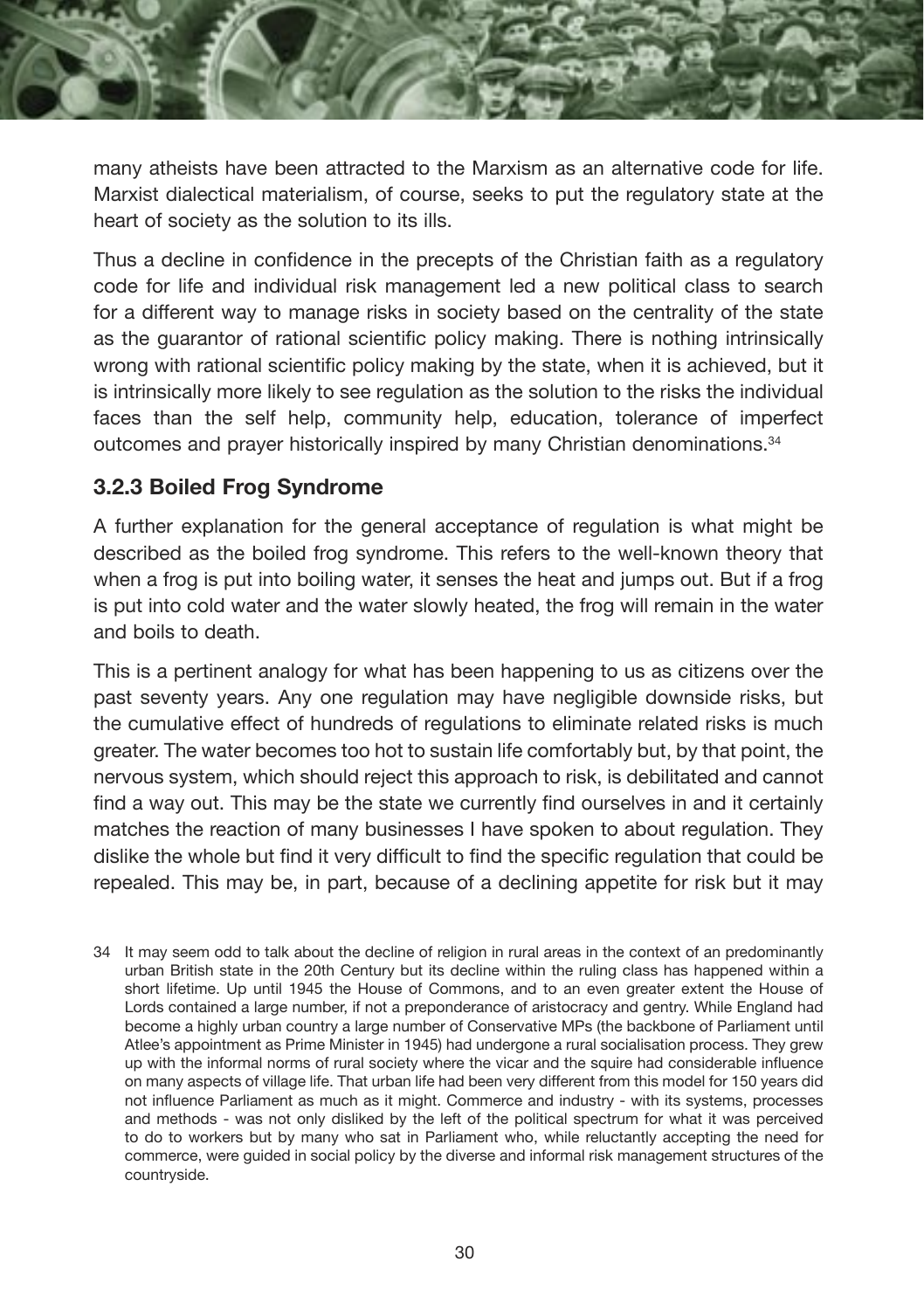

many atheists have been attracted to the Marxism as an alternative code for life. Marxist dialectical materialism, of course, seeks to put the regulatory state at the heart of society as the solution to its ills.

Thus a decline in confidence in the precepts of the Christian faith as a regulatory code for life and individual risk management led a new political class to search for a different way to manage risks in society based on the centrality of the state as the guarantor of rational scientific policy making. There is nothing intrinsically wrong with rational scientific policy making by the state, when it is achieved, but it is intrinsically more likely to see regulation as the solution to the risks the individual faces than the self help, community help, education, tolerance of imperfect outcomes and prayer historically inspired by many Christian denominations.<sup>34</sup>

#### **3.2.3 Boiled Frog Syndrome**

A further explanation for the general acceptance of regulation is what might be described as the boiled frog syndrome. This refers to the well-known theory that when a frog is put into boiling water, it senses the heat and jumps out. But if a frog is put into cold water and the water slowly heated, the frog will remain in the water and boils to death.

This is a pertinent analogy for what has been happening to us as citizens over the past seventy years. Any one regulation may have negligible downside risks, but the cumulative effect of hundreds of regulations to eliminate related risks is much greater. The water becomes too hot to sustain life comfortably but, by that point, the nervous system, which should reject this approach to risk, is debilitated and cannot find a way out. This may be the state we currently find ourselves in and it certainly matches the reaction of many businesses I have spoken to about regulation. They dislike the whole but find it very difficult to find the specific regulation that could be repealed. This may be, in part, because of a declining appetite for risk but it may

34 It may seem odd to talk about the decline of religion in rural areas in the context of an predominantly urban British state in the 20th Century but its decline within the ruling class has happened within a short lifetime. Up until 1945 the House of Commons, and to an even greater extent the House of Lords contained a large number, if not a preponderance of aristocracy and gentry. While England had become a highly urban country a large number of Conservative MPs (the backbone of Parliament until Atlee's appointment as Prime Minister in 1945) had undergone a rural socialisation process. They grew up with the informal norms of rural society where the vicar and the squire had considerable influence on many aspects of village life. That urban life had been very different from this model for 150 years did not influence Parliament as much as it might. Commerce and industry - with its systems, processes and methods - was not only disliked by the left of the political spectrum for what it was perceived to do to workers but by many who sat in Parliament who, while reluctantly accepting the need for commerce, were guided in social policy by the diverse and informal risk management structures of the countryside.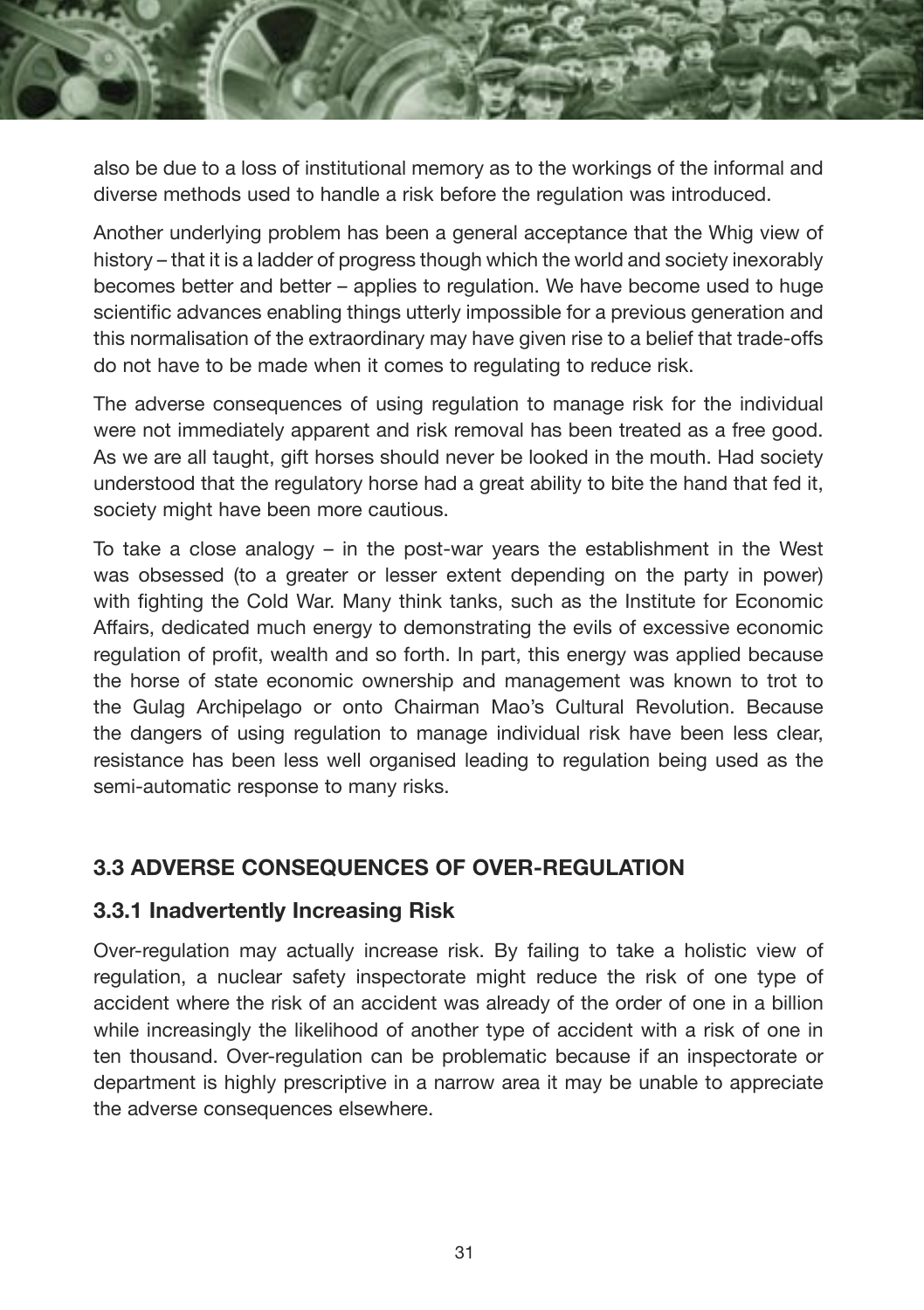

also be due to a loss of institutional memory as to the workings of the informal and diverse methods used to handle a risk before the regulation was introduced.

Another underlying problem has been a general acceptance that the Whig view of history – that it is a ladder of progress though which the world and society inexorably becomes better and better – applies to regulation. We have become used to huge scientific advances enabling things utterly impossible for a previous generation and this normalisation of the extraordinary may have given rise to a belief that trade-offs do not have to be made when it comes to regulating to reduce risk.

The adverse consequences of using regulation to manage risk for the individual were not immediately apparent and risk removal has been treated as a free good. As we are all taught, gift horses should never be looked in the mouth. Had society understood that the regulatory horse had a great ability to bite the hand that fed it, society might have been more cautious.

To take a close analogy – in the post-war years the establishment in the West was obsessed (to a greater or lesser extent depending on the party in power) with fighting the Cold War. Many think tanks, such as the Institute for Economic Affairs, dedicated much energy to demonstrating the evils of excessive economic regulation of profit, wealth and so forth. In part, this energy was applied because the horse of state economic ownership and management was known to trot to the Gulag Archipelago or onto Chairman Mao's Cultural Revolution. Because the dangers of using regulation to manage individual risk have been less clear, resistance has been less well organised leading to regulation being used as the semi-automatic response to many risks.

#### **3.3 ADVERSE CONSEQUENCES OF OVER-REGULATION**

#### **3.3.1 Inadvertently Increasing Risk**

Over-regulation may actually increase risk. By failing to take a holistic view of regulation, a nuclear safety inspectorate might reduce the risk of one type of accident where the risk of an accident was already of the order of one in a billion while increasingly the likelihood of another type of accident with a risk of one in ten thousand. Over-regulation can be problematic because if an inspectorate or department is highly prescriptive in a narrow area it may be unable to appreciate the adverse consequences elsewhere.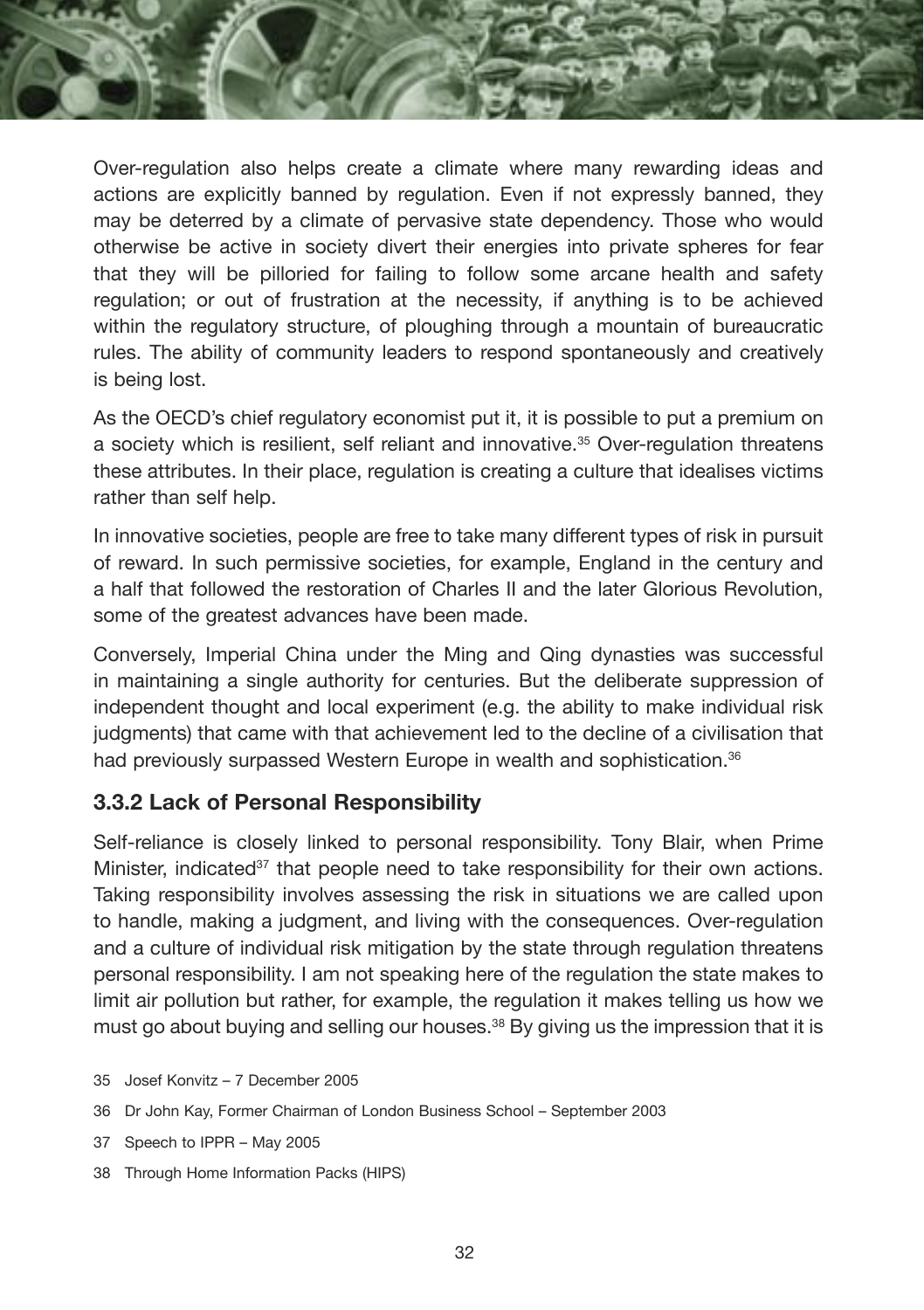Over-regulation also helps create a climate where many rewarding ideas and actions are explicitly banned by regulation. Even if not expressly banned, they may be deterred by a climate of pervasive state dependency. Those who would otherwise be active in society divert their energies into private spheres for fear that they will be pilloried for failing to follow some arcane health and safety regulation; or out of frustration at the necessity, if anything is to be achieved within the regulatory structure, of ploughing through a mountain of bureaucratic rules. The ability of community leaders to respond spontaneously and creatively is being lost.

As the OECD's chief regulatory economist put it, it is possible to put a premium on a society which is resilient, self reliant and innovative.<sup>35</sup> Over-regulation threatens these attributes. In their place, regulation is creating a culture that idealises victims rather than self help.

In innovative societies, people are free to take many different types of risk in pursuit of reward. In such permissive societies, for example, England in the century and a half that followed the restoration of Charles II and the later Glorious Revolution, some of the greatest advances have been made.

Conversely, Imperial China under the Ming and Qing dynasties was successful in maintaining a single authority for centuries. But the deliberate suppression of independent thought and local experiment (e.g. the ability to make individual risk judgments) that came with that achievement led to the decline of a civilisation that had previously surpassed Western Europe in wealth and sophistication.<sup>36</sup>

#### **3.3.2 Lack of Personal Responsibility**

Self-reliance is closely linked to personal responsibility. Tony Blair, when Prime Minister, indicated<sup>37</sup> that people need to take responsibility for their own actions. Taking responsibility involves assessing the risk in situations we are called upon to handle, making a judgment, and living with the consequences. Over-regulation and a culture of individual risk mitigation by the state through regulation threatens personal responsibility. I am not speaking here of the regulation the state makes to limit air pollution but rather, for example, the regulation it makes telling us how we must go about buying and selling our houses.<sup>38</sup> By giving us the impression that it is

- 35 Josef Konvitz 7 December 2005
- 36 Dr John Kay, Former Chairman of London Business School September 2003
- 37 Speech to IPPR May 2005
- 38 Through Home Information Packs (HIPS)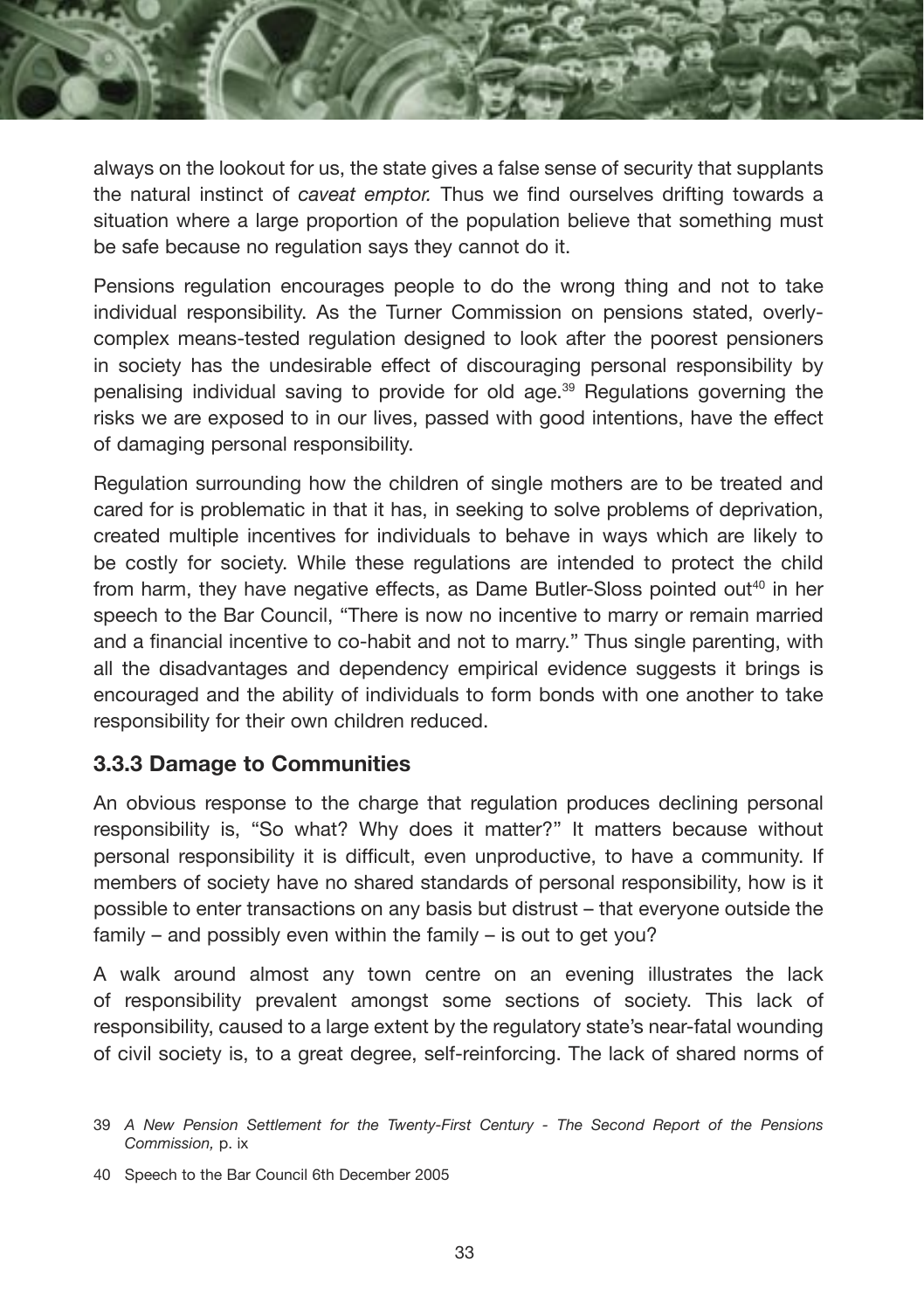always on the lookout for us, the state gives a false sense of security that supplants the natural instinct of *caveat emptor.* Thus we find ourselves drifting towards a situation where a large proportion of the population believe that something must be safe because no regulation says they cannot do it.

Pensions regulation encourages people to do the wrong thing and not to take individual responsibility. As the Turner Commission on pensions stated, overlycomplex means-tested regulation designed to look after the poorest pensioners in society has the undesirable effect of discouraging personal responsibility by penalising individual saving to provide for old age.39 Regulations governing the risks we are exposed to in our lives, passed with good intentions, have the effect of damaging personal responsibility.

Regulation surrounding how the children of single mothers are to be treated and cared for is problematic in that it has, in seeking to solve problems of deprivation, created multiple incentives for individuals to behave in ways which are likely to be costly for society. While these regulations are intended to protect the child from harm, they have negative effects, as Dame Butler-Sloss pointed out<sup>40</sup> in her speech to the Bar Council, "There is now no incentive to marry or remain married and a financial incentive to co-habit and not to marry." Thus single parenting, with all the disadvantages and dependency empirical evidence suggests it brings is encouraged and the ability of individuals to form bonds with one another to take responsibility for their own children reduced.

#### **3.3.3 Damage to Communities**

An obvious response to the charge that regulation produces declining personal responsibility is, "So what? Why does it matter?" It matters because without personal responsibility it is difficult, even unproductive, to have a community. If members of society have no shared standards of personal responsibility, how is it possible to enter transactions on any basis but distrust – that everyone outside the family – and possibly even within the family – is out to get you?

A walk around almost any town centre on an evening illustrates the lack of responsibility prevalent amongst some sections of society. This lack of responsibility, caused to a large extent by the regulatory state's near-fatal wounding of civil society is, to a great degree, self-reinforcing. The lack of shared norms of

<sup>39</sup> *A New Pension Settlement for the Twenty-First Century - The Second Report of the Pensions Commission,* p. ix

<sup>40</sup> Speech to the Bar Council 6th December 2005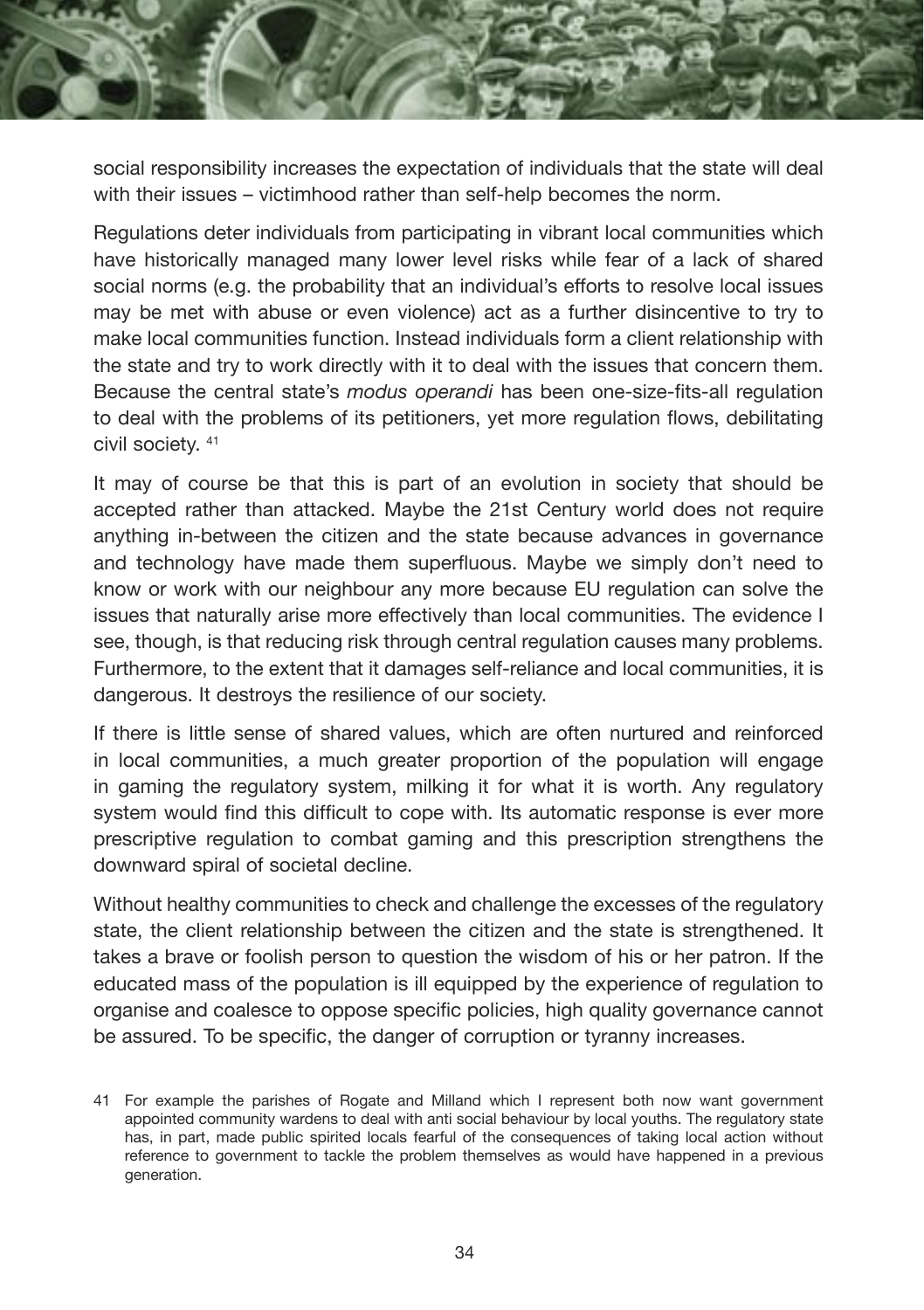

Regulations deter individuals from participating in vibrant local communities which have historically managed many lower level risks while fear of a lack of shared social norms (e.g. the probability that an individual's efforts to resolve local issues may be met with abuse or even violence) act as a further disincentive to try to make local communities function. Instead individuals form a client relationship with the state and try to work directly with it to deal with the issues that concern them. Because the central state's *modus operandi* has been one-size-fits-all regulation to deal with the problems of its petitioners, yet more regulation flows, debilitating civil society. 41

It may of course be that this is part of an evolution in society that should be accepted rather than attacked. Maybe the 21st Century world does not require anything in-between the citizen and the state because advances in governance and technology have made them superfluous. Maybe we simply don't need to know or work with our neighbour any more because EU regulation can solve the issues that naturally arise more effectively than local communities. The evidence I see, though, is that reducing risk through central regulation causes many problems. Furthermore, to the extent that it damages self-reliance and local communities, it is dangerous. It destroys the resilience of our society.

If there is little sense of shared values, which are often nurtured and reinforced in local communities, a much greater proportion of the population will engage in gaming the regulatory system, milking it for what it is worth. Any regulatory system would find this difficult to cope with. Its automatic response is ever more prescriptive regulation to combat gaming and this prescription strengthens the downward spiral of societal decline.

Without healthy communities to check and challenge the excesses of the regulatory state, the client relationship between the citizen and the state is strengthened. It takes a brave or foolish person to question the wisdom of his or her patron. If the educated mass of the population is ill equipped by the experience of regulation to organise and coalesce to oppose specific policies, high quality governance cannot be assured. To be specific, the danger of corruption or tyranny increases.

<sup>41</sup> For example the parishes of Rogate and Milland which I represent both now want government appointed community wardens to deal with anti social behaviour by local youths. The regulatory state has, in part, made public spirited locals fearful of the consequences of taking local action without reference to government to tackle the problem themselves as would have happened in a previous generation.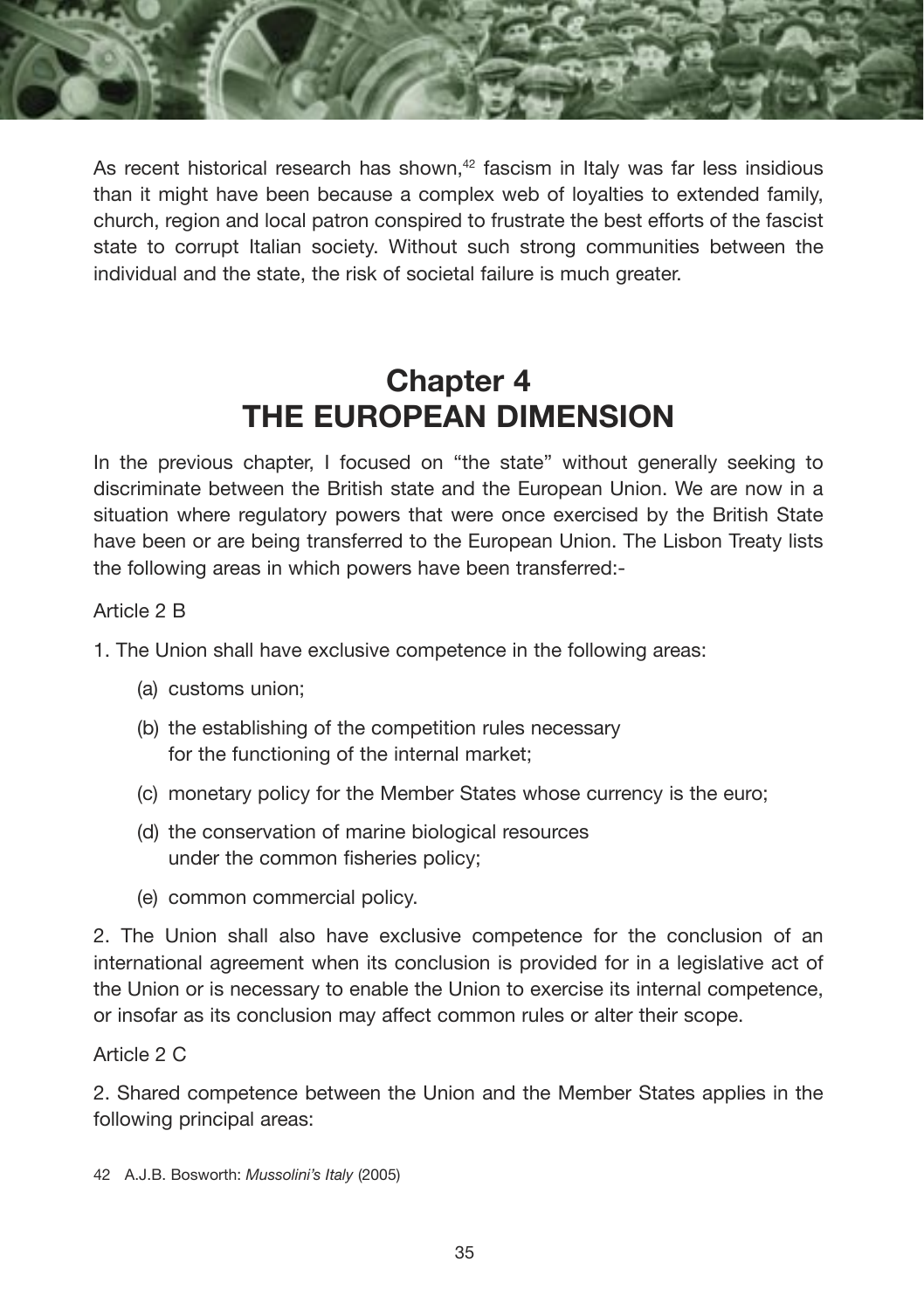

As recent historical research has shown, $42$  fascism in Italy was far less insidious than it might have been because a complex web of loyalties to extended family, church, region and local patron conspired to frustrate the best efforts of the fascist state to corrupt Italian society. Without such strong communities between the individual and the state, the risk of societal failure is much greater.

## **Chapter 4 THE EUROPEAN DIMENSION**

In the previous chapter, I focused on "the state" without generally seeking to discriminate between the British state and the European Union. We are now in a situation where regulatory powers that were once exercised by the British State have been or are being transferred to the European Union. The Lisbon Treaty lists the following areas in which powers have been transferred:-

#### Article 2 B

1. The Union shall have exclusive competence in the following areas:

- (a) customs union;
- (b) the establishing of the competition rules necessary for the functioning of the internal market;
- (c) monetary policy for the Member States whose currency is the euro;
- (d) the conservation of marine biological resources under the common fisheries policy;
- (e) common commercial policy.

2. The Union shall also have exclusive competence for the conclusion of an international agreement when its conclusion is provided for in a legislative act of the Union or is necessary to enable the Union to exercise its internal competence, or insofar as its conclusion may affect common rules or alter their scope.

#### Article 2 C

2. Shared competence between the Union and the Member States applies in the following principal areas:

42 A.J.B. Bosworth: *Mussolini's Italy* (2005)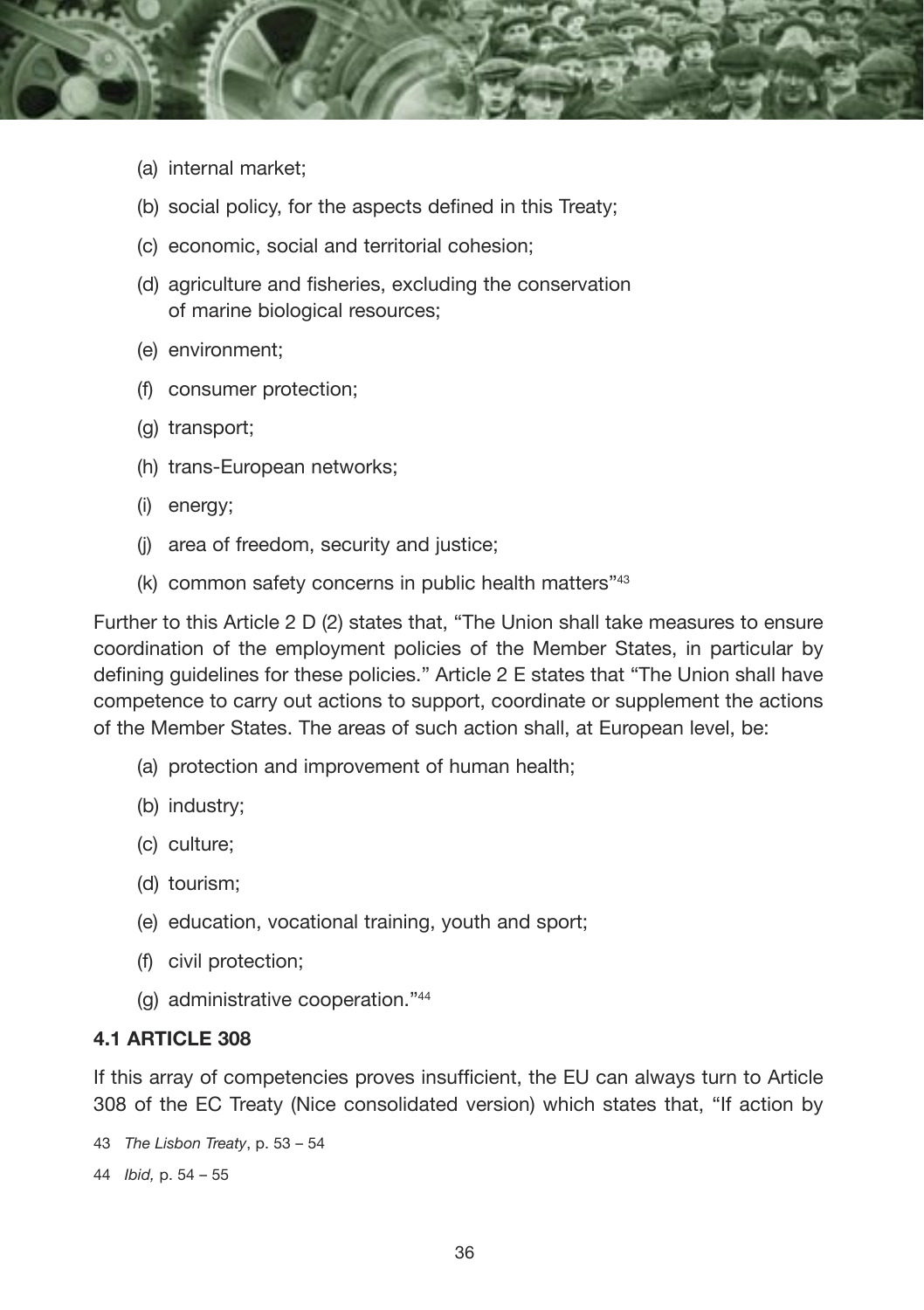

- (a) internal market;
- (b) social policy, for the aspects defined in this Treaty;
- (c) economic, social and territorial cohesion;
- (d) agriculture and fisheries, excluding the conservation of marine biological resources;
- (e) environment;
- (f) consumer protection;
- (g) transport;
- (h) trans-European networks;
- (i) energy;
- (j) area of freedom, security and justice;
- (k) common safety concerns in public health matters"43

Further to this Article 2 D (2) states that, "The Union shall take measures to ensure coordination of the employment policies of the Member States, in particular by defining guidelines for these policies." Article 2 E states that "The Union shall have competence to carry out actions to support, coordinate or supplement the actions of the Member States. The areas of such action shall, at European level, be:

- (a) protection and improvement of human health;
- (b) industry;
- (c) culture;
- (d) tourism;
- (e) education, vocational training, youth and sport;
- (f) civil protection;
- (g) administrative cooperation."44

#### **4.1 ARTICLE 308**

If this array of competencies proves insufficient, the EU can always turn to Article 308 of the EC Treaty (Nice consolidated version) which states that, "If action by

```
43 The Lisbon Treaty, p. 53 – 54
44 Ibid, p. 54 – 55
```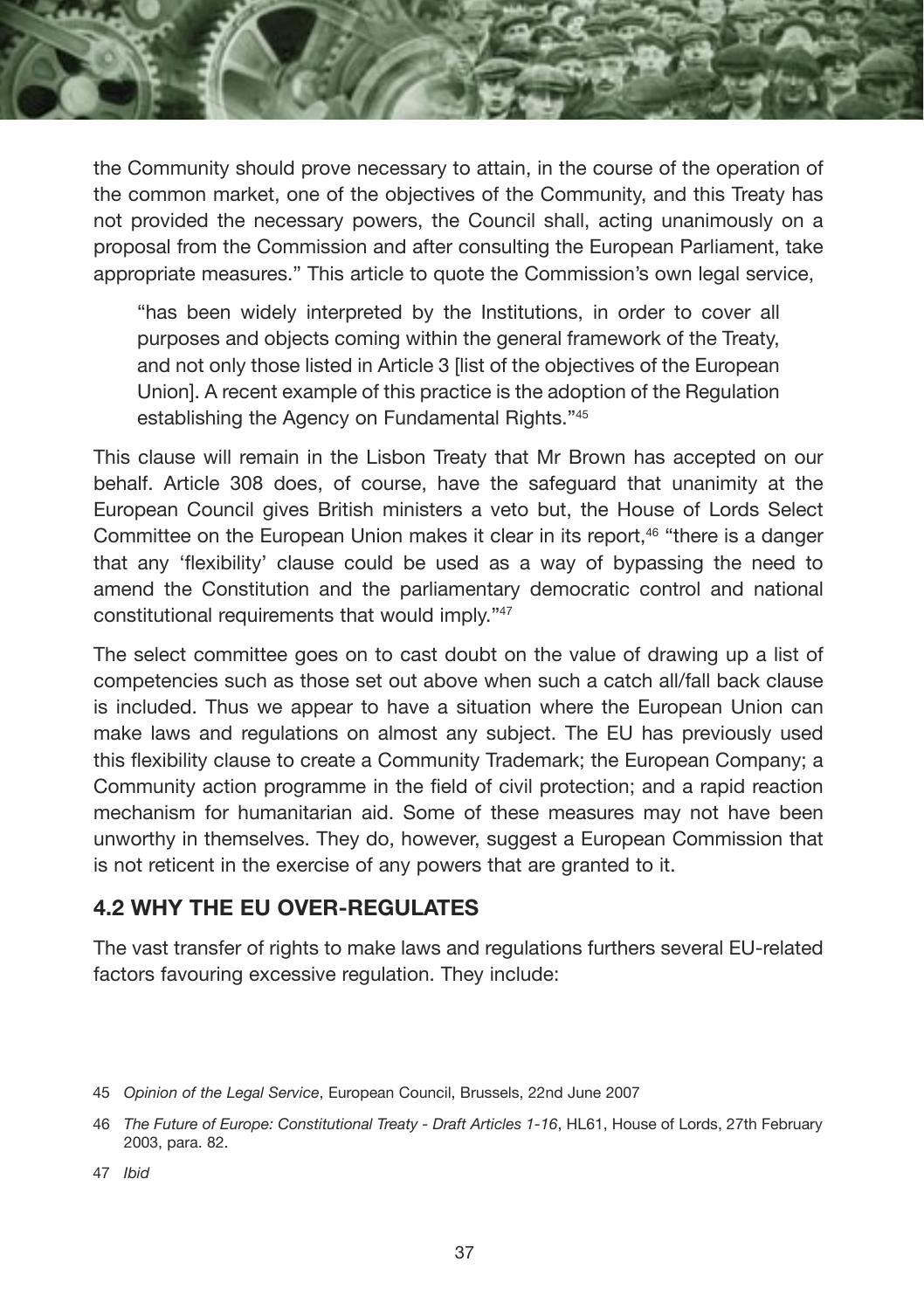the Community should prove necessary to attain, in the course of the operation of the common market, one of the objectives of the Community, and this Treaty has not provided the necessary powers, the Council shall, acting unanimously on a proposal from the Commission and after consulting the European Parliament, take appropriate measures." This article to quote the Commission's own legal service,

"has been widely interpreted by the Institutions, in order to cover all purposes and objects coming within the general framework of the Treaty, and not only those listed in Article 3 [list of the objectives of the European Union]. A recent example of this practice is the adoption of the Regulation establishing the Agency on Fundamental Rights."45

This clause will remain in the Lisbon Treaty that Mr Brown has accepted on our behalf. Article 308 does, of course, have the safeguard that unanimity at the European Council gives British ministers a veto but, the House of Lords Select Committee on the European Union makes it clear in its report,<sup>46</sup> "there is a danger that any 'flexibility' clause could be used as a way of bypassing the need to amend the Constitution and the parliamentary democratic control and national constitutional requirements that would imply."47

The select committee goes on to cast doubt on the value of drawing up a list of competencies such as those set out above when such a catch all/fall back clause is included. Thus we appear to have a situation where the European Union can make laws and regulations on almost any subject. The EU has previously used this flexibility clause to create a Community Trademark; the European Company; a Community action programme in the field of civil protection; and a rapid reaction mechanism for humanitarian aid. Some of these measures may not have been unworthy in themselves. They do, however, suggest a European Commission that is not reticent in the exercise of any powers that are granted to it.

#### **4.2 WHY THE EU OVER-REGULATES**

The vast transfer of rights to make laws and regulations furthers several EU-related factors favouring excessive regulation. They include:

<sup>45</sup> *Opinion of the Legal Service*, European Council, Brussels, 22nd June 2007

<sup>46</sup> *The Future of Europe: Constitutional Treaty - Draft Articles 1-16*, HL61, House of Lords, 27th February 2003, para. 82.

<sup>47</sup> *Ibid*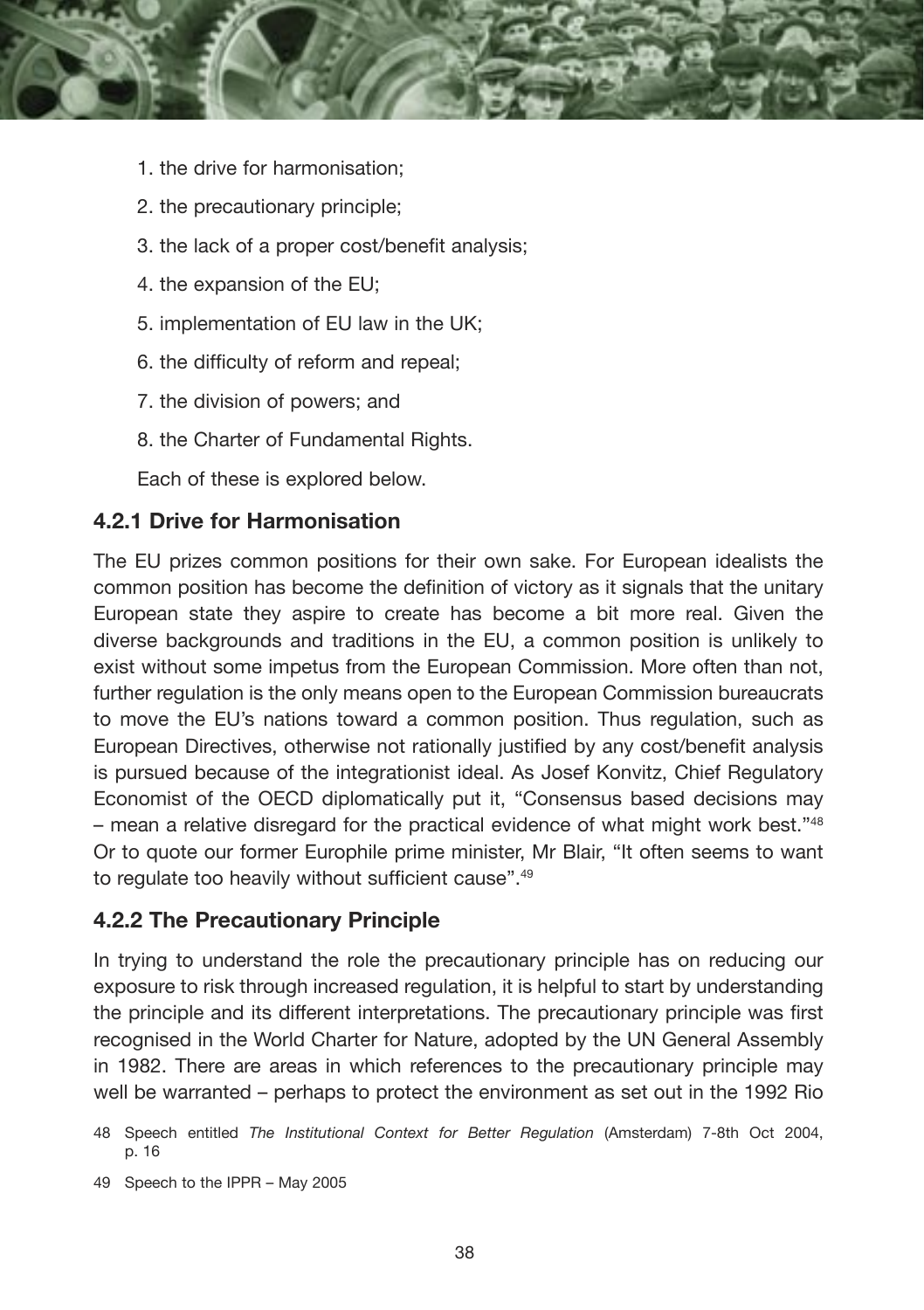

- 1. the drive for harmonisation;
- 2. the precautionary principle;
- 3. the lack of a proper cost/benefit analysis;
- 4. the expansion of the EU;
- 5. implementation of EU law in the UK;
- 6. the difficulty of reform and repeal;
- 7. the division of powers; and
- 8. the Charter of Fundamental Rights.

Each of these is explored below.

#### **4.2.1 Drive for Harmonisation**

The EU prizes common positions for their own sake. For European idealists the common position has become the definition of victory as it signals that the unitary European state they aspire to create has become a bit more real. Given the diverse backgrounds and traditions in the EU, a common position is unlikely to exist without some impetus from the European Commission. More often than not, further regulation is the only means open to the European Commission bureaucrats to move the EU's nations toward a common position. Thus regulation, such as European Directives, otherwise not rationally justified by any cost/benefit analysis is pursued because of the integrationist ideal. As Josef Konvitz, Chief Regulatory Economist of the OECD diplomatically put it, "Consensus based decisions may – mean a relative disregard for the practical evidence of what might work best."48 Or to quote our former Europhile prime minister, Mr Blair, "It often seems to want to regulate too heavily without sufficient cause".49

#### **4.2.2 The Precautionary Principle**

In trying to understand the role the precautionary principle has on reducing our exposure to risk through increased regulation, it is helpful to start by understanding the principle and its different interpretations. The precautionary principle was first recognised in the World Charter for Nature, adopted by the UN General Assembly in 1982. There are areas in which references to the precautionary principle may well be warranted – perhaps to protect the environment as set out in the 1992 Rio

49 Speech to the IPPR – May 2005

<sup>48</sup> Speech entitled *The Institutional Context for Better Regulation* (Amsterdam) 7-8th Oct 2004, p. 16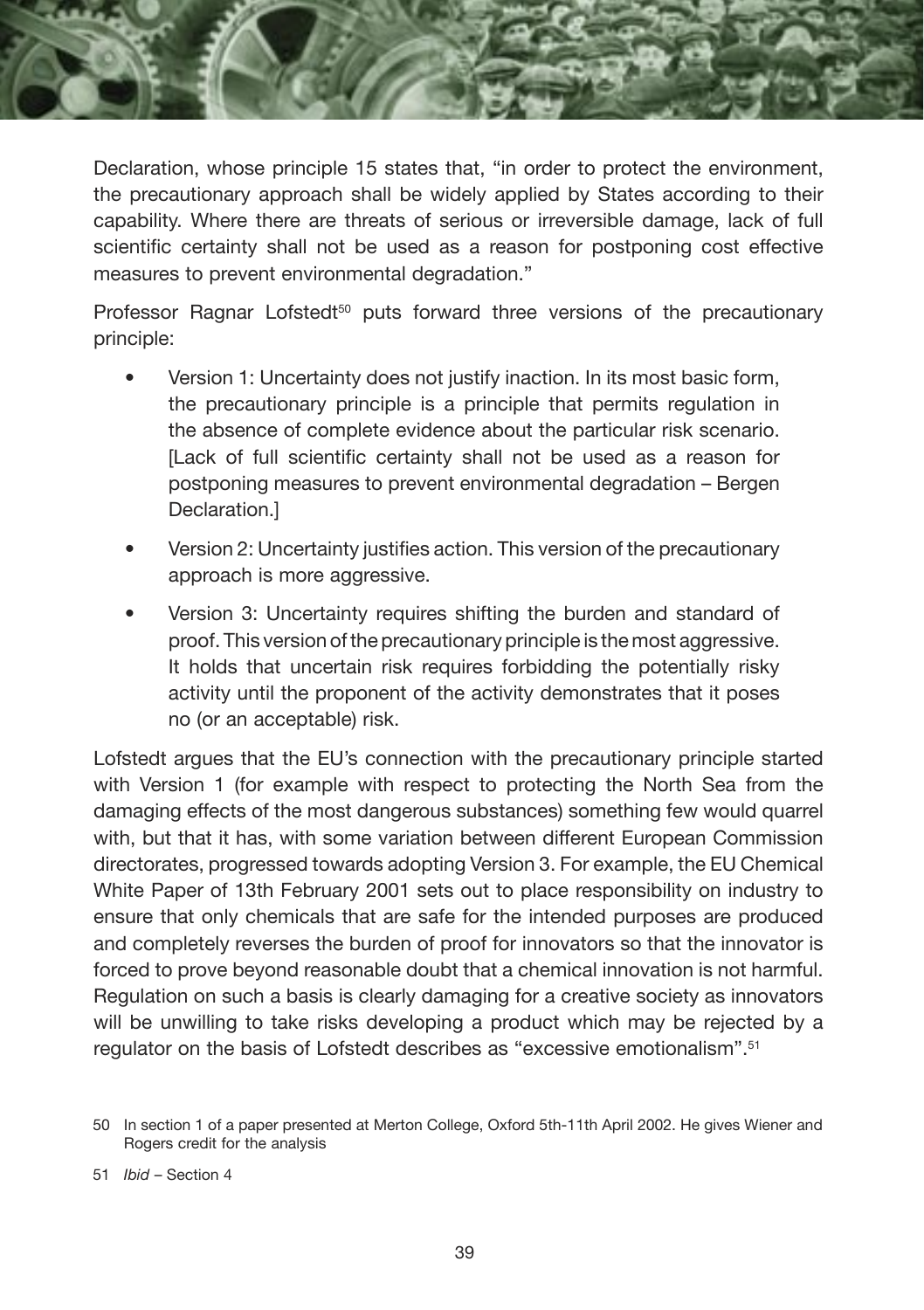

Declaration, whose principle 15 states that, "in order to protect the environment, the precautionary approach shall be widely applied by States according to their capability. Where there are threats of serious or irreversible damage, lack of full scientific certainty shall not be used as a reason for postponing cost effective measures to prevent environmental degradation."

Professor Ragnar Lofstedt<sup>50</sup> puts forward three versions of the precautionary principle:

- Version 1: Uncertainty does not justify inaction. In its most basic form, the precautionary principle is a principle that permits regulation in the absence of complete evidence about the particular risk scenario. [Lack of full scientific certainty shall not be used as a reason for postponing measures to prevent environmental degradation – Bergen Declaration.]
- Version 2: Uncertainty justifies action. This version of the precautionary approach is more aggressive.
- Version 3: Uncertainty requires shifting the burden and standard of proof. This version of the precautionary principle is the most aggressive. It holds that uncertain risk requires forbidding the potentially risky activity until the proponent of the activity demonstrates that it poses no (or an acceptable) risk.

Lofstedt argues that the EU's connection with the precautionary principle started with Version 1 (for example with respect to protecting the North Sea from the damaging effects of the most dangerous substances) something few would quarrel with, but that it has, with some variation between different European Commission directorates, progressed towards adopting Version 3. For example, the EU Chemical White Paper of 13th February 2001 sets out to place responsibility on industry to ensure that only chemicals that are safe for the intended purposes are produced and completely reverses the burden of proof for innovators so that the innovator is forced to prove beyond reasonable doubt that a chemical innovation is not harmful. Regulation on such a basis is clearly damaging for a creative society as innovators will be unwilling to take risks developing a product which may be rejected by a regulator on the basis of Lofstedt describes as "excessive emotionalism".51

<sup>50</sup> In section 1 of a paper presented at Merton College, Oxford 5th-11th April 2002. He gives Wiener and Rogers credit for the analysis

<sup>51</sup> *Ibid* – Section 4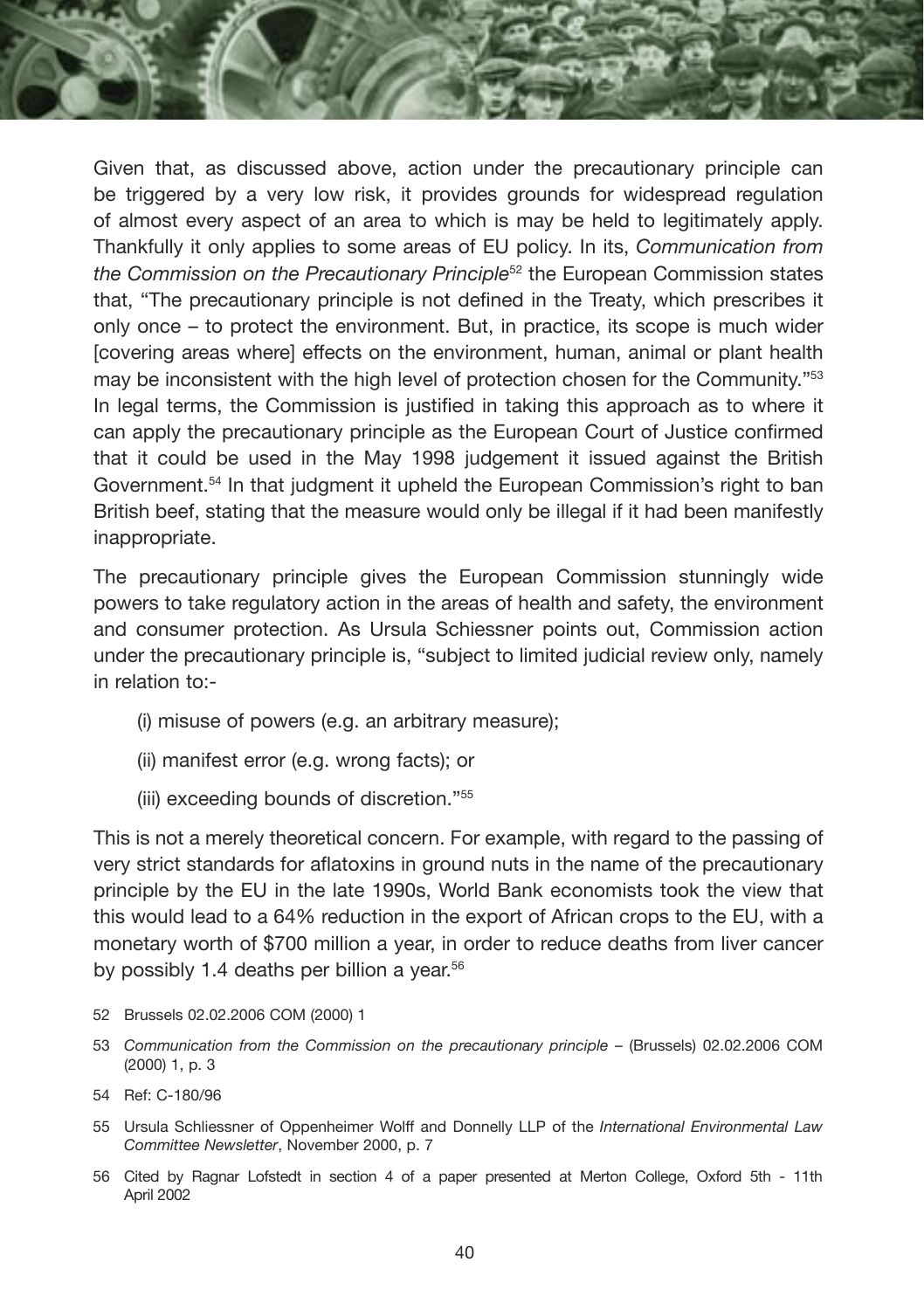Given that, as discussed above, action under the precautionary principle can be triggered by a very low risk, it provides grounds for widespread regulation of almost every aspect of an area to which is may be held to legitimately apply. Thankfully it only applies to some areas of EU policy. In its, *Communication from the Commission on the Precautionary Principle*52 the European Commission states that, "The precautionary principle is not defined in the Treaty, which prescribes it only once – to protect the environment. But, in practice, its scope is much wider [covering areas where] effects on the environment, human, animal or plant health may be inconsistent with the high level of protection chosen for the Community."<sup>53</sup> In legal terms, the Commission is justified in taking this approach as to where it can apply the precautionary principle as the European Court of Justice confirmed that it could be used in the May 1998 judgement it issued against the British Government.<sup>54</sup> In that judgment it upheld the European Commission's right to ban British beef, stating that the measure would only be illegal if it had been manifestly inappropriate.

The precautionary principle gives the European Commission stunningly wide powers to take regulatory action in the areas of health and safety, the environment and consumer protection. As Ursula Schiessner points out, Commission action under the precautionary principle is, "subject to limited judicial review only, namely in relation to:-

- (i) misuse of powers (e.g. an arbitrary measure);
- (ii) manifest error (e.g. wrong facts); or
- (iii) exceeding bounds of discretion."55

This is not a merely theoretical concern. For example, with regard to the passing of very strict standards for aflatoxins in ground nuts in the name of the precautionary principle by the EU in the late 1990s, World Bank economists took the view that this would lead to a 64% reduction in the export of African crops to the EU, with a monetary worth of \$700 million a year, in order to reduce deaths from liver cancer by possibly 1.4 deaths per billion a year.<sup>56</sup>

- 52 Brussels 02.02.2006 COM (2000) 1
- 53 *Communication from the Commission on the precautionary principle* (Brussels) 02.02.2006 COM (2000) 1, p. 3
- 54 Ref: C-180/96
- 55 Ursula Schliessner of Oppenheimer Wolff and Donnelly LLP of the *International Environmental Law Committee Newsletter*, November 2000, p. 7
- 56 Cited by Ragnar Lofstedt in section 4 of a paper presented at Merton College, Oxford 5th 11th April 2002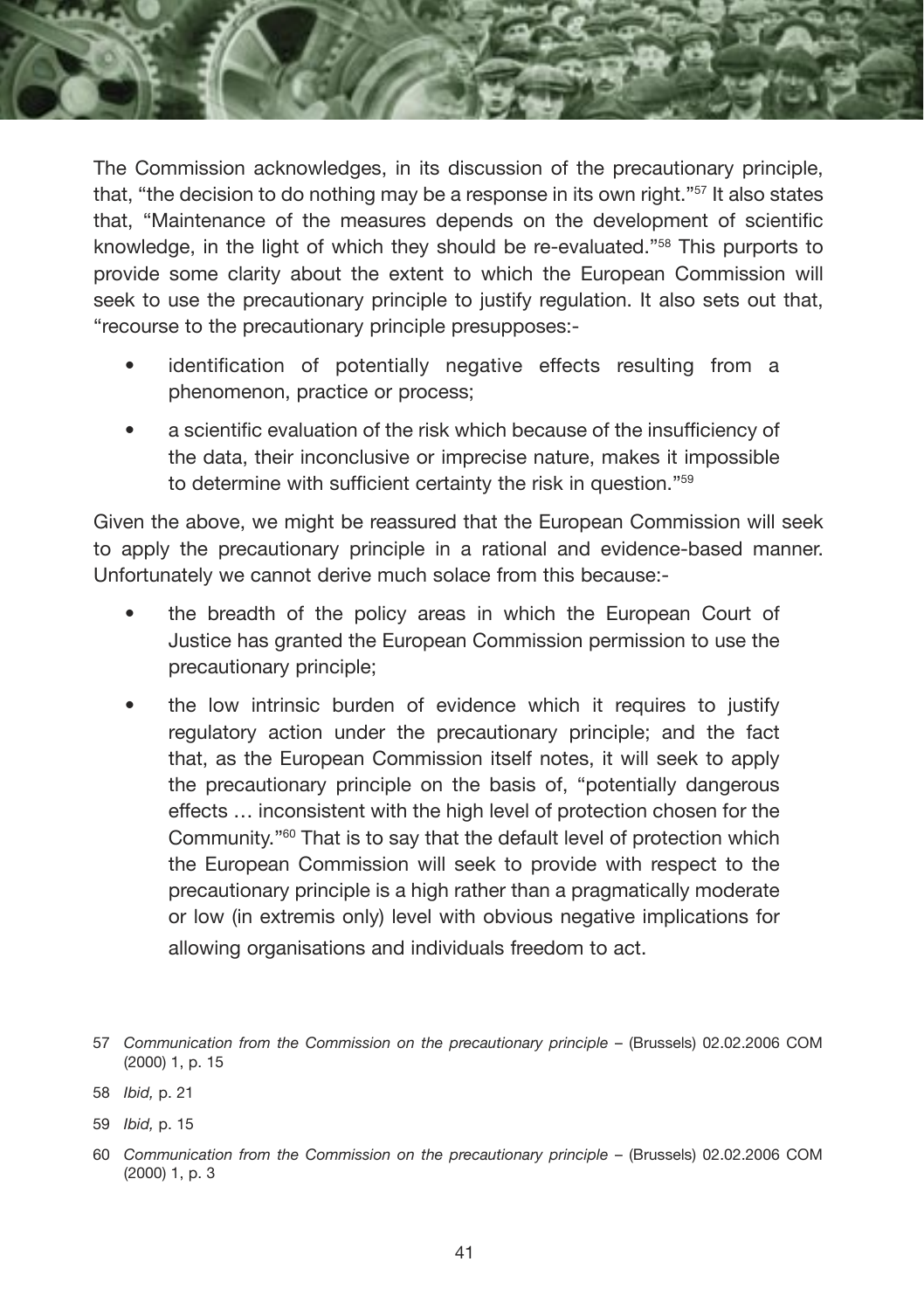

The Commission acknowledges, in its discussion of the precautionary principle, that, "the decision to do nothing may be a response in its own right."57 It also states that, "Maintenance of the measures depends on the development of scientific knowledge, in the light of which they should be re-evaluated."58 This purports to provide some clarity about the extent to which the European Commission will seek to use the precautionary principle to justify regulation. It also sets out that, "recourse to the precautionary principle presupposes:-

- identification of potentially negative effects resulting from a phenomenon, practice or process;
- a scientific evaluation of the risk which because of the insufficiency of the data, their inconclusive or imprecise nature, makes it impossible to determine with sufficient certainty the risk in question."59

Given the above, we might be reassured that the European Commission will seek to apply the precautionary principle in a rational and evidence-based manner. Unfortunately we cannot derive much solace from this because:-

- the breadth of the policy areas in which the European Court of Justice has granted the European Commission permission to use the precautionary principle;
- the low intrinsic burden of evidence which it requires to justify regulatory action under the precautionary principle; and the fact that, as the European Commission itself notes, it will seek to apply the precautionary principle on the basis of, "potentially dangerous effects … inconsistent with the high level of protection chosen for the Community."60 That is to say that the default level of protection which the European Commission will seek to provide with respect to the precautionary principle is a high rather than a pragmatically moderate or low (in extremis only) level with obvious negative implications for allowing organisations and individuals freedom to act.

<sup>57</sup> *Communication from the Commission on the precautionary principle* – (Brussels) 02.02.2006 COM (2000) 1, p. 15

<sup>58</sup> *Ibid,* p. 21

<sup>59</sup> *Ibid,* p. 15

<sup>60</sup> *Communication from the Commission on the precautionary principle* – (Brussels) 02.02.2006 COM (2000) 1, p. 3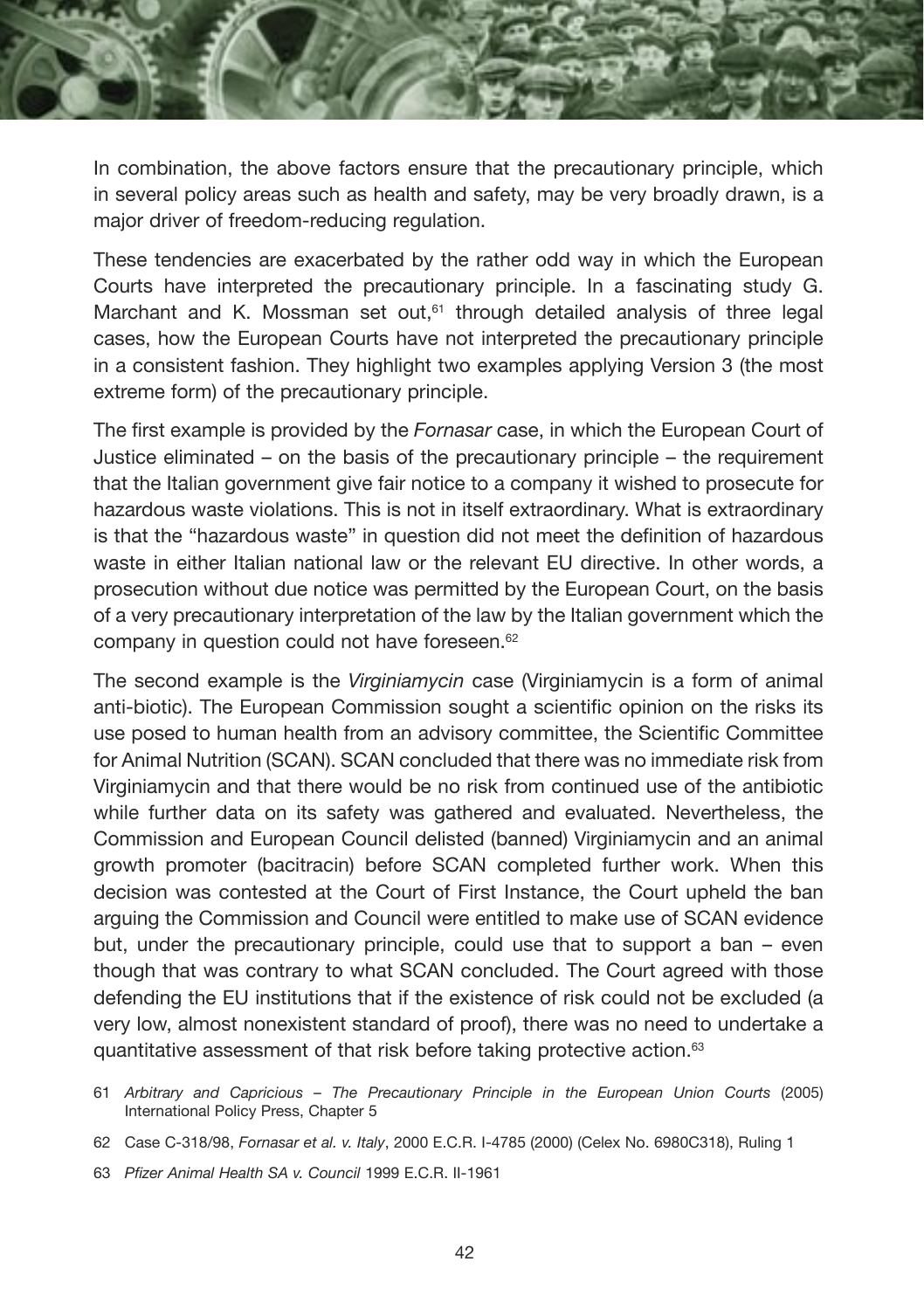

In combination, the above factors ensure that the precautionary principle, which in several policy areas such as health and safety, may be very broadly drawn, is a major driver of freedom-reducing regulation.

These tendencies are exacerbated by the rather odd way in which the European Courts have interpreted the precautionary principle. In a fascinating study G. Marchant and K. Mossman set out, $61$  through detailed analysis of three legal cases, how the European Courts have not interpreted the precautionary principle in a consistent fashion. They highlight two examples applying Version 3 (the most extreme form) of the precautionary principle.

The first example is provided by the *Fornasar* case, in which the European Court of Justice eliminated – on the basis of the precautionary principle – the requirement that the Italian government give fair notice to a company it wished to prosecute for hazardous waste violations. This is not in itself extraordinary. What is extraordinary is that the "hazardous waste" in question did not meet the definition of hazardous waste in either Italian national law or the relevant EU directive. In other words, a prosecution without due notice was permitted by the European Court, on the basis of a very precautionary interpretation of the law by the Italian government which the company in question could not have foreseen.<sup>62</sup>

The second example is the *Virginiamycin* case (Virginiamycin is a form of animal anti-biotic). The European Commission sought a scientific opinion on the risks its use posed to human health from an advisory committee, the Scientific Committee for Animal Nutrition (SCAN). SCAN concluded that there was no immediate risk from Virginiamycin and that there would be no risk from continued use of the antibiotic while further data on its safety was gathered and evaluated. Nevertheless, the Commission and European Council delisted (banned) Virginiamycin and an animal growth promoter (bacitracin) before SCAN completed further work. When this decision was contested at the Court of First Instance, the Court upheld the ban arguing the Commission and Council were entitled to make use of SCAN evidence but, under the precautionary principle, could use that to support a ban – even though that was contrary to what SCAN concluded. The Court agreed with those defending the EU institutions that if the existence of risk could not be excluded (a very low, almost nonexistent standard of proof), there was no need to undertake a quantitative assessment of that risk before taking protective action.<sup>63</sup>

61 *Arbitrary and Capricious – The Precautionary Principle in the European Union Courts* (2005) International Policy Press, Chapter 5

- 62 Case C-318/98, *Fornasar et al. v. Italy*, 2000 E.C.R. I-4785 (2000) (Celex No. 6980C318), Ruling 1
- 63 *Pfizer Animal Health SA v. Council* 1999 E.C.R. II-1961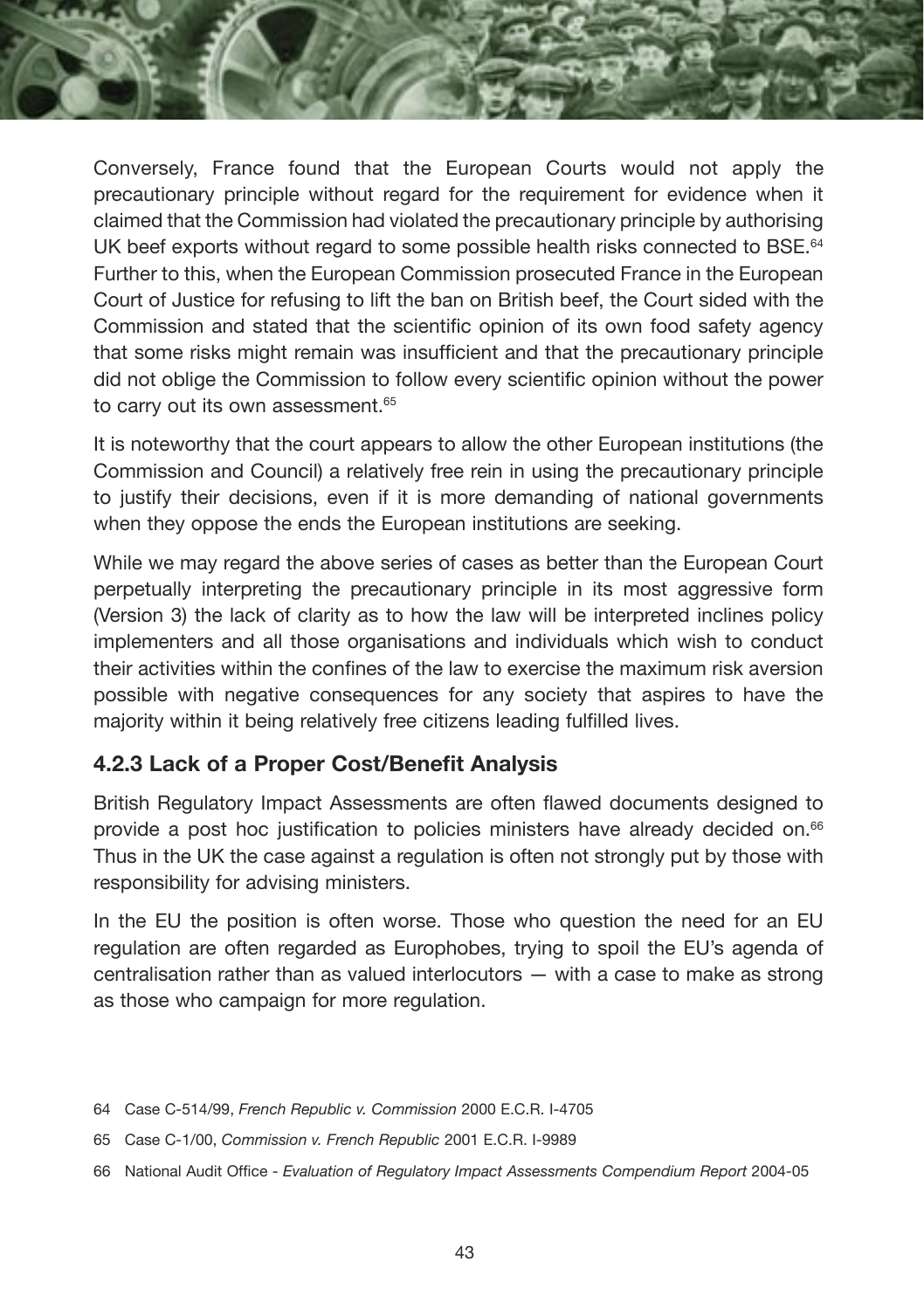Conversely, France found that the European Courts would not apply the precautionary principle without regard for the requirement for evidence when it claimed that the Commission had violated the precautionary principle by authorising UK beef exports without regard to some possible health risks connected to BSE.<sup>64</sup> Further to this, when the European Commission prosecuted France in the European Court of Justice for refusing to lift the ban on British beef, the Court sided with the Commission and stated that the scientific opinion of its own food safety agency that some risks might remain was insufficient and that the precautionary principle did not oblige the Commission to follow every scientific opinion without the power to carry out its own assessment.<sup>65</sup>

It is noteworthy that the court appears to allow the other European institutions (the Commission and Council) a relatively free rein in using the precautionary principle to justify their decisions, even if it is more demanding of national governments when they oppose the ends the European institutions are seeking.

While we may regard the above series of cases as better than the European Court perpetually interpreting the precautionary principle in its most aggressive form (Version 3) the lack of clarity as to how the law will be interpreted inclines policy implementers and all those organisations and individuals which wish to conduct their activities within the confines of the law to exercise the maximum risk aversion possible with negative consequences for any society that aspires to have the majority within it being relatively free citizens leading fulfilled lives.

#### **4.2.3 Lack of a Proper Cost/Benefit Analysis**

British Regulatory Impact Assessments are often flawed documents designed to provide a post hoc justification to policies ministers have already decided on.66 Thus in the UK the case against a regulation is often not strongly put by those with responsibility for advising ministers.

In the EU the position is often worse. Those who question the need for an EU regulation are often regarded as Europhobes, trying to spoil the EU's agenda of centralisation rather than as valued interlocutors — with a case to make as strong as those who campaign for more regulation.

- 64 Case C-514/99, *French Republic v. Commission* 2000 E.C.R. I-4705
- 65 Case C-1/00, *Commission v. French Republic* 2001 E.C.R. I-9989
- 66 National Audit Office *Evaluation of Regulatory Impact Assessments Compendium Report* 2004-05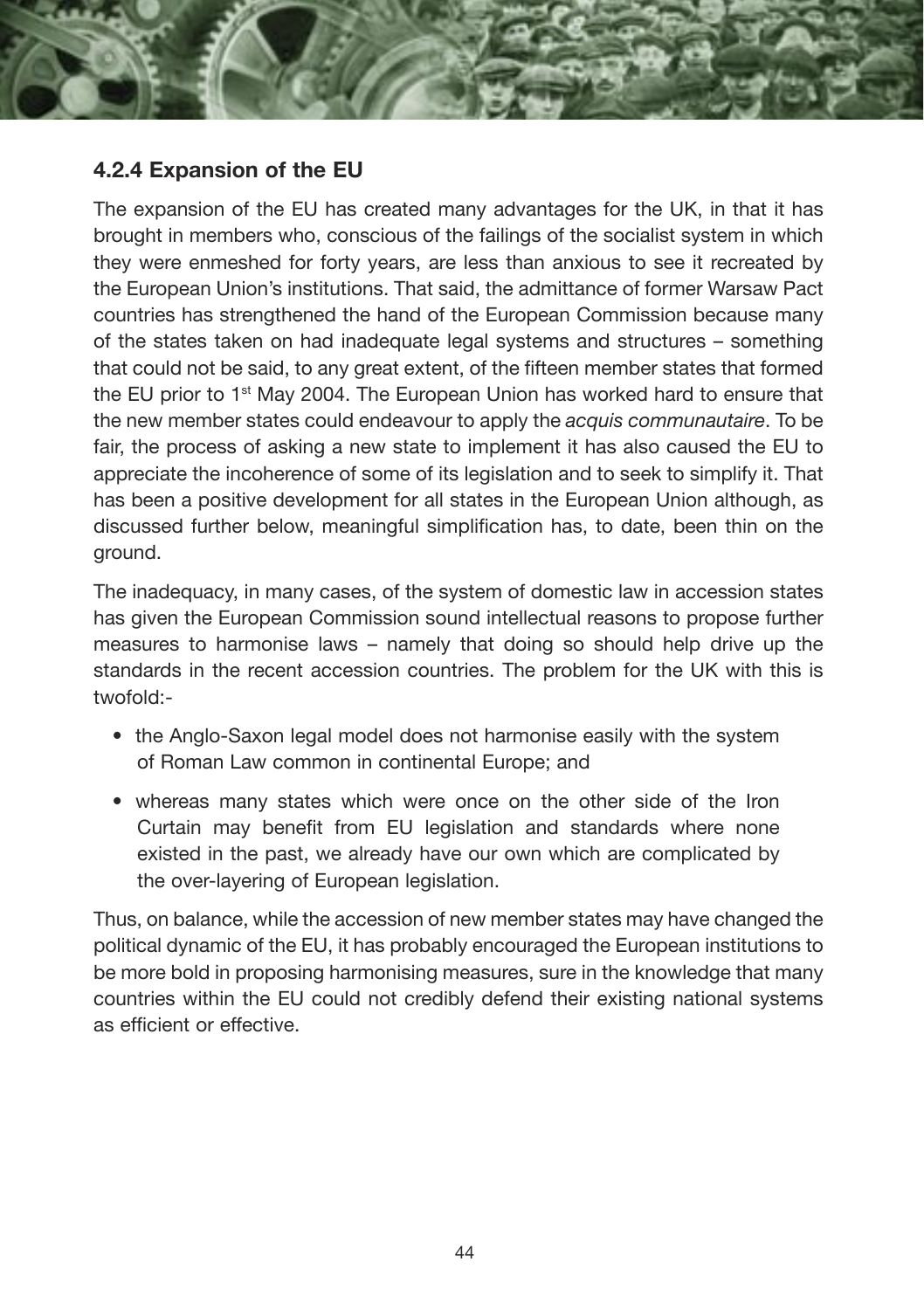

The expansion of the EU has created many advantages for the UK, in that it has brought in members who, conscious of the failings of the socialist system in which they were enmeshed for forty years, are less than anxious to see it recreated by the European Union's institutions. That said, the admittance of former Warsaw Pact countries has strengthened the hand of the European Commission because many of the states taken on had inadequate legal systems and structures – something that could not be said, to any great extent, of the fifteen member states that formed the EU prior to 1st May 2004. The European Union has worked hard to ensure that the new member states could endeavour to apply the *acquis communautaire*. To be fair, the process of asking a new state to implement it has also caused the EU to appreciate the incoherence of some of its legislation and to seek to simplify it. That has been a positive development for all states in the European Union although, as discussed further below, meaningful simplification has, to date, been thin on the ground.

The inadequacy, in many cases, of the system of domestic law in accession states has given the European Commission sound intellectual reasons to propose further measures to harmonise laws – namely that doing so should help drive up the standards in the recent accession countries. The problem for the UK with this is twofold:-

- the Anglo-Saxon legal model does not harmonise easily with the system of Roman Law common in continental Europe; and
- whereas many states which were once on the other side of the Iron Curtain may benefit from EU legislation and standards where none existed in the past, we already have our own which are complicated by the over-layering of European legislation.

Thus, on balance, while the accession of new member states may have changed the political dynamic of the EU, it has probably encouraged the European institutions to be more bold in proposing harmonising measures, sure in the knowledge that many countries within the EU could not credibly defend their existing national systems as efficient or effective.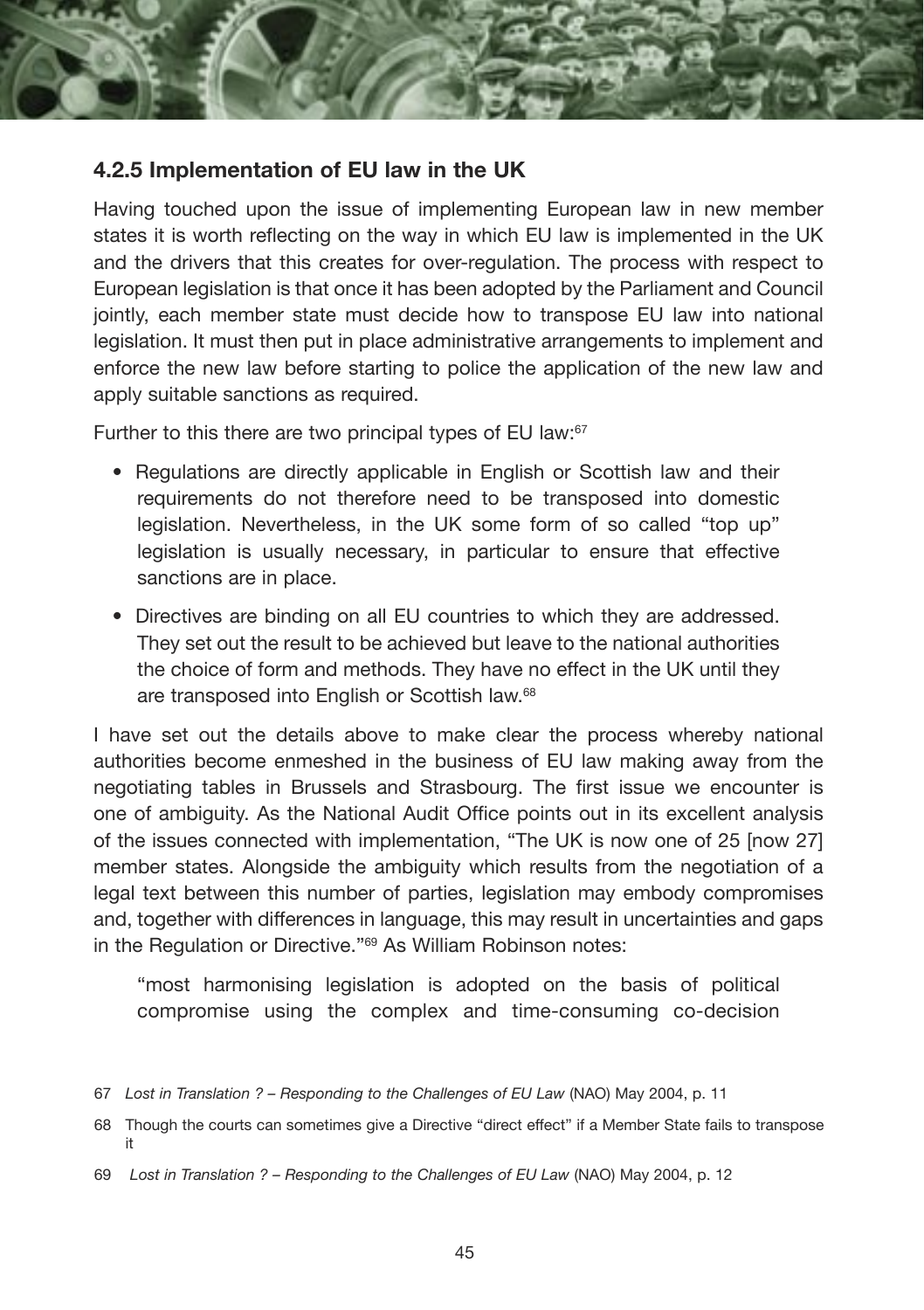

#### **4.2.5 Implementation of EU law in the UK**

Having touched upon the issue of implementing European law in new member states it is worth reflecting on the way in which EU law is implemented in the UK and the drivers that this creates for over-regulation. The process with respect to European legislation is that once it has been adopted by the Parliament and Council jointly, each member state must decide how to transpose EU law into national legislation. It must then put in place administrative arrangements to implement and enforce the new law before starting to police the application of the new law and apply suitable sanctions as required.

Further to this there are two principal types of EU law:<sup>67</sup>

- Regulations are directly applicable in English or Scottish law and their requirements do not therefore need to be transposed into domestic legislation. Nevertheless, in the UK some form of so called "top up" legislation is usually necessary, in particular to ensure that effective sanctions are in place.
- Directives are binding on all EU countries to which they are addressed. They set out the result to be achieved but leave to the national authorities the choice of form and methods. They have no effect in the UK until they are transposed into English or Scottish law.<sup>68</sup>

I have set out the details above to make clear the process whereby national authorities become enmeshed in the business of EU law making away from the negotiating tables in Brussels and Strasbourg. The first issue we encounter is one of ambiguity. As the National Audit Office points out in its excellent analysis of the issues connected with implementation, "The UK is now one of 25 [now 27] member states. Alongside the ambiguity which results from the negotiation of a legal text between this number of parties, legislation may embody compromises and, together with differences in language, this may result in uncertainties and gaps in the Regulation or Directive."69 As William Robinson notes:

"most harmonising legislation is adopted on the basis of political compromise using the complex and time-consuming co-decision

<sup>67</sup> *Lost in Translation ? – Responding to the Challenges of EU Law* (NAO) May 2004, p. 11

<sup>68</sup> Though the courts can sometimes give a Directive "direct effect" if a Member State fails to transpose it

<sup>69</sup> *Lost in Translation ? – Responding to the Challenges of EU Law* (NAO) May 2004, p. 12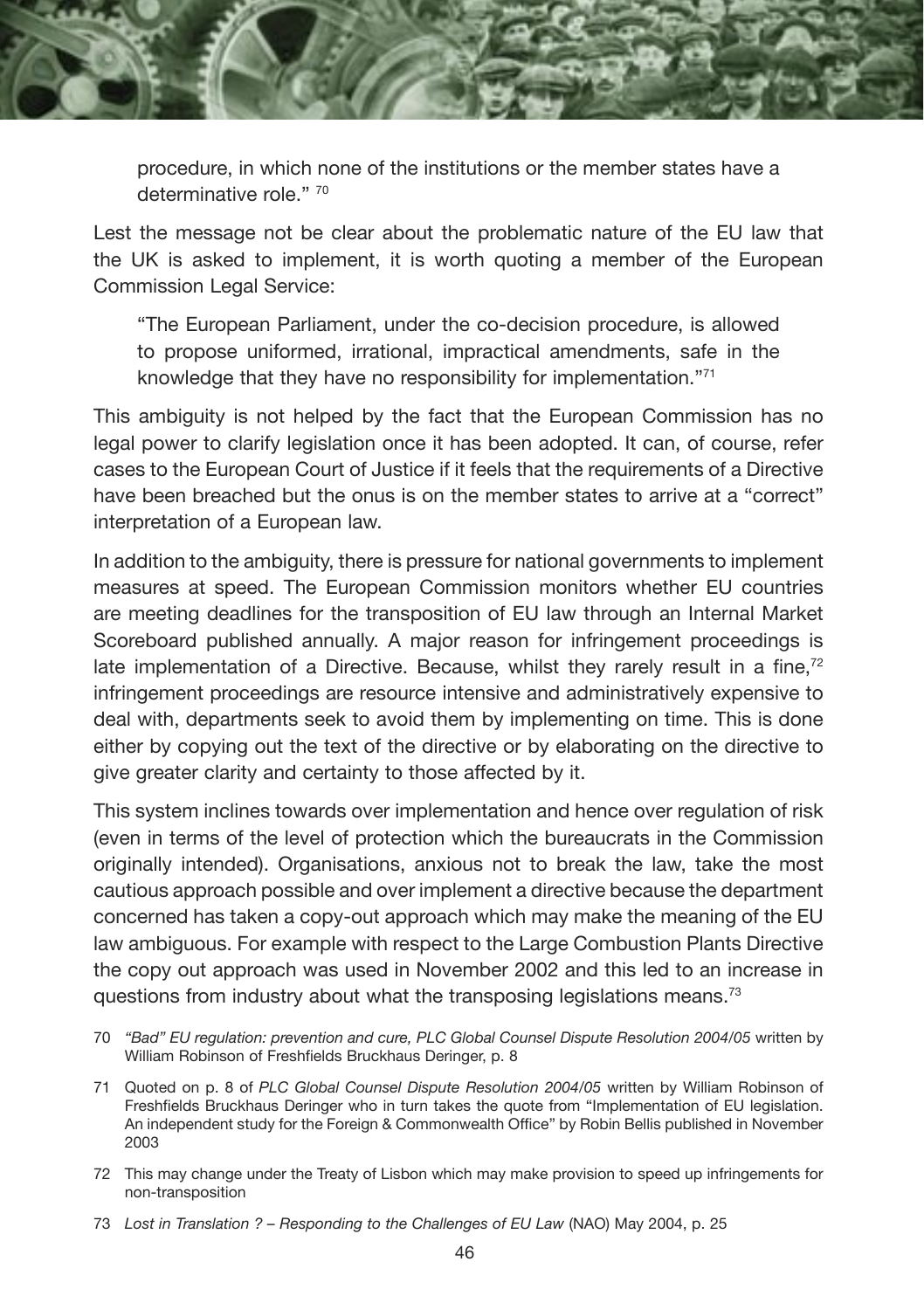

procedure, in which none of the institutions or the member states have a determinative role." 70

Lest the message not be clear about the problematic nature of the EU law that the UK is asked to implement, it is worth quoting a member of the European Commission Legal Service:

"The European Parliament, under the co-decision procedure, is allowed to propose uniformed, irrational, impractical amendments, safe in the knowledge that they have no responsibility for implementation."71

This ambiguity is not helped by the fact that the European Commission has no legal power to clarify legislation once it has been adopted. It can, of course, refer cases to the European Court of Justice if it feels that the requirements of a Directive have been breached but the onus is on the member states to arrive at a "correct" interpretation of a European law.

In addition to the ambiguity, there is pressure for national governments to implement measures at speed. The European Commission monitors whether EU countries are meeting deadlines for the transposition of EU law through an Internal Market Scoreboard published annually. A major reason for infringement proceedings is late implementation of a Directive. Because, whilst they rarely result in a fine, $72$ infringement proceedings are resource intensive and administratively expensive to deal with, departments seek to avoid them by implementing on time. This is done either by copying out the text of the directive or by elaborating on the directive to give greater clarity and certainty to those affected by it.

This system inclines towards over implementation and hence over regulation of risk (even in terms of the level of protection which the bureaucrats in the Commission originally intended). Organisations, anxious not to break the law, take the most cautious approach possible and over implement a directive because the department concerned has taken a copy-out approach which may make the meaning of the EU law ambiguous. For example with respect to the Large Combustion Plants Directive the copy out approach was used in November 2002 and this led to an increase in questions from industry about what the transposing legislations means.73

- 71 Quoted on p. 8 of *PLC Global Counsel Dispute Resolution 2004/05* written by William Robinson of Freshfields Bruckhaus Deringer who in turn takes the quote from "Implementation of EU legislation. An independent study for the Foreign & Commonwealth Office" by Robin Bellis published in November 2003
- 72 This may change under the Treaty of Lisbon which may make provision to speed up infringements for non-transposition

<sup>70</sup> *"Bad" EU regulation: prevention and cure, PLC Global Counsel Dispute Resolution 2004/05* written by William Robinson of Freshfields Bruckhaus Deringer, p. 8

<sup>73</sup> *Lost in Translation ? – Responding to the Challenges of EU Law* (NAO) May 2004, p. 25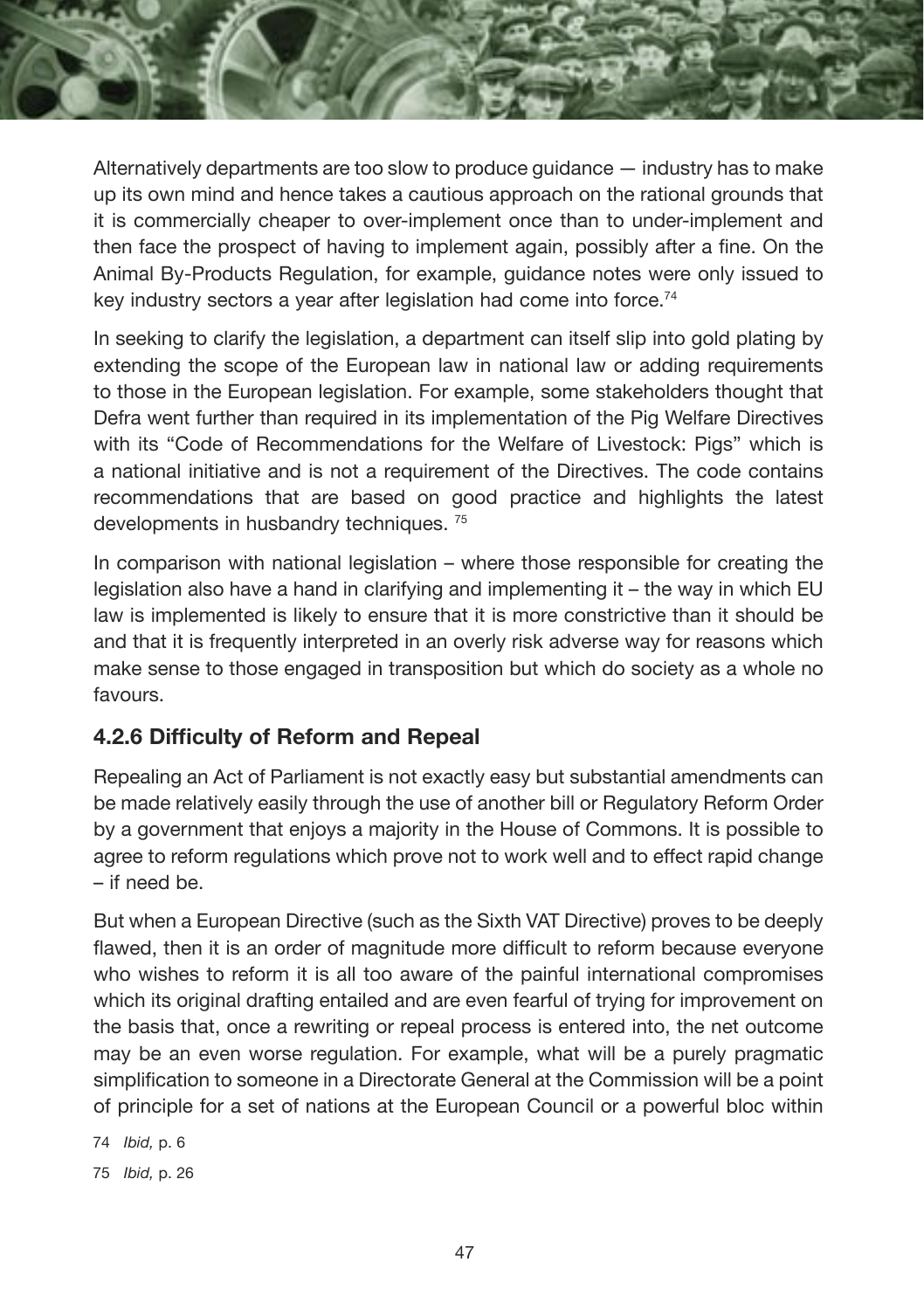Alternatively departments are too slow to produce guidance — industry has to make up its own mind and hence takes a cautious approach on the rational grounds that it is commercially cheaper to over-implement once than to under-implement and then face the prospect of having to implement again, possibly after a fine. On the Animal By-Products Regulation, for example, guidance notes were only issued to key industry sectors a year after legislation had come into force.<sup>74</sup>

In seeking to clarify the legislation, a department can itself slip into gold plating by extending the scope of the European law in national law or adding requirements to those in the European legislation. For example, some stakeholders thought that Defra went further than required in its implementation of the Pig Welfare Directives with its "Code of Recommendations for the Welfare of Livestock: Pigs" which is a national initiative and is not a requirement of the Directives. The code contains recommendations that are based on good practice and highlights the latest developments in husbandry techniques. 75

In comparison with national legislation – where those responsible for creating the legislation also have a hand in clarifying and implementing it – the way in which EU law is implemented is likely to ensure that it is more constrictive than it should be and that it is frequently interpreted in an overly risk adverse way for reasons which make sense to those engaged in transposition but which do society as a whole no favours.

#### **4.2.6 Difficulty of Reform and Repeal**

Repealing an Act of Parliament is not exactly easy but substantial amendments can be made relatively easily through the use of another bill or Regulatory Reform Order by a government that enjoys a majority in the House of Commons. It is possible to agree to reform regulations which prove not to work well and to effect rapid change – if need be.

But when a European Directive (such as the Sixth VAT Directive) proves to be deeply flawed, then it is an order of magnitude more difficult to reform because everyone who wishes to reform it is all too aware of the painful international compromises which its original drafting entailed and are even fearful of trying for improvement on the basis that, once a rewriting or repeal process is entered into, the net outcome may be an even worse regulation. For example, what will be a purely pragmatic simplification to someone in a Directorate General at the Commission will be a point of principle for a set of nations at the European Council or a powerful bloc within

74 *Ibid,* p. 6

75 *Ibid,* p. 26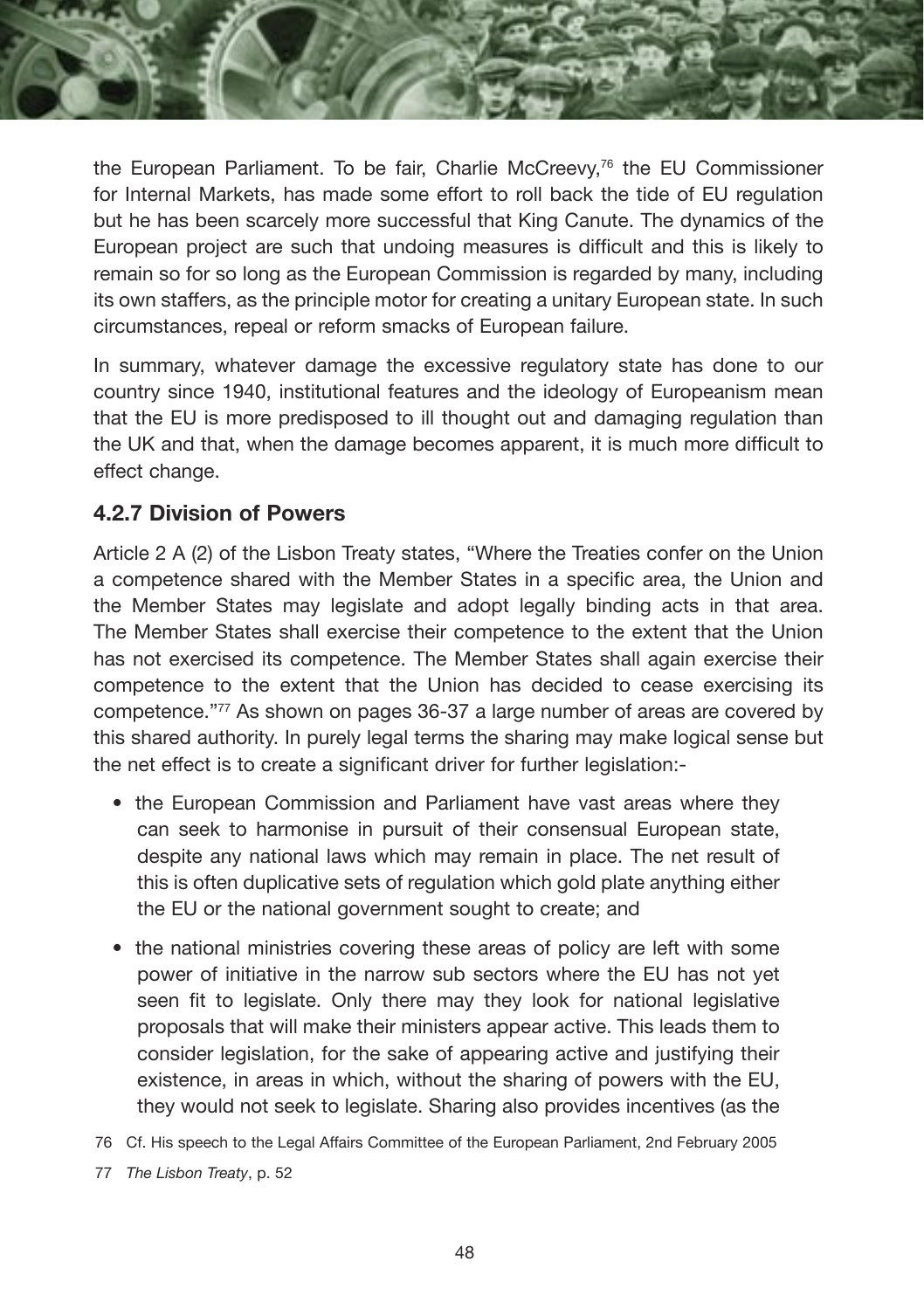the European Parliament. To be fair, Charlie McCreevy,76 the EU Commissioner for Internal Markets, has made some effort to roll back the tide of EU regulation but he has been scarcely more successful that King Canute. The dynamics of the European project are such that undoing measures is difficult and this is likely to remain so for so long as the European Commission is regarded by many, including its own staffers, as the principle motor for creating a unitary European state. In such circumstances, repeal or reform smacks of European failure.

In summary, whatever damage the excessive regulatory state has done to our country since 1940, institutional features and the ideology of Europeanism mean that the EU is more predisposed to ill thought out and damaging regulation than the UK and that, when the damage becomes apparent, it is much more difficult to effect change.

#### **4.2.7 Division of Powers**

Article 2 A (2) of the Lisbon Treaty states, "Where the Treaties confer on the Union a competence shared with the Member States in a specific area, the Union and the Member States may legislate and adopt legally binding acts in that area. The Member States shall exercise their competence to the extent that the Union has not exercised its competence. The Member States shall again exercise their competence to the extent that the Union has decided to cease exercising its competence."77 As shown on pages 36-37 a large number of areas are covered by this shared authority. In purely legal terms the sharing may make logical sense but the net effect is to create a significant driver for further legislation:-

- the European Commission and Parliament have vast areas where they can seek to harmonise in pursuit of their consensual European state, despite any national laws which may remain in place. The net result of this is often duplicative sets of regulation which gold plate anything either the EU or the national government sought to create; and
- the national ministries covering these areas of policy are left with some power of initiative in the narrow sub sectors where the EU has not yet seen fit to legislate. Only there may they look for national legislative proposals that will make their ministers appear active. This leads them to consider legislation, for the sake of appearing active and justifying their existence, in areas in which, without the sharing of powers with the EU, they would not seek to legislate. Sharing also provides incentives (as the
- 76 Cf. His speech to the Legal Affairs Committee of the European Parliament, 2nd February 2005
- 77 *The Lisbon Treaty*, p. 52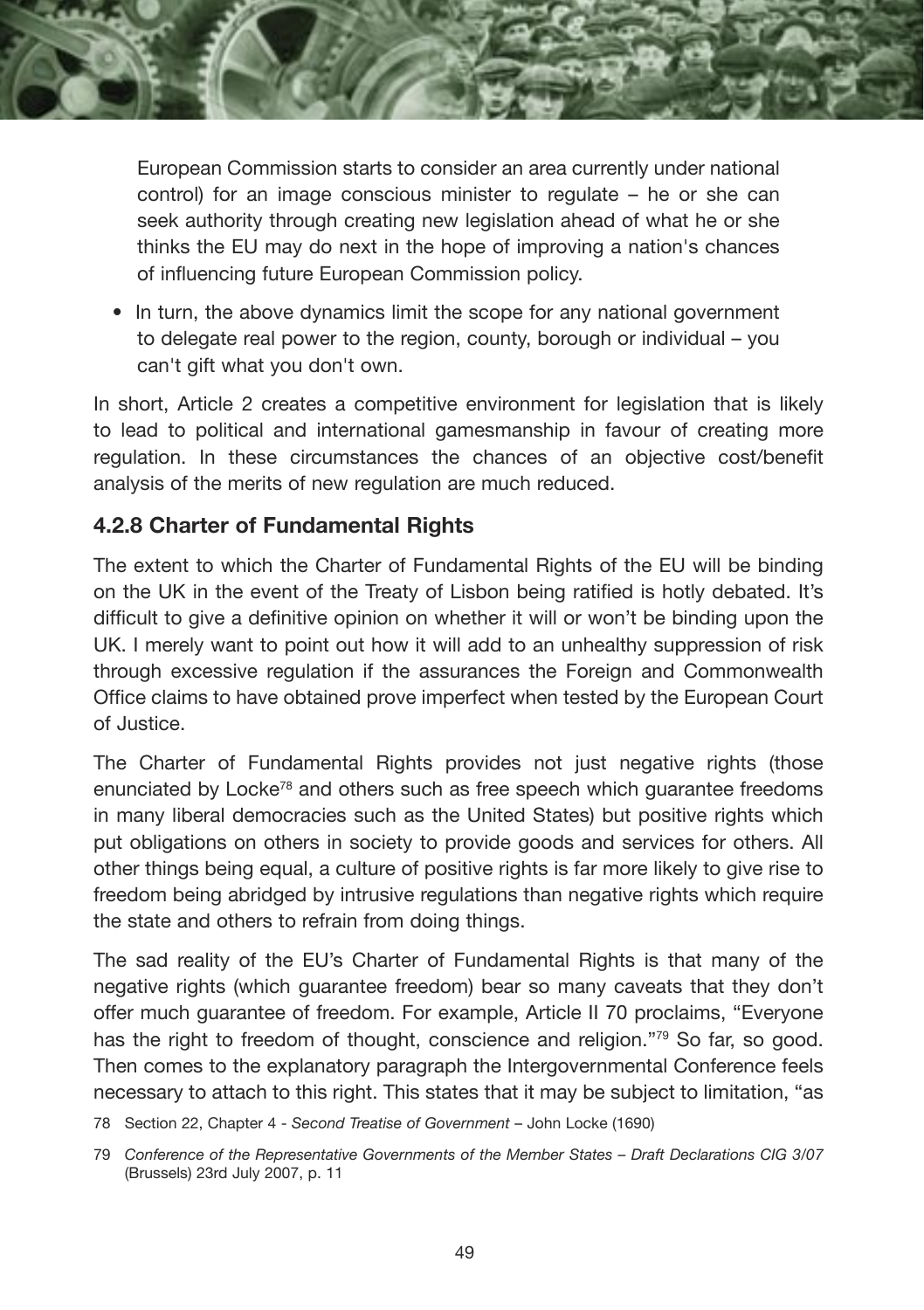

European Commission starts to consider an area currently under national control) for an image conscious minister to regulate – he or she can seek authority through creating new legislation ahead of what he or she thinks the EU may do next in the hope of improving a nation's chances of influencing future European Commission policy.

• In turn, the above dynamics limit the scope for any national government to delegate real power to the region, county, borough or individual – you can't gift what you don't own.

In short, Article 2 creates a competitive environment for legislation that is likely to lead to political and international gamesmanship in favour of creating more regulation. In these circumstances the chances of an objective cost/benefit analysis of the merits of new regulation are much reduced.

#### **4.2.8 Charter of Fundamental Rights**

The extent to which the Charter of Fundamental Rights of the EU will be binding on the UK in the event of the Treaty of Lisbon being ratified is hotly debated. It's difficult to give a definitive opinion on whether it will or won't be binding upon the UK. I merely want to point out how it will add to an unhealthy suppression of risk through excessive regulation if the assurances the Foreign and Commonwealth Office claims to have obtained prove imperfect when tested by the European Court of Justice.

The Charter of Fundamental Rights provides not just negative rights (those enunciated by Locke<sup>78</sup> and others such as free speech which guarantee freedoms in many liberal democracies such as the United States) but positive rights which put obligations on others in society to provide goods and services for others. All other things being equal, a culture of positive rights is far more likely to give rise to freedom being abridged by intrusive regulations than negative rights which require the state and others to refrain from doing things.

The sad reality of the EU's Charter of Fundamental Rights is that many of the negative rights (which guarantee freedom) bear so many caveats that they don't offer much guarantee of freedom. For example, Article II 70 proclaims, "Everyone has the right to freedom of thought, conscience and religion."<sup>79</sup> So far, so good. Then comes to the explanatory paragraph the Intergovernmental Conference feels necessary to attach to this right. This states that it may be subject to limitation, "as

78 Section 22, Chapter 4 - *Second Treatise of Government* – John Locke (1690)

<sup>79</sup> *Conference of the Representative Governments of the Member States – Draft Declarations CIG 3/07*  (Brussels) 23rd July 2007, p. 11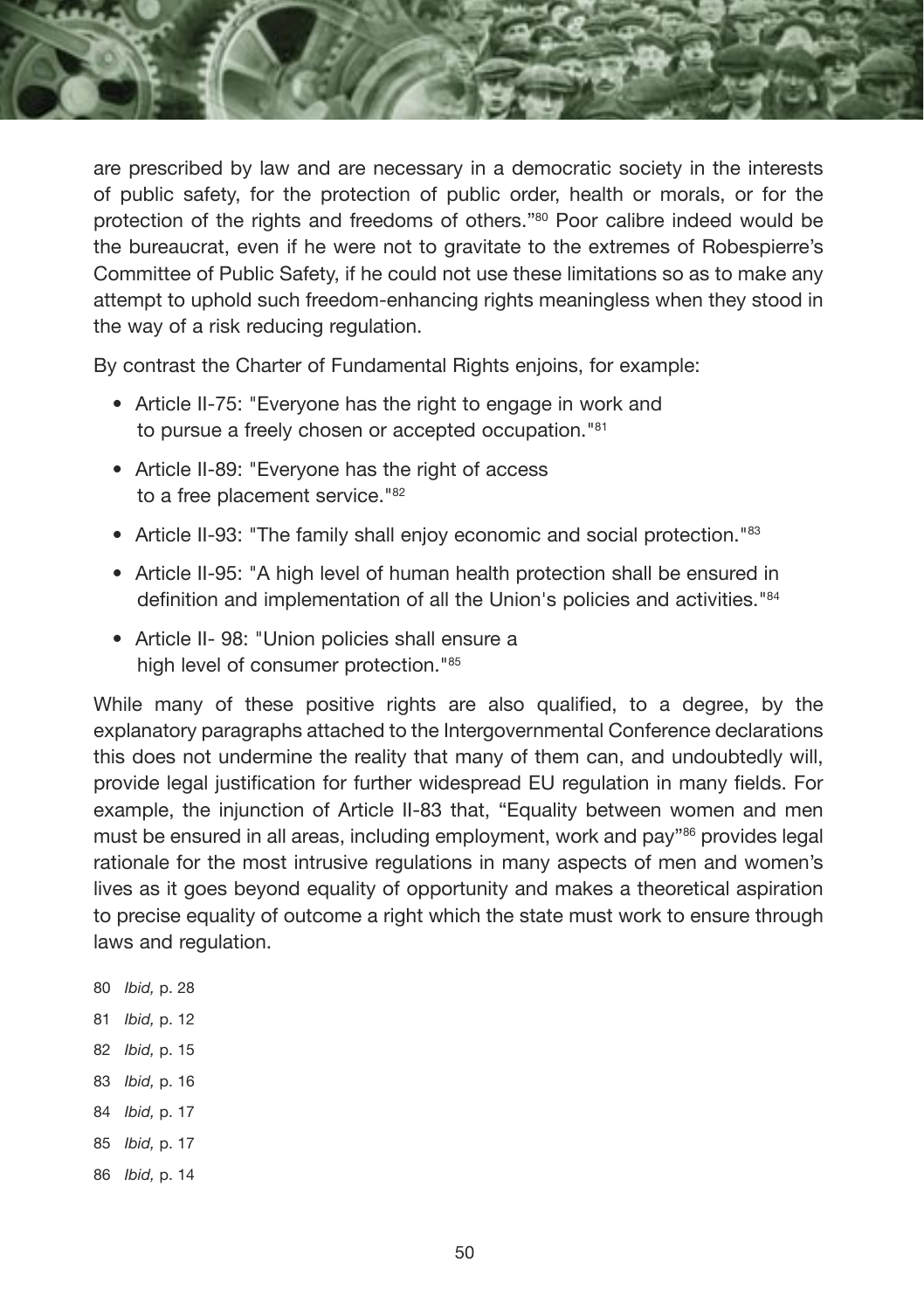

are prescribed by law and are necessary in a democratic society in the interests of public safety, for the protection of public order, health or morals, or for the protection of the rights and freedoms of others."80 Poor calibre indeed would be the bureaucrat, even if he were not to gravitate to the extremes of Robespierre's Committee of Public Safety, if he could not use these limitations so as to make any attempt to uphold such freedom-enhancing rights meaningless when they stood in the way of a risk reducing regulation.

By contrast the Charter of Fundamental Rights enjoins, for example:

- Article II-75: "Everyone has the right to engage in work and to pursue a freely chosen or accepted occupation."81
- Article II-89: "Everyone has the right of access to a free placement service."<sup>82</sup>
- Article II-93: "The family shall enjoy economic and social protection."83
- Article II-95: "A high level of human health protection shall be ensured in definition and implementation of all the Union's policies and activities."84
- Article II- 98: "Union policies shall ensure a high level of consumer protection."<sup>85</sup>

While many of these positive rights are also qualified, to a degree, by the explanatory paragraphs attached to the Intergovernmental Conference declarations this does not undermine the reality that many of them can, and undoubtedly will, provide legal justification for further widespread EU regulation in many fields. For example, the injunction of Article II-83 that, "Equality between women and men must be ensured in all areas, including employment, work and pay"86 provides legal rationale for the most intrusive regulations in many aspects of men and women's lives as it goes beyond equality of opportunity and makes a theoretical aspiration to precise equality of outcome a right which the state must work to ensure through laws and regulation.

- 80 *Ibid,* p. 28
- 81 *Ibid,* p. 12
- 82 *Ibid,* p. 15
- 83 *Ibid,* p. 16
- 84 *Ibid,* p. 17
- 85 *Ibid,* p. 17
- 86 *Ibid,* p. 14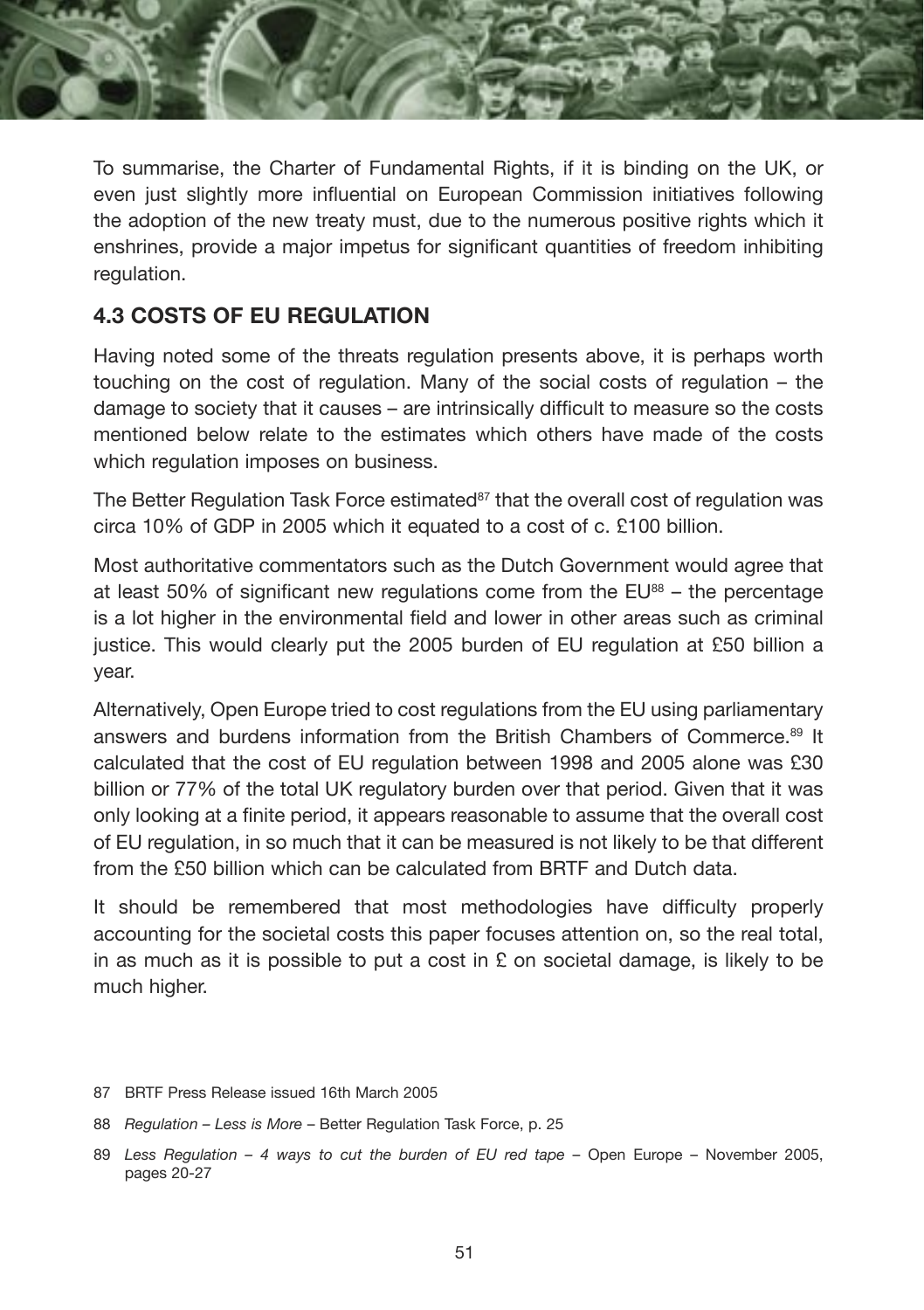

To summarise, the Charter of Fundamental Rights, if it is binding on the UK, or even just slightly more influential on European Commission initiatives following the adoption of the new treaty must, due to the numerous positive rights which it enshrines, provide a major impetus for significant quantities of freedom inhibiting regulation.

#### **4.3 COSTS OF EU REGULATION**

Having noted some of the threats regulation presents above, it is perhaps worth touching on the cost of regulation. Many of the social costs of regulation – the damage to society that it causes – are intrinsically difficult to measure so the costs mentioned below relate to the estimates which others have made of the costs which regulation imposes on business.

The Better Regulation Task Force estimated<sup>87</sup> that the overall cost of regulation was circa 10% of GDP in 2005 which it equated to a cost of c. £100 billion.

Most authoritative commentators such as the Dutch Government would agree that at least 50% of significant new regulations come from the  $EU^{88}$  – the percentage is a lot higher in the environmental field and lower in other areas such as criminal justice. This would clearly put the 2005 burden of EU regulation at £50 billion a year.

Alternatively, Open Europe tried to cost regulations from the EU using parliamentary answers and burdens information from the British Chambers of Commerce.<sup>89</sup> It calculated that the cost of EU regulation between 1998 and 2005 alone was £30 billion or 77% of the total UK regulatory burden over that period. Given that it was only looking at a finite period, it appears reasonable to assume that the overall cost of EU regulation, in so much that it can be measured is not likely to be that different from the £50 billion which can be calculated from BRTF and Dutch data.

It should be remembered that most methodologies have difficulty properly accounting for the societal costs this paper focuses attention on, so the real total, in as much as it is possible to put a cost in  $E$  on societal damage, is likely to be much higher.

- 87 BRTF Press Release issued 16th March 2005
- 88 *Regulation Less is More* Better Regulation Task Force, p. 25
- 89 *Less Regulation 4 ways to cut the burden of EU red tape –* Open Europe November 2005, pages 20-27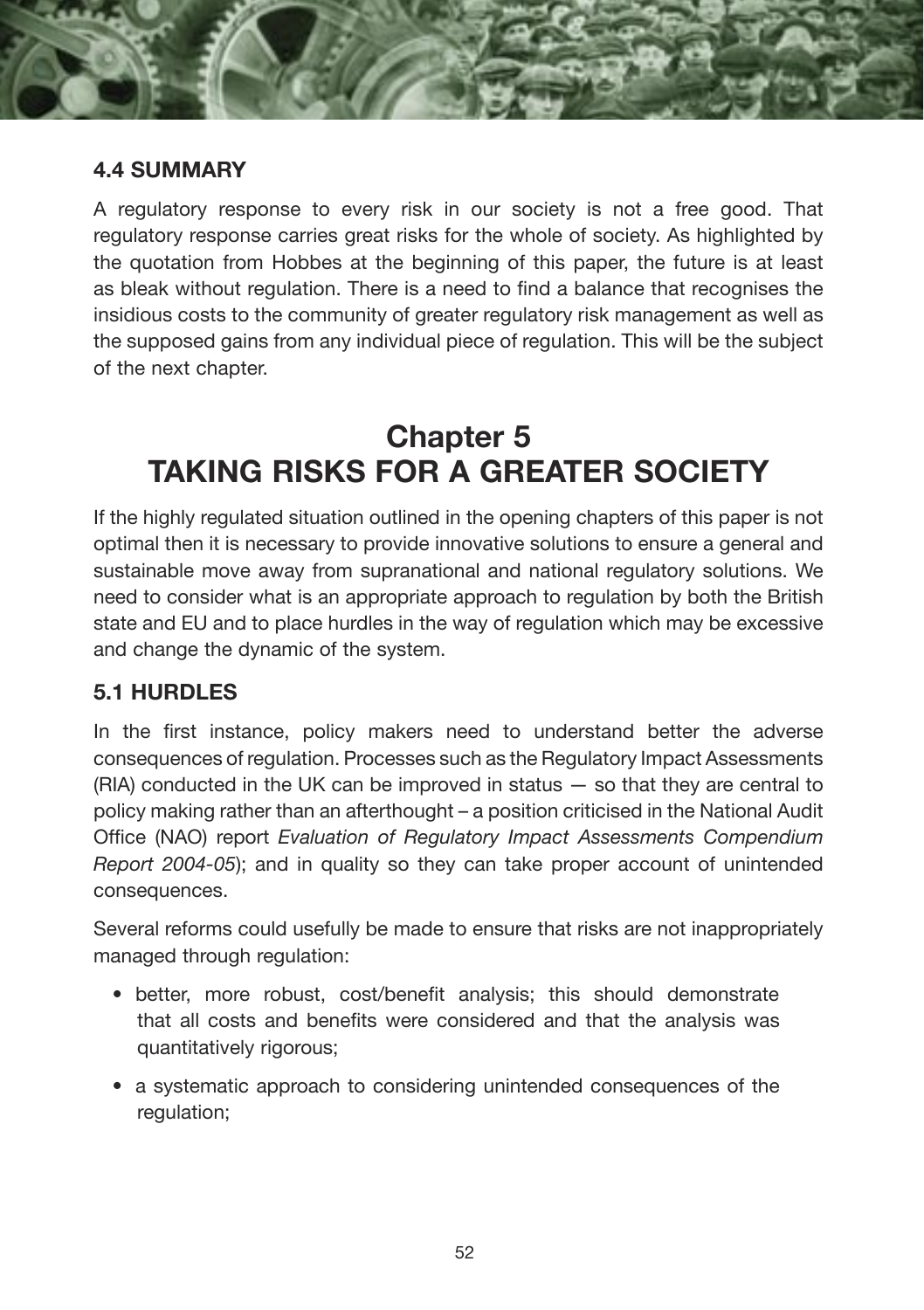

#### **4.4 SUMMARY**

A regulatory response to every risk in our society is not a free good. That regulatory response carries great risks for the whole of society. As highlighted by the quotation from Hobbes at the beginning of this paper, the future is at least as bleak without regulation. There is a need to find a balance that recognises the insidious costs to the community of greater regulatory risk management as well as the supposed gains from any individual piece of regulation. This will be the subject of the next chapter.

## **Chapter 5 TAKING RISKS FOR A GREATER SOCIETY**

If the highly regulated situation outlined in the opening chapters of this paper is not optimal then it is necessary to provide innovative solutions to ensure a general and sustainable move away from supranational and national regulatory solutions. We need to consider what is an appropriate approach to regulation by both the British state and EU and to place hurdles in the way of regulation which may be excessive and change the dynamic of the system.

#### **5.1 HURDLES**

In the first instance, policy makers need to understand better the adverse consequences of regulation. Processes such as the Regulatory Impact Assessments  $(RIA)$  conducted in the UK can be improved in status  $-$  so that they are central to policy making rather than an afterthought – a position criticised in the National Audit Office (NAO) report *Evaluation of Regulatory Impact Assessments Compendium Report 2004-05*); and in quality so they can take proper account of unintended consequences.

Several reforms could usefully be made to ensure that risks are not inappropriately managed through regulation:

- better, more robust, cost/benefit analysis; this should demonstrate that all costs and benefits were considered and that the analysis was quantitatively rigorous;
- a systematic approach to considering unintended consequences of the regulation;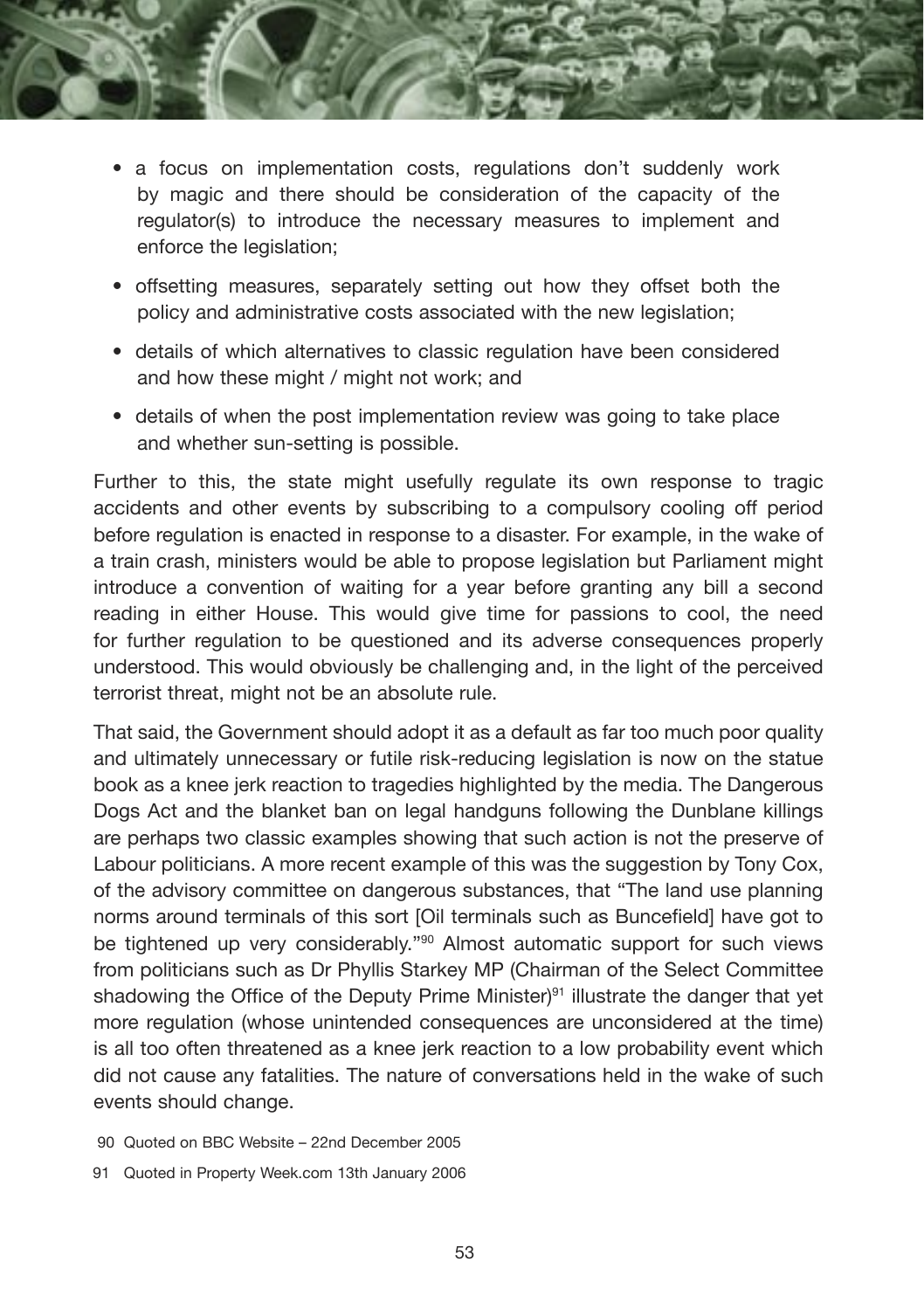- - a focus on implementation costs, regulations don't suddenly work by magic and there should be consideration of the capacity of the regulator(s) to introduce the necessary measures to implement and enforce the legislation;
	- offsetting measures, separately setting out how they offset both the policy and administrative costs associated with the new legislation;
	- details of which alternatives to classic regulation have been considered and how these might / might not work; and
	- details of when the post implementation review was going to take place and whether sun-setting is possible.

Further to this, the state might usefully regulate its own response to tragic accidents and other events by subscribing to a compulsory cooling off period before regulation is enacted in response to a disaster. For example, in the wake of a train crash, ministers would be able to propose legislation but Parliament might introduce a convention of waiting for a year before granting any bill a second reading in either House. This would give time for passions to cool, the need for further regulation to be questioned and its adverse consequences properly understood. This would obviously be challenging and, in the light of the perceived terrorist threat, might not be an absolute rule.

That said, the Government should adopt it as a default as far too much poor quality and ultimately unnecessary or futile risk-reducing legislation is now on the statue book as a knee jerk reaction to tragedies highlighted by the media. The Dangerous Dogs Act and the blanket ban on legal handguns following the Dunblane killings are perhaps two classic examples showing that such action is not the preserve of Labour politicians. A more recent example of this was the suggestion by Tony Cox, of the advisory committee on dangerous substances, that "The land use planning norms around terminals of this sort [Oil terminals such as Buncefield] have got to be tightened up very considerably."90 Almost automatic support for such views from politicians such as Dr Phyllis Starkey MP (Chairman of the Select Committee shadowing the Office of the Deputy Prime Minister) $91$  illustrate the danger that yet more regulation (whose unintended consequences are unconsidered at the time) is all too often threatened as a knee jerk reaction to a low probability event which did not cause any fatalities. The nature of conversations held in the wake of such events should change.

- 90 Quoted on BBC Website 22nd December 2005
- 91 Quoted in Property Week.com 13th January 2006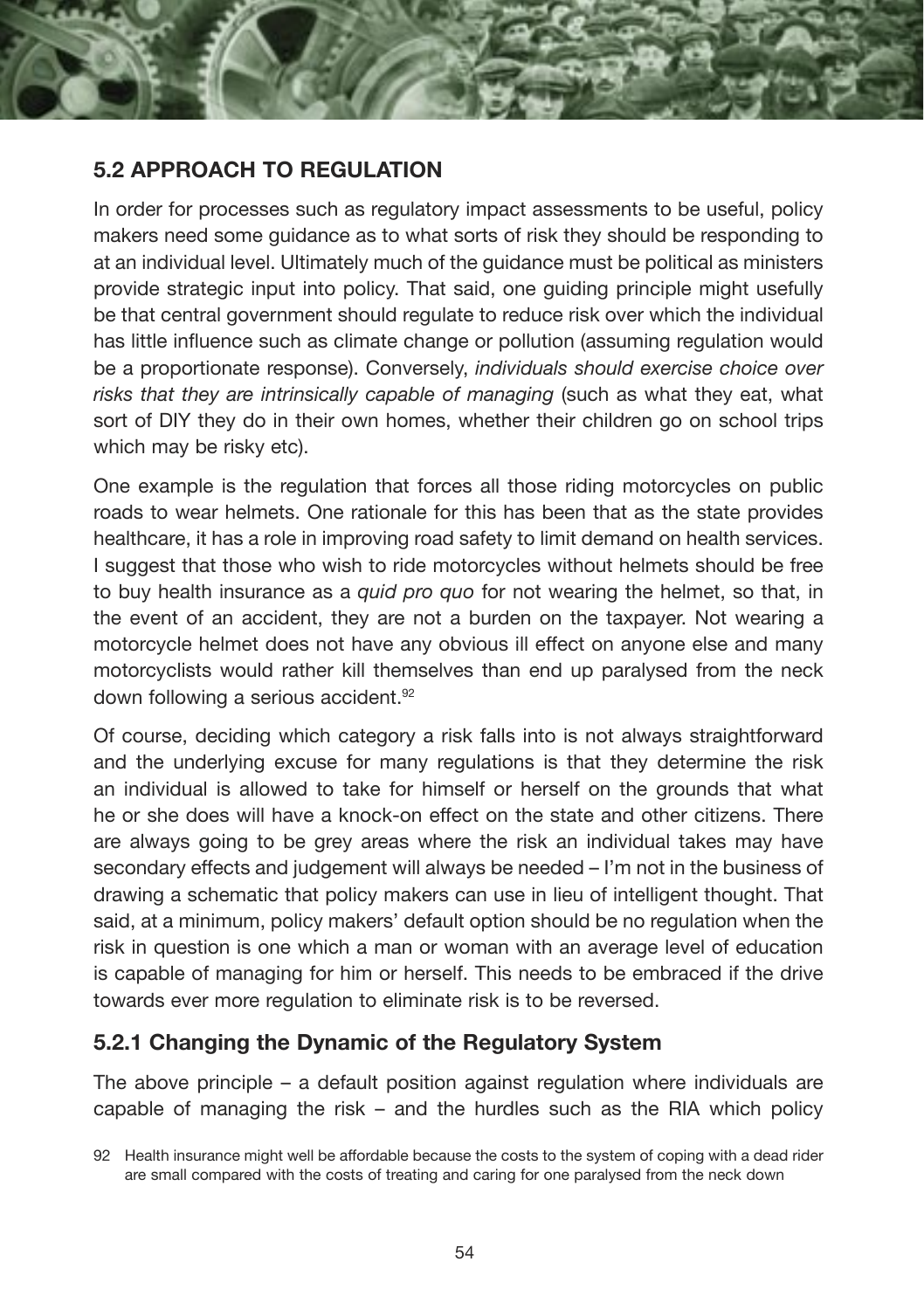

In order for processes such as regulatory impact assessments to be useful, policy makers need some guidance as to what sorts of risk they should be responding to at an individual level. Ultimately much of the guidance must be political as ministers provide strategic input into policy. That said, one guiding principle might usefully be that central government should regulate to reduce risk over which the individual has little influence such as climate change or pollution (assuming regulation would be a proportionate response). Conversely, *individuals should exercise choice over risks that they are intrinsically capable of managing* (such as what they eat, what sort of DIY they do in their own homes, whether their children go on school trips which may be risky etc).

One example is the regulation that forces all those riding motorcycles on public roads to wear helmets. One rationale for this has been that as the state provides healthcare, it has a role in improving road safety to limit demand on health services. I suggest that those who wish to ride motorcycles without helmets should be free to buy health insurance as a *quid pro quo* for not wearing the helmet, so that, in the event of an accident, they are not a burden on the taxpayer. Not wearing a motorcycle helmet does not have any obvious ill effect on anyone else and many motorcyclists would rather kill themselves than end up paralysed from the neck down following a serious accident.92

Of course, deciding which category a risk falls into is not always straightforward and the underlying excuse for many regulations is that they determine the risk an individual is allowed to take for himself or herself on the grounds that what he or she does will have a knock-on effect on the state and other citizens. There are always going to be grey areas where the risk an individual takes may have secondary effects and judgement will always be needed – I'm not in the business of drawing a schematic that policy makers can use in lieu of intelligent thought. That said, at a minimum, policy makers' default option should be no regulation when the risk in question is one which a man or woman with an average level of education is capable of managing for him or herself. This needs to be embraced if the drive towards ever more regulation to eliminate risk is to be reversed.

#### **5.2.1 Changing the Dynamic of the Regulatory System**

The above principle – a default position against regulation where individuals are capable of managing the risk – and the hurdles such as the RIA which policy

<sup>92</sup> Health insurance might well be affordable because the costs to the system of coping with a dead rider are small compared with the costs of treating and caring for one paralysed from the neck down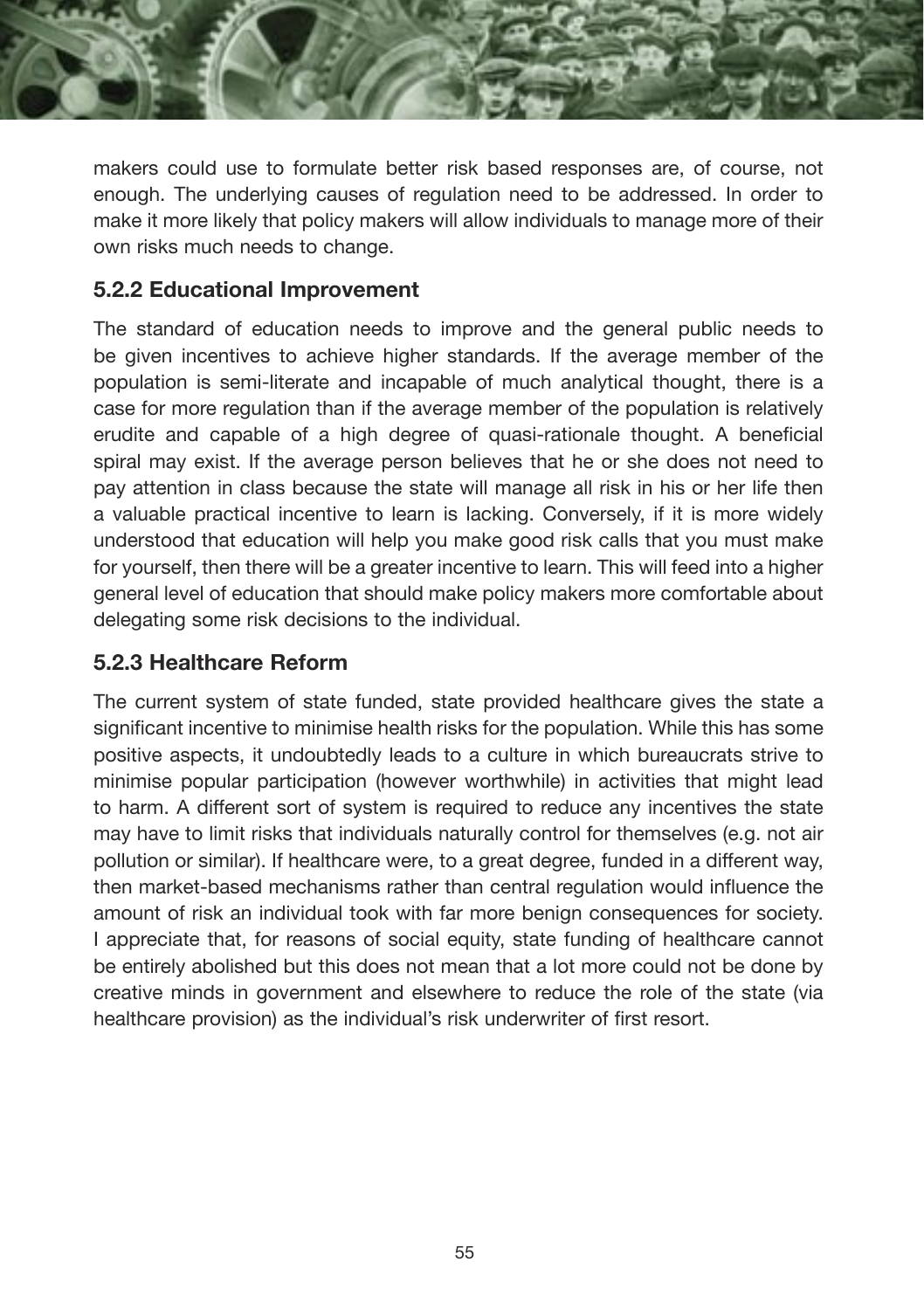

makers could use to formulate better risk based responses are, of course, not enough. The underlying causes of regulation need to be addressed. In order to make it more likely that policy makers will allow individuals to manage more of their own risks much needs to change.

#### **5.2.2 Educational Improvement**

The standard of education needs to improve and the general public needs to be given incentives to achieve higher standards. If the average member of the population is semi-literate and incapable of much analytical thought, there is a case for more regulation than if the average member of the population is relatively erudite and capable of a high degree of quasi-rationale thought. A beneficial spiral may exist. If the average person believes that he or she does not need to pay attention in class because the state will manage all risk in his or her life then a valuable practical incentive to learn is lacking. Conversely, if it is more widely understood that education will help you make good risk calls that you must make for yourself, then there will be a greater incentive to learn. This will feed into a higher general level of education that should make policy makers more comfortable about delegating some risk decisions to the individual.

#### **5.2.3 Healthcare Reform**

The current system of state funded, state provided healthcare gives the state a significant incentive to minimise health risks for the population. While this has some positive aspects, it undoubtedly leads to a culture in which bureaucrats strive to minimise popular participation (however worthwhile) in activities that might lead to harm. A different sort of system is required to reduce any incentives the state may have to limit risks that individuals naturally control for themselves (e.g. not air pollution or similar). If healthcare were, to a great degree, funded in a different way, then market-based mechanisms rather than central regulation would influence the amount of risk an individual took with far more benign consequences for society. I appreciate that, for reasons of social equity, state funding of healthcare cannot be entirely abolished but this does not mean that a lot more could not be done by creative minds in government and elsewhere to reduce the role of the state (via healthcare provision) as the individual's risk underwriter of first resort.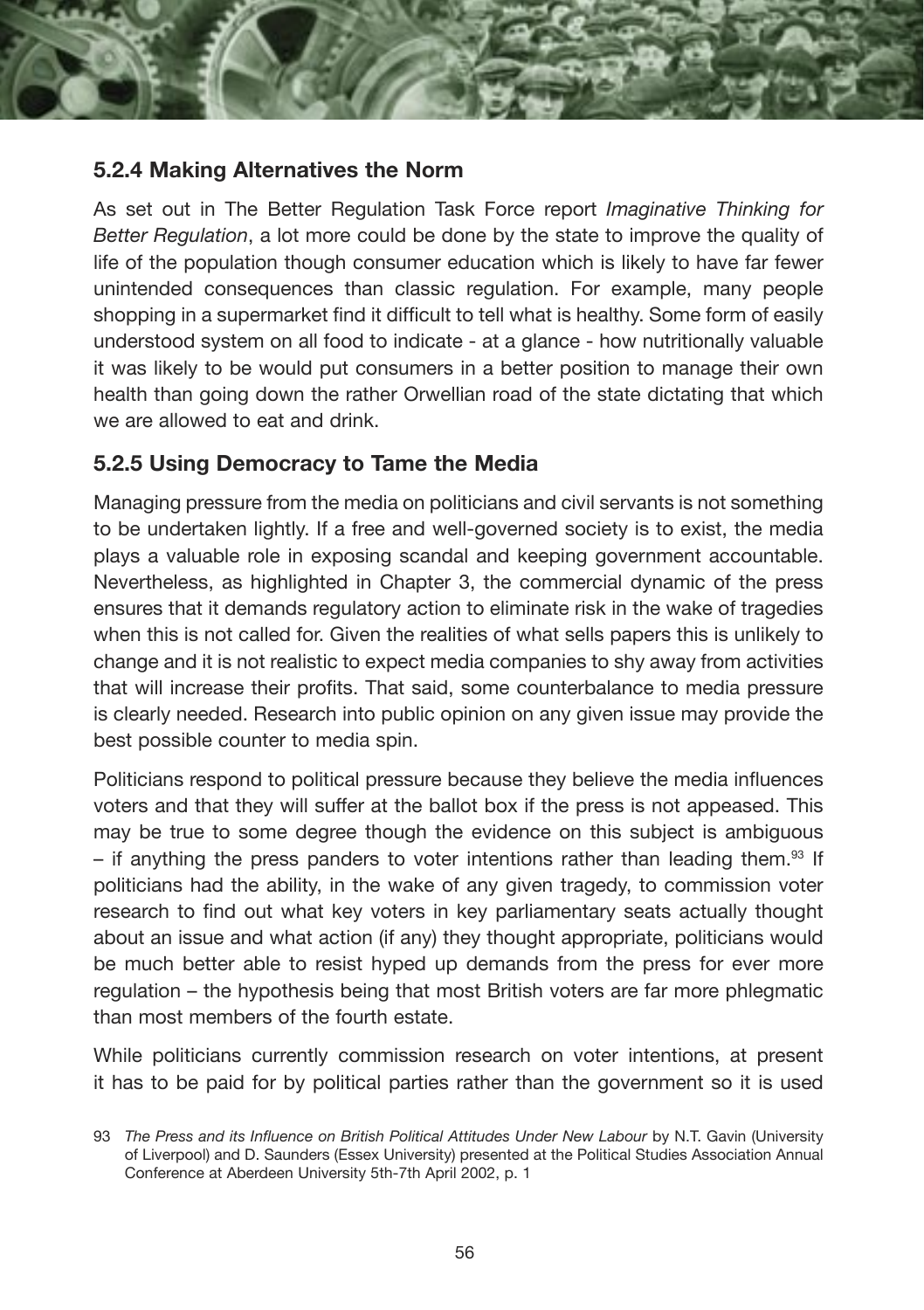

#### **5.2.4 Making Alternatives the Norm**

As set out in The Better Regulation Task Force report *Imaginative Thinking for Better Regulation*, a lot more could be done by the state to improve the quality of life of the population though consumer education which is likely to have far fewer unintended consequences than classic regulation. For example, many people shopping in a supermarket find it difficult to tell what is healthy. Some form of easily understood system on all food to indicate - at a glance - how nutritionally valuable it was likely to be would put consumers in a better position to manage their own health than going down the rather Orwellian road of the state dictating that which we are allowed to eat and drink

#### **5.2.5 Using Democracy to Tame the Media**

Managing pressure from the media on politicians and civil servants is not something to be undertaken lightly. If a free and well-governed society is to exist, the media plays a valuable role in exposing scandal and keeping government accountable. Nevertheless, as highlighted in Chapter 3, the commercial dynamic of the press ensures that it demands regulatory action to eliminate risk in the wake of tragedies when this is not called for. Given the realities of what sells papers this is unlikely to change and it is not realistic to expect media companies to shy away from activities that will increase their profits. That said, some counterbalance to media pressure is clearly needed. Research into public opinion on any given issue may provide the best possible counter to media spin.

Politicians respond to political pressure because they believe the media influences voters and that they will suffer at the ballot box if the press is not appeased. This may be true to some degree though the evidence on this subject is ambiguous – if anything the press panders to voter intentions rather than leading them. $93$  If politicians had the ability, in the wake of any given tragedy, to commission voter research to find out what key voters in key parliamentary seats actually thought about an issue and what action (if any) they thought appropriate, politicians would be much better able to resist hyped up demands from the press for ever more regulation – the hypothesis being that most British voters are far more phlegmatic than most members of the fourth estate.

While politicians currently commission research on voter intentions, at present it has to be paid for by political parties rather than the government so it is used

<sup>93</sup> The Press and its Influence on British Political Attitudes Under New Labour by N.T. Gavin (University of Liverpool) and D. Saunders (Essex University) presented at the Political Studies Association Annual Conference at Aberdeen University 5th-7th April 2002, p. 1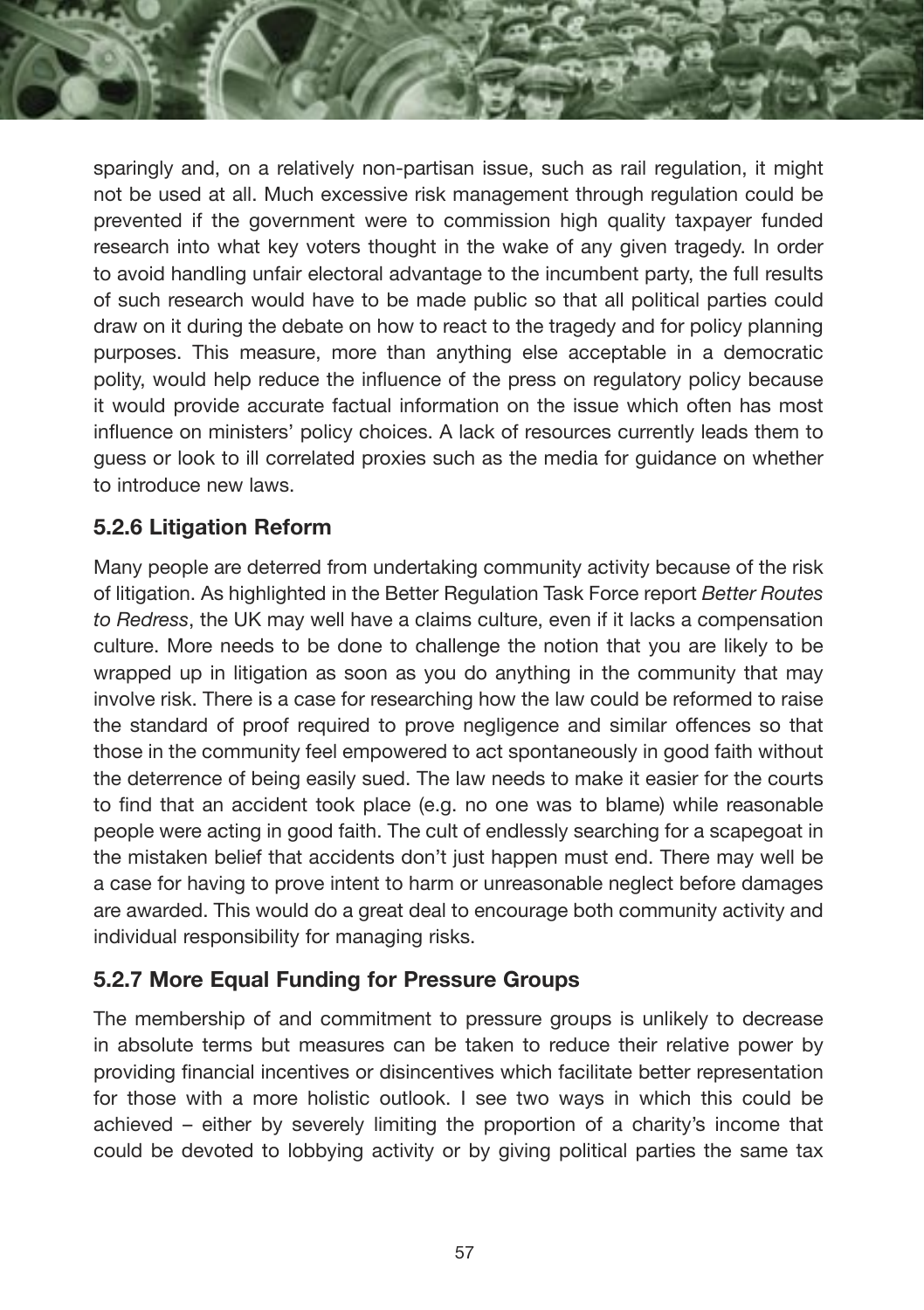sparingly and, on a relatively non-partisan issue, such as rail regulation, it might not be used at all. Much excessive risk management through regulation could be prevented if the government were to commission high quality taxpayer funded research into what key voters thought in the wake of any given tragedy. In order to avoid handling unfair electoral advantage to the incumbent party, the full results of such research would have to be made public so that all political parties could draw on it during the debate on how to react to the tragedy and for policy planning purposes. This measure, more than anything else acceptable in a democratic polity, would help reduce the influence of the press on regulatory policy because it would provide accurate factual information on the issue which often has most influence on ministers' policy choices. A lack of resources currently leads them to guess or look to ill correlated proxies such as the media for guidance on whether to introduce new laws.

#### **5.2.6 Litigation Reform**

Many people are deterred from undertaking community activity because of the risk of litigation. As highlighted in the Better Regulation Task Force report *Better Routes to Redress*, the UK may well have a claims culture, even if it lacks a compensation culture. More needs to be done to challenge the notion that you are likely to be wrapped up in litigation as soon as you do anything in the community that may involve risk. There is a case for researching how the law could be reformed to raise the standard of proof required to prove negligence and similar offences so that those in the community feel empowered to act spontaneously in good faith without the deterrence of being easily sued. The law needs to make it easier for the courts to find that an accident took place (e.g. no one was to blame) while reasonable people were acting in good faith. The cult of endlessly searching for a scapegoat in the mistaken belief that accidents don't just happen must end. There may well be a case for having to prove intent to harm or unreasonable neglect before damages are awarded. This would do a great deal to encourage both community activity and individual responsibility for managing risks.

#### **5.2.7 More Equal Funding for Pressure Groups**

The membership of and commitment to pressure groups is unlikely to decrease in absolute terms but measures can be taken to reduce their relative power by providing financial incentives or disincentives which facilitate better representation for those with a more holistic outlook. I see two ways in which this could be achieved – either by severely limiting the proportion of a charity's income that could be devoted to lobbying activity or by giving political parties the same tax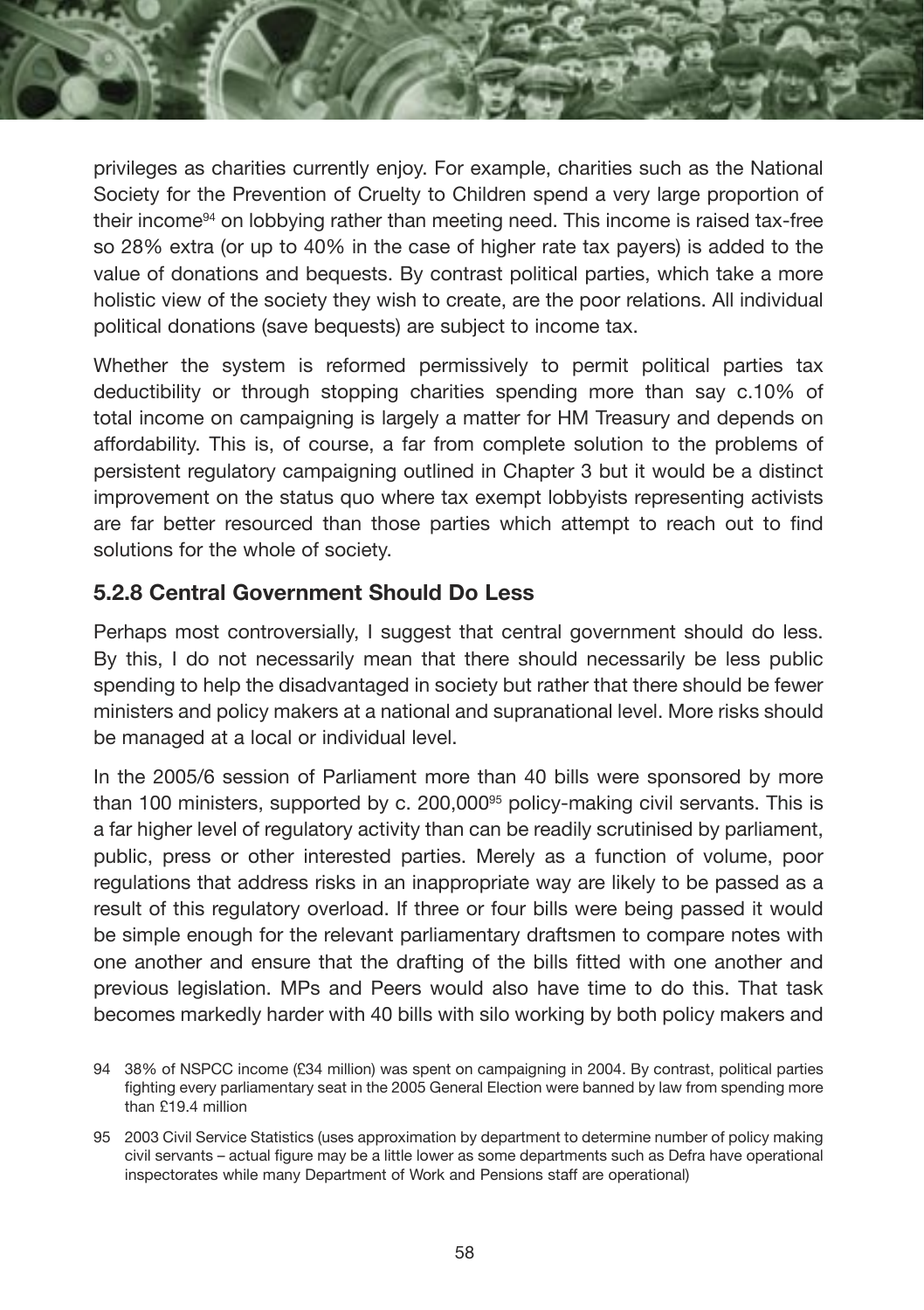privileges as charities currently enjoy. For example, charities such as the National Society for the Prevention of Cruelty to Children spend a very large proportion of their income94 on lobbying rather than meeting need. This income is raised tax-free so 28% extra (or up to 40% in the case of higher rate tax payers) is added to the value of donations and bequests. By contrast political parties, which take a more holistic view of the society they wish to create, are the poor relations. All individual political donations (save bequests) are subject to income tax.

Whether the system is reformed permissively to permit political parties tax deductibility or through stopping charities spending more than say c.10% of total income on campaigning is largely a matter for HM Treasury and depends on affordability. This is, of course, a far from complete solution to the problems of persistent regulatory campaigning outlined in Chapter 3 but it would be a distinct improvement on the status quo where tax exempt lobbyists representing activists are far better resourced than those parties which attempt to reach out to find solutions for the whole of society.

#### **5.2.8 Central Government Should Do Less**

Perhaps most controversially. I suggest that central government should do less. By this, I do not necessarily mean that there should necessarily be less public spending to help the disadvantaged in society but rather that there should be fewer ministers and policy makers at a national and supranational level. More risks should be managed at a local or individual level.

In the 2005/6 session of Parliament more than 40 bills were sponsored by more than 100 ministers, supported by c. 200,00095 policy-making civil servants. This is a far higher level of regulatory activity than can be readily scrutinised by parliament, public, press or other interested parties. Merely as a function of volume, poor regulations that address risks in an inappropriate way are likely to be passed as a result of this regulatory overload. If three or four bills were being passed it would be simple enough for the relevant parliamentary draftsmen to compare notes with one another and ensure that the drafting of the bills fitted with one another and previous legislation. MPs and Peers would also have time to do this. That task becomes markedly harder with 40 bills with silo working by both policy makers and

<sup>94 38%</sup> of NSPCC income (£34 million) was spent on campaigning in 2004. By contrast, political parties fighting every parliamentary seat in the 2005 General Election were banned by law from spending more than £19.4 million

<sup>95 2003</sup> Civil Service Statistics (uses approximation by department to determine number of policy making civil servants – actual figure may be a little lower as some departments such as Defra have operational inspectorates while many Department of Work and Pensions staff are operational)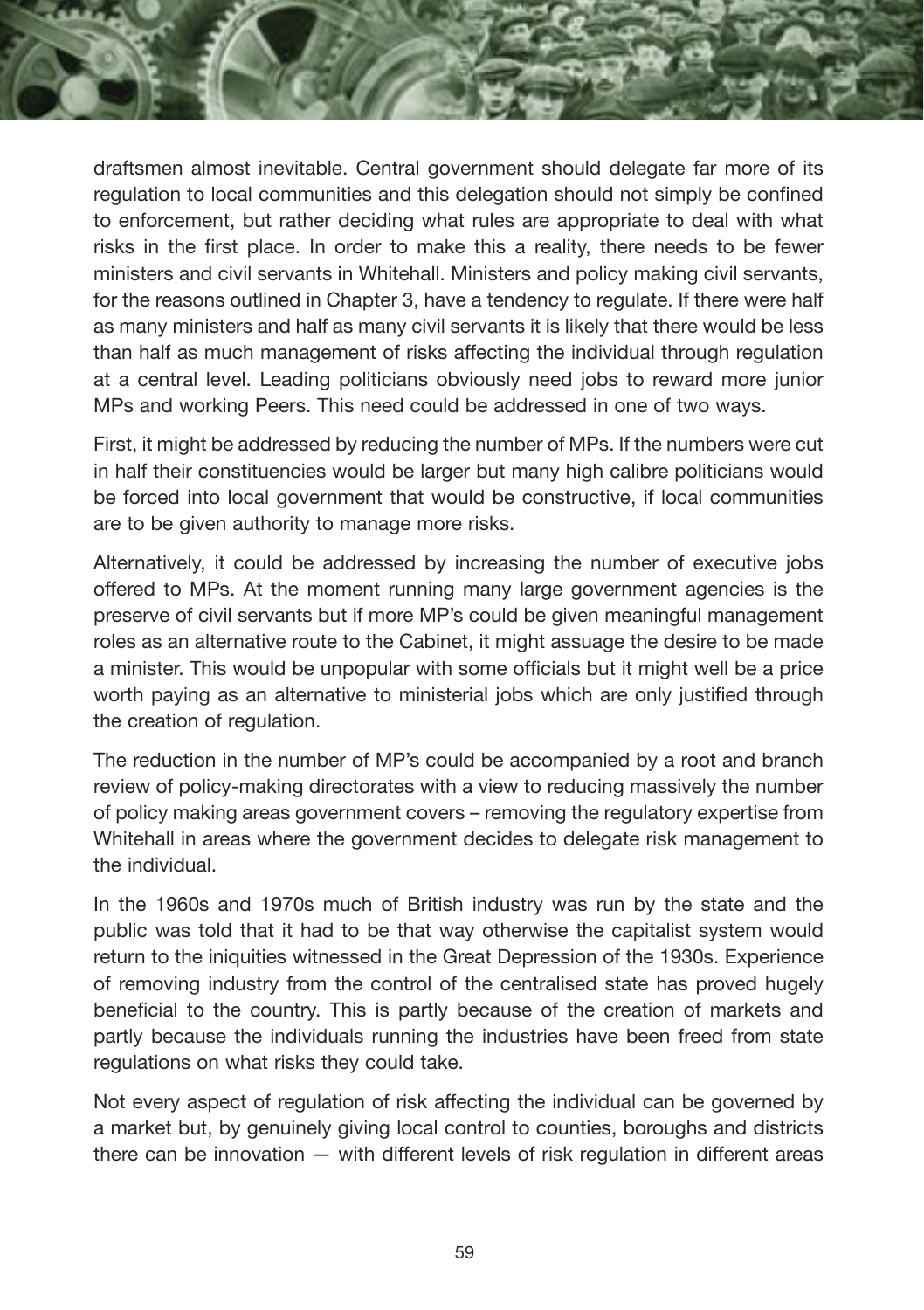draftsmen almost inevitable. Central government should delegate far more of its regulation to local communities and this delegation should not simply be confined to enforcement, but rather deciding what rules are appropriate to deal with what risks in the first place. In order to make this a reality, there needs to be fewer ministers and civil servants in Whitehall. Ministers and policy making civil servants, for the reasons outlined in Chapter 3, have a tendency to regulate. If there were half as many ministers and half as many civil servants it is likely that there would be less than half as much management of risks affecting the individual through regulation at a central level. Leading politicians obviously need jobs to reward more junior MPs and working Peers. This need could be addressed in one of two ways.

First, it might be addressed by reducing the number of MPs. If the numbers were cut in half their constituencies would be larger but many high calibre politicians would be forced into local government that would be constructive, if local communities are to be given authority to manage more risks.

Alternatively, it could be addressed by increasing the number of executive jobs offered to MPs. At the moment running many large government agencies is the preserve of civil servants but if more MP's could be given meaningful management roles as an alternative route to the Cabinet, it might assuage the desire to be made a minister. This would be unpopular with some officials but it might well be a price worth paying as an alternative to ministerial jobs which are only justified through the creation of regulation.

The reduction in the number of MP's could be accompanied by a root and branch review of policy-making directorates with a view to reducing massively the number of policy making areas government covers – removing the regulatory expertise from Whitehall in areas where the government decides to delegate risk management to the individual.

In the 1960s and 1970s much of British industry was run by the state and the public was told that it had to be that way otherwise the capitalist system would return to the iniquities witnessed in the Great Depression of the 1930s. Experience of removing industry from the control of the centralised state has proved hugely beneficial to the country. This is partly because of the creation of markets and partly because the individuals running the industries have been freed from state regulations on what risks they could take.

Not every aspect of regulation of risk affecting the individual can be governed by a market but, by genuinely giving local control to counties, boroughs and districts there can be innovation — with different levels of risk regulation in different areas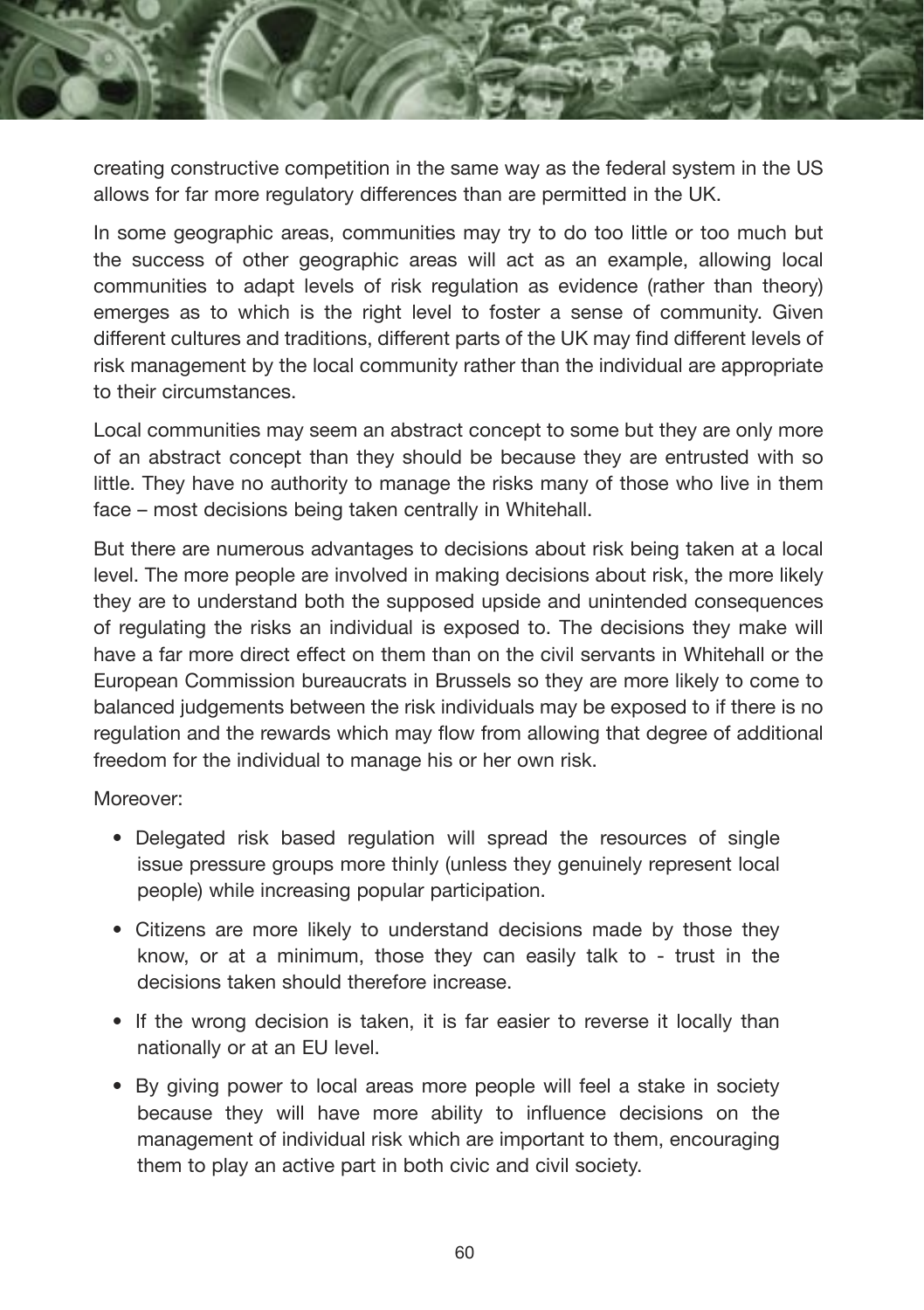

creating constructive competition in the same way as the federal system in the US allows for far more regulatory differences than are permitted in the UK.

In some geographic areas, communities may try to do too little or too much but the success of other geographic areas will act as an example, allowing local communities to adapt levels of risk regulation as evidence (rather than theory) emerges as to which is the right level to foster a sense of community. Given different cultures and traditions, different parts of the UK may find different levels of risk management by the local community rather than the individual are appropriate to their circumstances.

Local communities may seem an abstract concept to some but they are only more of an abstract concept than they should be because they are entrusted with so little. They have no authority to manage the risks many of those who live in them face – most decisions being taken centrally in Whitehall.

But there are numerous advantages to decisions about risk being taken at a local level. The more people are involved in making decisions about risk, the more likely they are to understand both the supposed upside and unintended consequences of regulating the risks an individual is exposed to. The decisions they make will have a far more direct effect on them than on the civil servants in Whitehall or the European Commission bureaucrats in Brussels so they are more likely to come to balanced judgements between the risk individuals may be exposed to if there is no regulation and the rewards which may flow from allowing that degree of additional freedom for the individual to manage his or her own risk.

Moreover:

- Delegated risk based regulation will spread the resources of single issue pressure groups more thinly (unless they genuinely represent local people) while increasing popular participation.
- Citizens are more likely to understand decisions made by those they know, or at a minimum, those they can easily talk to - trust in the decisions taken should therefore increase.
- If the wrong decision is taken, it is far easier to reverse it locally than nationally or at an EU level.
- By giving power to local areas more people will feel a stake in society because they will have more ability to influence decisions on the management of individual risk which are important to them, encouraging them to play an active part in both civic and civil society.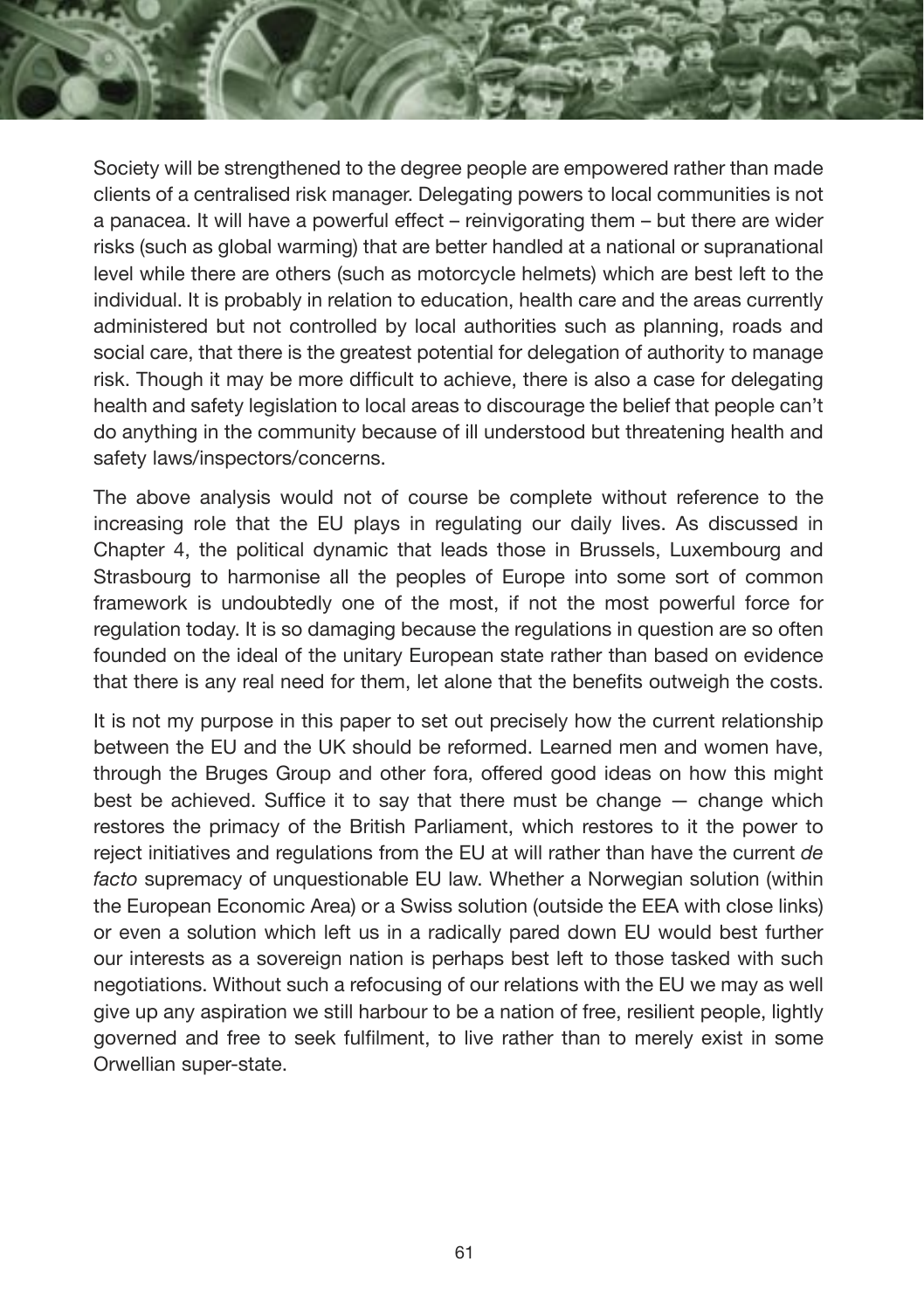Society will be strengthened to the degree people are empowered rather than made clients of a centralised risk manager. Delegating powers to local communities is not a panacea. It will have a powerful effect – reinvigorating them – but there are wider risks (such as global warming) that are better handled at a national or supranational level while there are others (such as motorcycle helmets) which are best left to the individual. It is probably in relation to education, health care and the areas currently administered but not controlled by local authorities such as planning, roads and social care, that there is the greatest potential for delegation of authority to manage risk. Though it may be more difficult to achieve, there is also a case for delegating health and safety legislation to local areas to discourage the belief that people can't do anything in the community because of ill understood but threatening health and safety laws/inspectors/concerns.

The above analysis would not of course be complete without reference to the increasing role that the EU plays in regulating our daily lives. As discussed in Chapter 4, the political dynamic that leads those in Brussels, Luxembourg and Strasbourg to harmonise all the peoples of Europe into some sort of common framework is undoubtedly one of the most, if not the most powerful force for regulation today. It is so damaging because the regulations in question are so often founded on the ideal of the unitary European state rather than based on evidence that there is any real need for them, let alone that the benefits outweigh the costs.

It is not my purpose in this paper to set out precisely how the current relationship between the EU and the UK should be reformed. Learned men and women have, through the Bruges Group and other fora, offered good ideas on how this might best be achieved. Suffice it to say that there must be change  $-$  change which restores the primacy of the British Parliament, which restores to it the power to reject initiatives and regulations from the EU at will rather than have the current *de facto* supremacy of unquestionable EU law. Whether a Norwegian solution (within the European Economic Area) or a Swiss solution (outside the EEA with close links) or even a solution which left us in a radically pared down EU would best further our interests as a sovereign nation is perhaps best left to those tasked with such negotiations. Without such a refocusing of our relations with the EU we may as well give up any aspiration we still harbour to be a nation of free, resilient people, lightly governed and free to seek fulfilment, to live rather than to merely exist in some Orwellian super-state.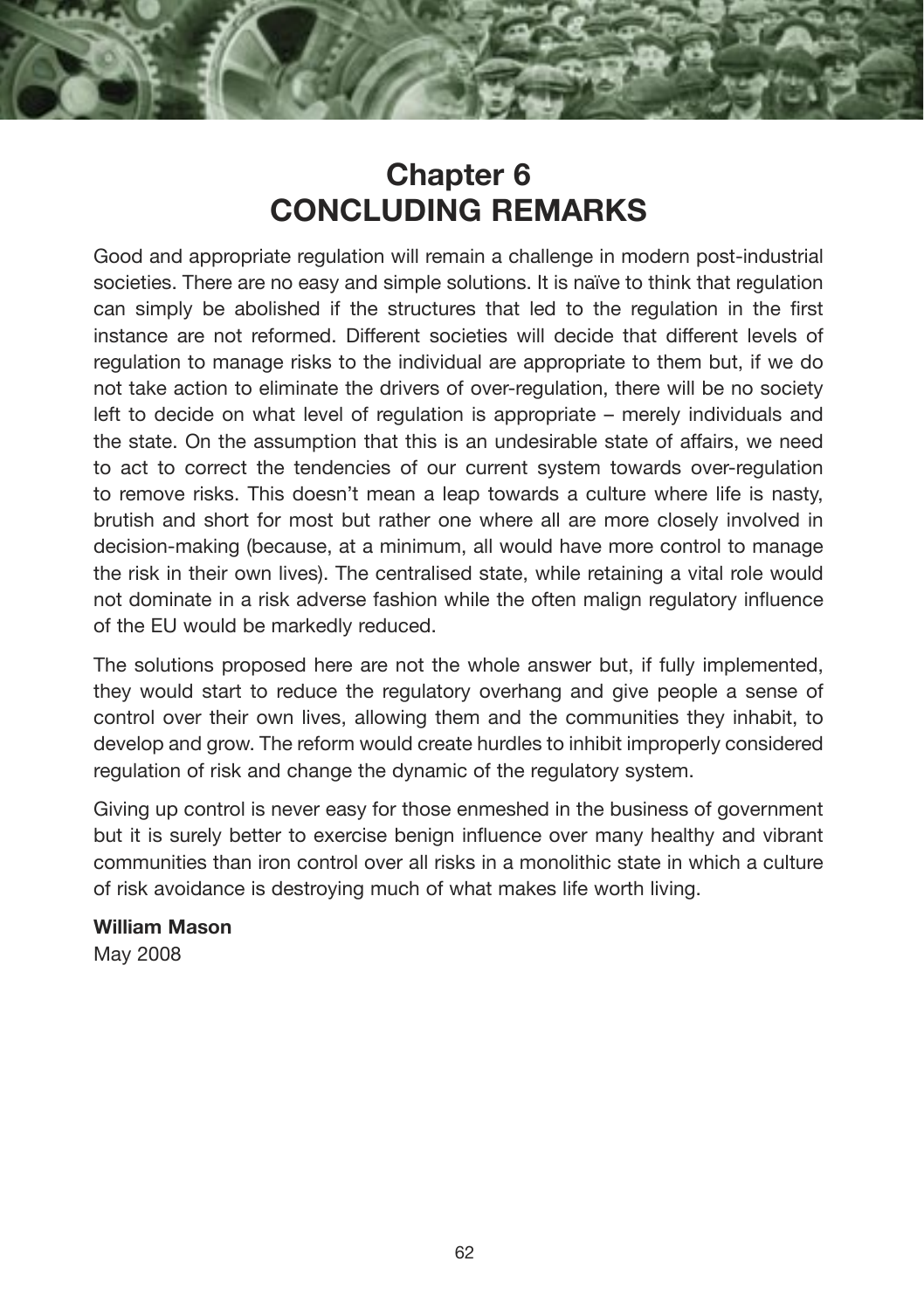## **Chapter 6 CONCLUDING REMARKS**

Good and appropriate regulation will remain a challenge in modern post-industrial societies. There are no easy and simple solutions. It is naïve to think that regulation can simply be abolished if the structures that led to the regulation in the first instance are not reformed. Different societies will decide that different levels of regulation to manage risks to the individual are appropriate to them but, if we do not take action to eliminate the drivers of over-regulation, there will be no society left to decide on what level of regulation is appropriate – merely individuals and the state. On the assumption that this is an undesirable state of affairs, we need to act to correct the tendencies of our current system towards over-regulation to remove risks. This doesn't mean a leap towards a culture where life is nasty, brutish and short for most but rather one where all are more closely involved in decision-making (because, at a minimum, all would have more control to manage the risk in their own lives). The centralised state, while retaining a vital role would not dominate in a risk adverse fashion while the often malign regulatory influence of the EU would be markedly reduced.

The solutions proposed here are not the whole answer but, if fully implemented, they would start to reduce the regulatory overhang and give people a sense of control over their own lives, allowing them and the communities they inhabit, to develop and grow. The reform would create hurdles to inhibit improperly considered regulation of risk and change the dynamic of the regulatory system.

Giving up control is never easy for those enmeshed in the business of government but it is surely better to exercise benign influence over many healthy and vibrant communities than iron control over all risks in a monolithic state in which a culture of risk avoidance is destroying much of what makes life worth living.

**William Mason** May 2008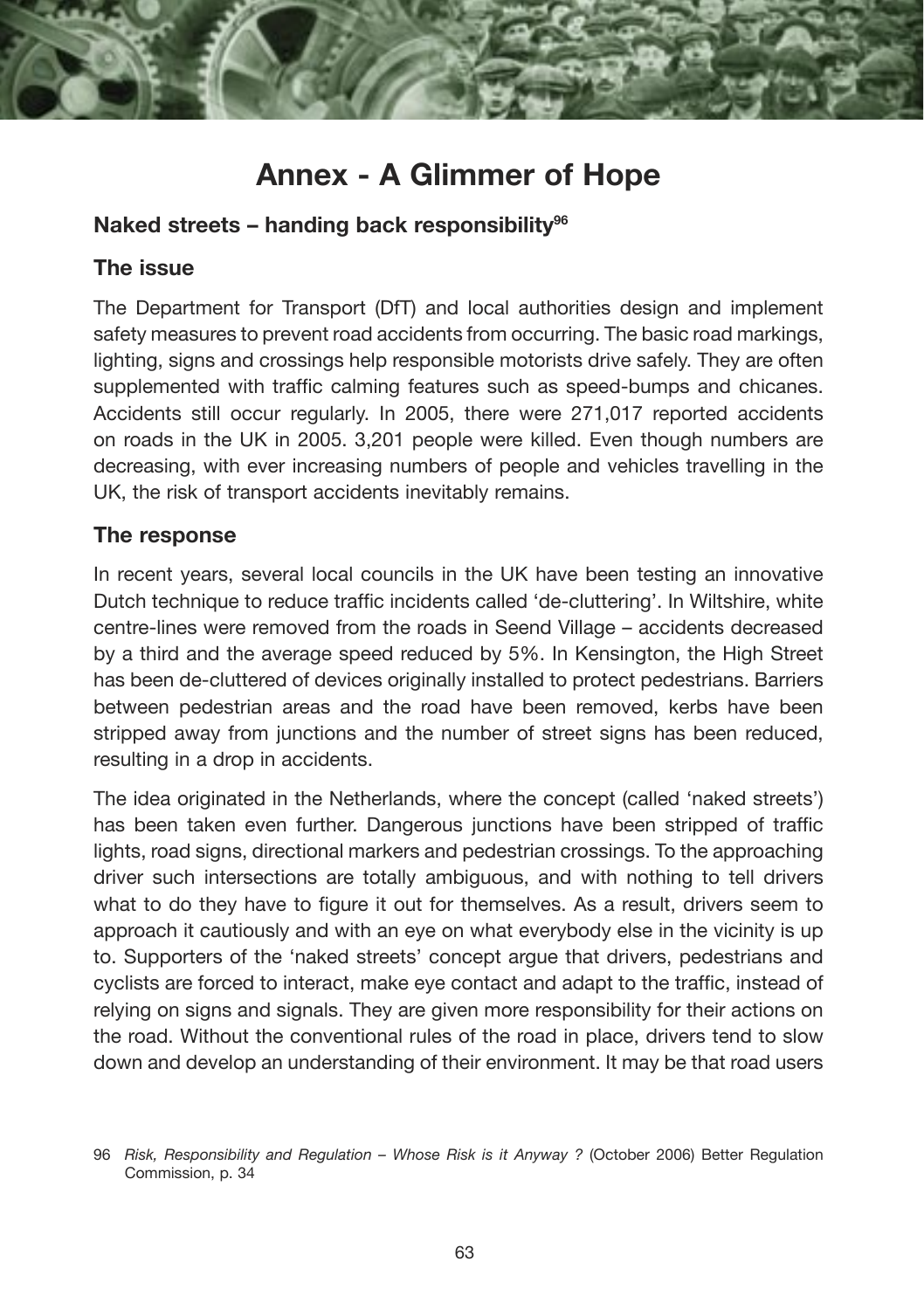

#### **Naked streets – handing back responsibility96**

#### **The issue**

The Department for Transport (DfT) and local authorities design and implement safety measures to prevent road accidents from occurring. The basic road markings, lighting, signs and crossings help responsible motorists drive safely. They are often supplemented with traffic calming features such as speed-bumps and chicanes. Accidents still occur regularly. In 2005, there were 271,017 reported accidents on roads in the UK in 2005. 3,201 people were killed. Even though numbers are decreasing, with ever increasing numbers of people and vehicles travelling in the UK, the risk of transport accidents inevitably remains.

#### **The response**

In recent years, several local councils in the UK have been testing an innovative Dutch technique to reduce traffic incidents called 'de-cluttering'. In Wiltshire, white centre-lines were removed from the roads in Seend Village – accidents decreased by a third and the average speed reduced by 5%. In Kensington, the High Street has been de-cluttered of devices originally installed to protect pedestrians. Barriers between pedestrian areas and the road have been removed, kerbs have been stripped away from junctions and the number of street signs has been reduced, resulting in a drop in accidents.

The idea originated in the Netherlands, where the concept (called 'naked streets') has been taken even further. Dangerous junctions have been stripped of traffic lights, road signs, directional markers and pedestrian crossings. To the approaching driver such intersections are totally ambiguous, and with nothing to tell drivers what to do they have to figure it out for themselves. As a result, drivers seem to approach it cautiously and with an eye on what everybody else in the vicinity is up to. Supporters of the 'naked streets' concept argue that drivers, pedestrians and cyclists are forced to interact, make eye contact and adapt to the traffic, instead of relying on signs and signals. They are given more responsibility for their actions on the road. Without the conventional rules of the road in place, drivers tend to slow down and develop an understanding of their environment. It may be that road users

<sup>96</sup> *Risk, Responsibility and Regulation – Whose Risk is it Anyway ?* (October 2006) Better Regulation Commission, p. 34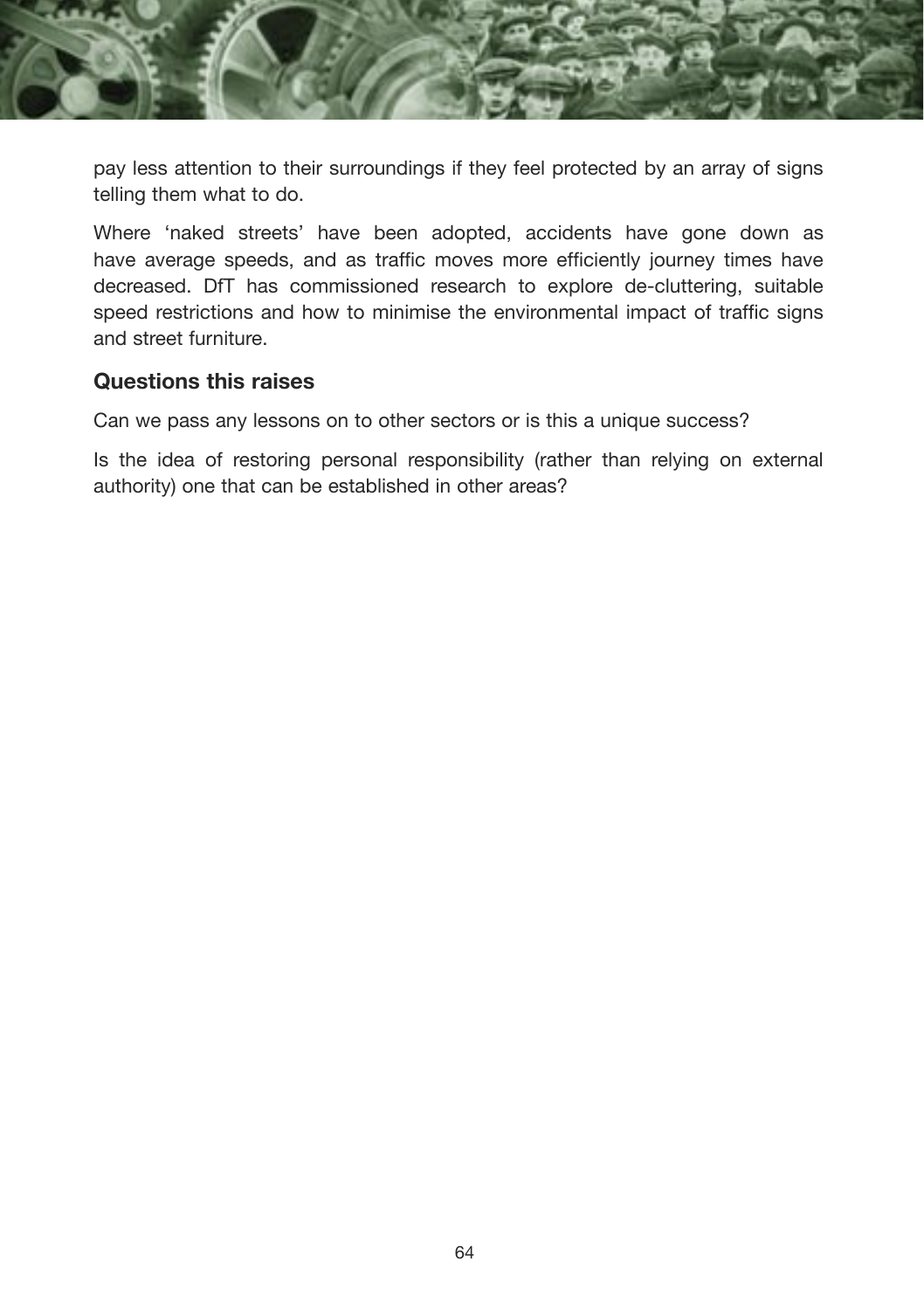

pay less attention to their surroundings if they feel protected by an array of signs telling them what to do.

Where 'naked streets' have been adopted, accidents have gone down as have average speeds, and as traffic moves more efficiently journey times have decreased. DfT has commissioned research to explore de-cluttering, suitable speed restrictions and how to minimise the environmental impact of traffic signs and street furniture.

#### **Questions this raises**

Can we pass any lessons on to other sectors or is this a unique success?

Is the idea of restoring personal responsibility (rather than relying on external authority) one that can be established in other areas?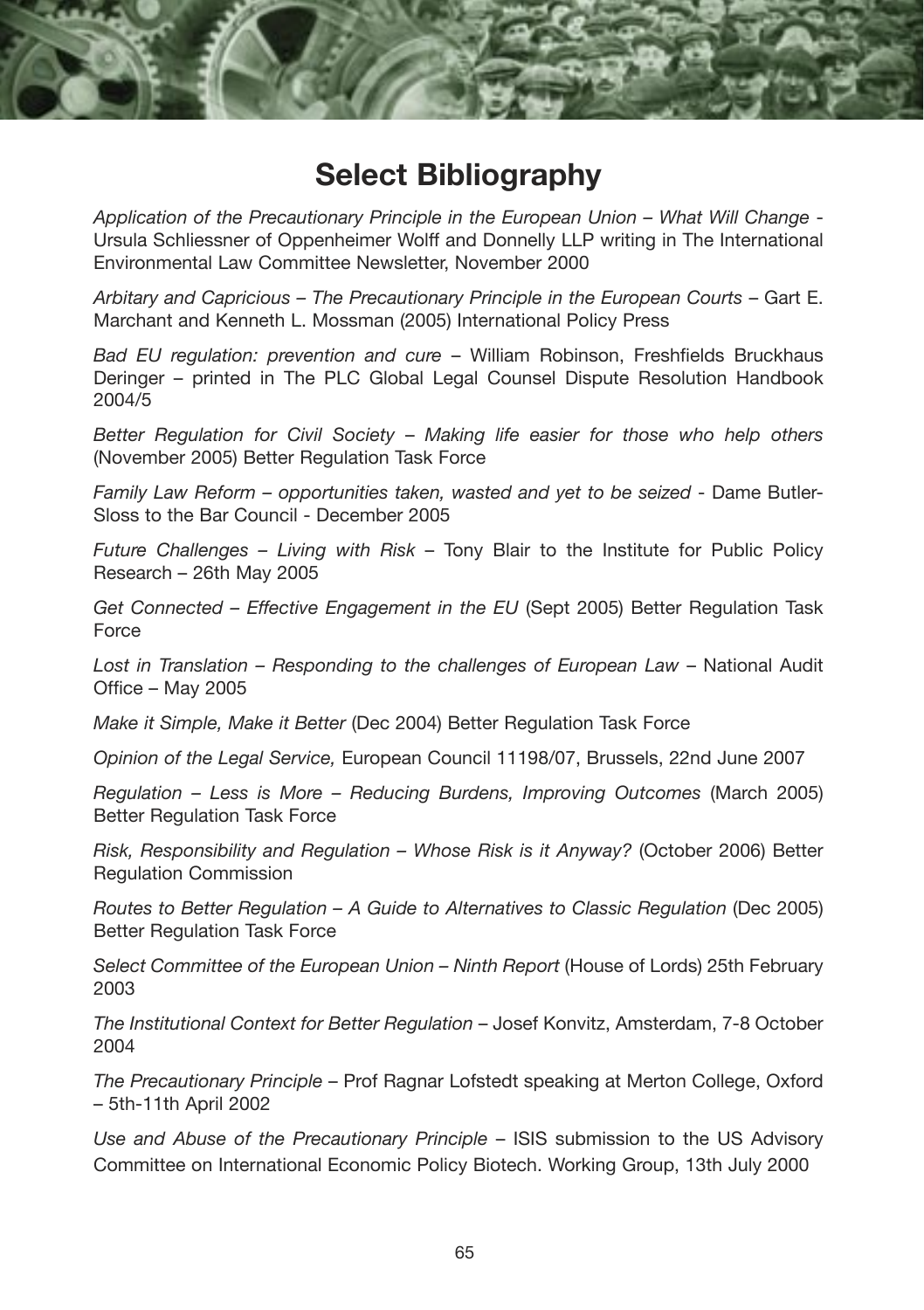

### **Select Bibliography**

*Application of the Precautionary Principle in the European Union – What Will Change* - Ursula Schliessner of Oppenheimer Wolff and Donnelly LLP writing in The International Environmental Law Committee Newsletter, November 2000

*Arbitary and Capricious – The Precautionary Principle in the European Courts* – Gart E. Marchant and Kenneth L. Mossman (2005) International Policy Press

*Bad EU regulation: prevention and cure* – William Robinson, Freshfields Bruckhaus Deringer – printed in The PLC Global Legal Counsel Dispute Resolution Handbook 2004/5

*Better Regulation for Civil Society* – *Making life easier for those who help others*  (November 2005) Better Regulation Task Force

*Family Law Reform – opportunities taken, wasted and yet to be seized* - Dame Butler-Sloss to the Bar Council - December 2005

*Future Challenges – Living with Risk* – Tony Blair to the Institute for Public Policy Research – 26th May 2005

*Get Connected – Effective Engagement in the EU* (Sept 2005) Better Regulation Task Force

*Lost in Translation – Responding to the challenges of European Law* – National Audit Office – May 2005

*Make it Simple, Make it Better* (Dec 2004) Better Regulation Task Force

*Opinion of the Legal Service,* European Council 11198/07, Brussels, 22nd June 2007

*Regulation – Less is More – Reducing Burdens, Improving Outcomes* (March 2005) Better Regulation Task Force

*Risk, Responsibility and Regulation – Whose Risk is it Anyway?* (October 2006) Better Regulation Commission

*Routes to Better Regulation – A Guide to Alternatives to Classic Regulation* (Dec 2005) Better Regulation Task Force

*Select Committee of the European Union – Ninth Report* (House of Lords) 25th February 2003

*The Institutional Context for Better Regulation* – Josef Konvitz, Amsterdam, 7-8 October 2004

*The Precautionary Principle* – Prof Ragnar Lofstedt speaking at Merton College, Oxford – 5th-11th April 2002

*Use and Abuse of the Precautionary Principle* – ISIS submission to the US Advisory Committee on International Economic Policy Biotech. Working Group, 13th July 2000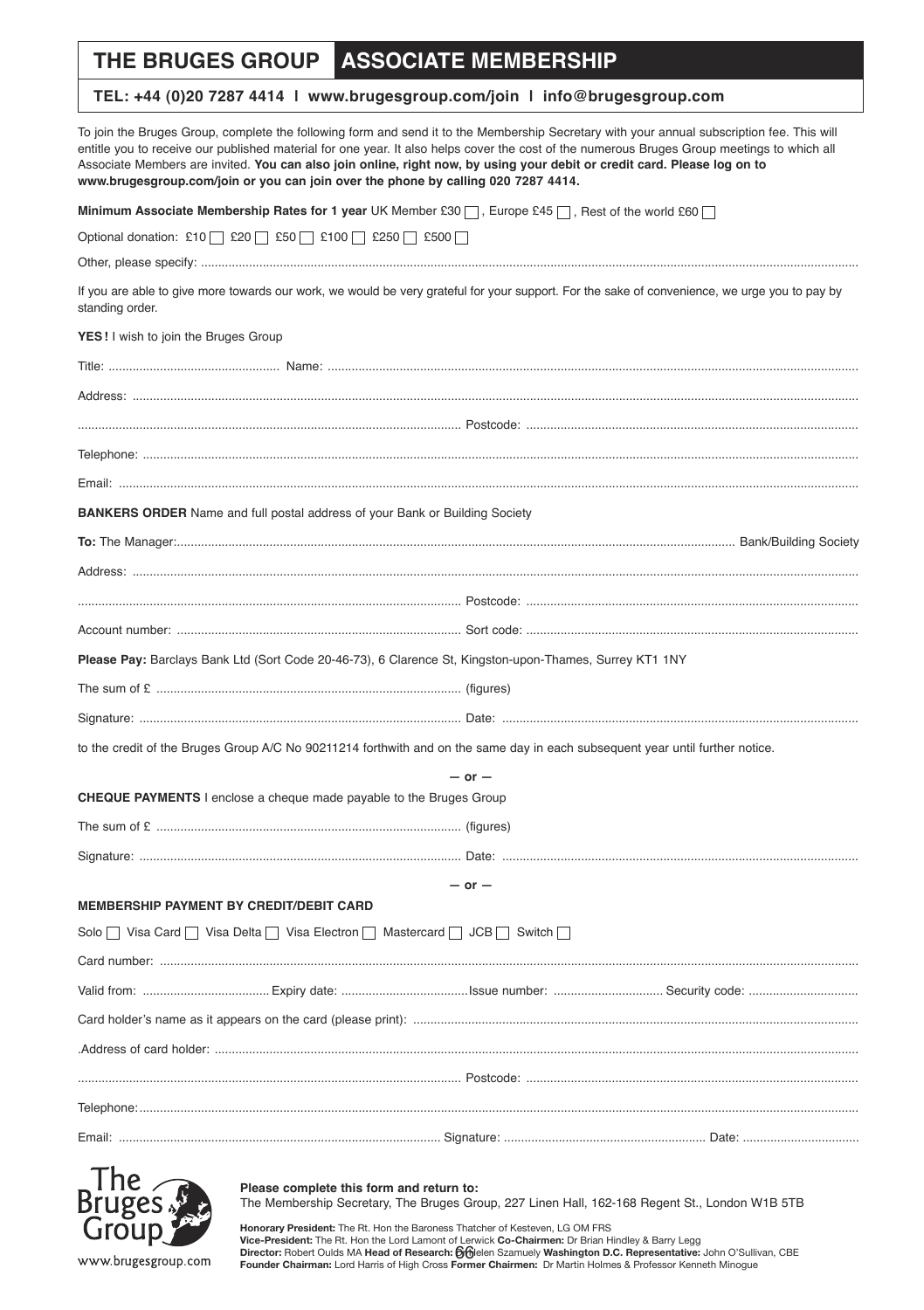#### **THE BRUGES GROUP ASSOCIATE MEMBERSHIP**

#### **TEL: +44 (0)20 7287 4414 | www.brugesgroup.com/join | info@brugesgroup.com**

To join the Bruges Group, complete the following form and send it to the Membership Secretary with your annual subscription fee. This will entitle you to receive our published material for one year. It also helps cover the cost of the numerous Bruges Group meetings to which all Associate Members are invited. **You can also join online, right now, by using your debit or credit card. Please log on to www.brugesgroup.com/join or you can join over the phone by calling 020 7287 4414.**

| Minimum Associate Membership Rates for 1 year UK Member £30 $\Box$ , Europe £45 $\Box$ , Rest of the world £60 $\Box$                                            |            |  |
|------------------------------------------------------------------------------------------------------------------------------------------------------------------|------------|--|
| Optional donation: £10   £20   £50   £100   £250   £500                                                                                                          |            |  |
|                                                                                                                                                                  |            |  |
| If you are able to give more towards our work, we would be very grateful for your support. For the sake of convenience, we urge you to pay by<br>standing order. |            |  |
| YES! I wish to join the Bruges Group                                                                                                                             |            |  |
|                                                                                                                                                                  |            |  |
|                                                                                                                                                                  |            |  |
|                                                                                                                                                                  |            |  |
|                                                                                                                                                                  |            |  |
|                                                                                                                                                                  |            |  |
| <b>BANKERS ORDER</b> Name and full postal address of your Bank or Building Society                                                                               |            |  |
|                                                                                                                                                                  |            |  |
|                                                                                                                                                                  |            |  |
|                                                                                                                                                                  |            |  |
|                                                                                                                                                                  |            |  |
| Please Pay: Barclays Bank Ltd (Sort Code 20-46-73), 6 Clarence St, Kingston-upon-Thames, Surrey KT1 1NY                                                          |            |  |
|                                                                                                                                                                  |            |  |
|                                                                                                                                                                  |            |  |
| to the credit of the Bruges Group A/C No 90211214 forthwith and on the same day in each subsequent year until further notice.                                    |            |  |
|                                                                                                                                                                  | $-$ or $-$ |  |
| <b>CHEQUE PAYMENTS</b> I enclose a cheque made payable to the Bruges Group                                                                                       |            |  |
|                                                                                                                                                                  |            |  |
|                                                                                                                                                                  |            |  |
|                                                                                                                                                                  | $-$ or $-$ |  |
| MEMBERSHIP PAYMENT BY CREDIT/DEBIT CARD                                                                                                                          |            |  |
| Solo $\Box$ Visa Card $\Box$ Visa Delta $\Box$ Visa Electron $\Box$ Mastercard $\Box$ JCB $\Box$ Switch $\Box$                                                   |            |  |
|                                                                                                                                                                  |            |  |
|                                                                                                                                                                  |            |  |
|                                                                                                                                                                  |            |  |
|                                                                                                                                                                  |            |  |
|                                                                                                                                                                  |            |  |
|                                                                                                                                                                  |            |  |
|                                                                                                                                                                  |            |  |
|                                                                                                                                                                  |            |  |



www.brugesgroup.com

**Please complete this form and return to:** 

The Membership Secretary, The Bruges Group, 227 Linen Hall, 162-168 Regent St., London W1B 5TB

Director: Robert Oulds MA Head of Research: Of Helen Szamuely Washington D.C. Representative: John O'Sullivan, CBE **Honorary President:** The Rt. Hon the Baroness Thatcher of Kesteven, LG OM FRS **Vice-President:** The Rt. Hon the Lord Lamont of Lerwick **Co-Chairmen:** Dr Brian Hindley & Barry Legg **Founder Chairman:** Lord Harris of High Cross **Former Chairmen:** Dr Martin Holmes & Professor Kenneth Minogue